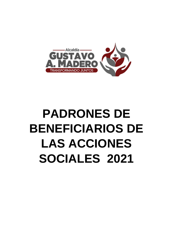

# **PADRONES DE BENEFICIARIOS DE LAS ACCIONES SOCIALES 2021**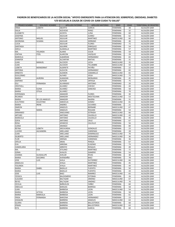| <b>PRIMER NOMBRE</b>           | <b>SEGUNDO NOMBRE</b> | <b>APELLIDO PATERNO</b> | <b>APELLIDO MATERNO</b> | <b>SEXO</b>                  | <b>EDAD</b> | <b>TERRITORIAL DE REGISTRO</b> |
|--------------------------------|-----------------------|-------------------------|-------------------------|------------------------------|-------------|--------------------------------|
| <b>ERIKA</b>                   | LIZBETH               | <b>ABURTO</b>           | <b>GARCIA</b>           | <b>FEMENINA</b>              | 38          | ALCALDÍA GAM                   |
| <b>DALIA</b>                   |                       | <b>ACEVEDO</b>          | PEREZ                   | <b>FEMENINA</b>              | 32          | ALCALDÍA GAM                   |
| <b>ELIZABETH</b>               |                       | ACOSTA                  | LUNA                    | <b>FEMENINA</b>              | 60          | ALCALDÍA GAM                   |
| <b>JOSEFINA</b>                |                       | AGUILAR                 | <b>JUAREZ</b>           | <b>FEMENINA</b>              | 62          | ALCALDÍA GAM                   |
| <b>ANTONIO</b>                 | <b>MIGUEL</b>         | <b>AGUILAR</b>          | <b>MARTINEZ</b>         | <b>MASCULINO</b>             | 66          | ALCALDÍA GAM                   |
| <b>GEORGINA</b>                | SUSANA                | AGUILAR                 | SERRANO                 | <b>FEMENINA</b>              | 46          | ALCALDÍA GAM                   |
| <b>LUCIA</b>                   |                       | AGUILAR                 | <b>FLORES</b>           | <b>FEMENINO</b>              | 72          | ALCALDÍA GAM                   |
| SANTIAGA                       |                       | <b>AGUIRRE</b>          | <b>ENRIQUEZ</b>         | <b>FEMENINA</b>              | 54          | ALCALDÍA GAM                   |
| ADELA                          |                       | ALAMALLA                | MARTINEZ                | <b>FEMENINA</b>              | 57          | ALCALDÍA GAM                   |
| MA.                            | YOLANDA               | <b>ALANIS</b>           | <b>COLIN</b>            | <b>FEMENINA</b>              | 59          | ALCALDÍA GAM                   |
| <b>CINTHIA</b>                 | <b>ITZEL</b>          | <b>ALARCON</b>          | VAZQUEZ                 | <b>FEMENINA</b>              | 29          | ALCALDÍA GAM                   |
| <b>MARCELA</b>                 |                       | <b>ALBARRAN</b>         | HERNANDEZ               | <b>FEMENINA</b>              | 65          | ALCALDÍA GAM                   |
| <b>JENNIFER</b>                | <b>MANUEL</b>         | <b>ALCANTAR</b>         | <b>MATIAS</b>           | <b>FEMENINA</b><br>MASCULINO | 31<br>35    | ALCALDÍA GAM                   |
| <b>JUAN</b>                    |                       | ALCOCER                 | LICEA<br>TELUMBRE       |                              | 59          | ALCALDÍA GAM<br>ALCALDÍA GAM   |
| <b>JUAN</b><br>LIZBETH         | MONSERRAT             | ALCOCER<br>ALDERETE     | PATIÑO                  | MASCULINO<br><b>FEMENINA</b> | 22          | ALCALDÍA GAM                   |
| <b>ANTONIA</b>                 |                       | ALDUCIN                 | HERNANDEZ               | <b>FEMENINA</b>              | 82          | ALCALDÍA GAM                   |
| <b>ERNESTO</b>                 |                       | ALEMON                  | CAMARILLO               | MASCULINO                    | 65          | ALCALDÍA GAM                   |
| <b>GUILLERMO</b>               |                       | <b>ALFARO</b>           | VEGA                    | MASCULINO                    | 73          | ALCALDÍA GAM                   |
| <b>MARIA</b>                   | <b>AURORA</b>         | ALMAZAN                 | <b>MONJARAS</b>         | <b>FEMENINA</b>              | 45          | ALCALDÍA GAM                   |
| <b>AMPARO</b>                  |                       | <b>ALPIZAR</b>          | ORTEGA                  | <b>FEMENINA</b>              | 75          | ALCALDÍA GAM                   |
| <b>ESLI</b>                    | <b>FERNANDA</b>       | <b>ALVARADO</b>         | <b>ANTONIO</b>          | <b>FEMENINO</b>              | 20          | ALCALDÍA GAM                   |
| <b>CRISTHELL</b>               |                       | <b>ALVAREZ</b>          | CHEVEZ                  | <b>FEMENINA</b>              | 44          | ALCALDÍA GAM                   |
| <b>MARIA</b>                   | <b>ELENA</b>          | <b>ALVAREZ</b>          | SANCHEZ                 | <b>FEMENINA</b>              | 58          | ALCALDÍA GAM                   |
| <b>MARIA</b>                   | <b>OTILIA</b>         | ALVAREZ                 |                         | <b>FEMENINA</b>              | 70          | ALCALDÍA GAM                   |
| ESPERANZA                      |                       | AMADOR                  | <b>FLORES</b>           | <b>FEMENINA</b>              | 30          | ALCALDÍA GAM                   |
| <b>RICARDO</b>                 |                       | AMADOR                  | MOCTEZUMA               | MASCULINO                    | 53          | ALCALDÍA GAM                   |
| <b>MARIA</b>                   | DE LOS ANGELES        | AMADOR                  | <b>NAJERA</b>           | <b>FEMENINA</b>              | 31          | ALCALDÍA GAM                   |
| <b>ELEUTERIO</b>               | CELESTINO             | AMEZCUA                 | GOMEZ                   | MASCULINO                    | 81          | ALCALDÍA GAM                   |
| <b>MARIA</b>                   | <b>IRENE</b>          | ANDRES                  | OLIVARES                | <b>FEMENINA</b>              | 21          | ALCALDÍA GAM                   |
| <b>SIMEON</b>                  |                       | <b>ANGELES</b>          | <b>BERNABE</b>          | <b>MASCULINO</b>             | 67          | ALCALDÍA GAM                   |
| <b>DORA</b>                    | <b>MARIA</b>          | ANGELES                 | <b>ROLDAN</b>           | <b>FEMENINA</b>              | 54          | ALCALDÍA GAM                   |
| ARMANDO                        |                       | ANGUIANO                | <b>ESTRADA</b>          | MASCULINO                    | 66          | ALCALDÍA GAM                   |
| <b>ARTURO</b>                  |                       | <b>ANTONIO</b>          | CAUDILLO                | MASCULINO                    | 43          | ALCALDÍA GAM                   |
| <b>MARICELA</b>                |                       | <b>ANTONIO</b>          | CAUDILLO                | <b>FEMENINA</b>              | 45          | ALCALDÍA GAM                   |
| <b>SOFIA</b>                   |                       | <b>ANTONIO</b>          | CRUZ                    | <b>FEMENINA</b>              | 67          | ALCALDÍA GAM                   |
| <b>ROSA</b>                    |                       | <b>APARICIO</b>         | CALVILLO                | <b>FEMENINA</b>              | 56          | ALCALDÍA GAM                   |
| <b>JUANA</b>                   |                       | ARANGO                  |                         | <b>FEMENINA</b>              | 84          | ALCALDÍA GAM                   |
| REYNA                          | LIZBETH               | ARCHUNDIA               | GONZALEZ                | <b>FEMENINA</b>              | 23          | ALCALDÍA GAM                   |
| <b>LUCERO</b>                  | ALEJANDRA             | ARELLANO                | CARDENAS                | <b>FEMENINA</b>              | 28          | ALCALDÍA GAM                   |
| JUAN                           |                       | ARELLANO                | <b>DOMINGUEZ</b>        | <b>MASCULINO</b>             | 70          | ALCALDÍA GAM                   |
| <b>GILBERTO</b><br><b>FLOR</b> |                       | ARELLANO                | HERNANDEZ               | MASCULINO<br><b>FEMENINA</b> | 36          | ALCALDÍA GAM                   |
| <b>OFELIA</b>                  |                       | ARENAS<br><b>ARIAS</b>  | CARDENAS<br>PEREZA      | <b>FEMENINA</b>              | 36<br>67    | ALCALDÍA GAM                   |
| <b>EVA</b>                     |                       | <b>ARRONA</b>           | <b>EUGENIO</b>          | <b>FEMENINA</b>              | 73          | ALCALDÍA GAM<br>ALCALDÍA GAM   |
| CANDELARIA                     |                       | <b>ARROYO</b>           | <b>ROSALES</b>          | <b>FEMENINA</b>              | 49          | ALCALDÍA GAM                   |
| MA.                            | <b>EVA</b>            | <b>ATILANO</b>          | MARTINEZ                | <b>FEMENINA</b>              | 72          | ALCALDÍA GAM                   |
| <b>SONIA</b>                   |                       | <b>AVALOS</b>           | GAMERO                  | FEMENINA                     | 54          | ALCALDÍA GAM                   |
| <b>JOANNA</b>                  | <b>GUADALUPE</b>      | AVELAR                  | <b>RIVAS</b>            | <b>FEMENINA</b>              | 38          | ALCALDÍA GAM                   |
| <b>MARIA</b>                   | SOCORRO               | AVENDAÑO                | BAEZ                    | <b>FEMENINA</b>              | 78          | ALCALDÍA GAM                   |
| <b>JOSE</b>                    | LUIS                  | AVILA                   | <b>GUTIERREZ</b>        | MASCULINO                    | 66          | ALCALDÍA GAM                   |
| ANGELICA                       |                       | AYALA                   | MARTINEZ                | FEMENINA                     | 45          | ALCALDÍA GAM                   |
| YOLANDA                        |                       | AYALA                   | MARTINEZ                | <b>FEMENINA</b>              | 44          | ALCALDÍA GAM                   |
| <b>MARIA</b>                   | <b>ISABEL</b>         | <b>BADILLO</b>          | <b>FUENTES</b>          | <b>FEMENINA</b>              | 50          | ALCALDÍA GAM                   |
| <b>MARIA</b>                   |                       | <b>BADILLO</b>          | <b>FUENTES</b>          | <b>FEMENINA</b>              | 44          | ALCALDÍA GAM                   |
| JOSE                           | LUIS                  | BAEZ                    | RAMIREZ                 | MASCULINO                    | 65          | ALCALDÍA GAM                   |
| YESSICA                        |                       | <b>BALDOMERO</b>        | ESTEBAN                 | FEMENINA                     | 26          | ALCALDÍA GAM                   |
| <b>CLAUDIO</b>                 |                       | <b>BALTAZAR</b>         | JIMENEZ                 | MASCULINO                    | 67          | ALCALDÍA GAM                   |
| <b>REYES</b>                   |                       | <b>BALTAZAR</b>         | <b>JIMENEZ</b>          | MASCULINO                    | 70          | ALCALDÍA GAM                   |
| <b>CECILIA</b>                 |                       | BAÑUELOS                | YAÑEZ                   | FEMENINA                     | 60          | ALCALDÍA GAM                   |
| <b>OBDULIA</b>                 |                       | <b>BARAJAS</b>          | <b>BARRIGA</b>          | FEMENINA                     | 58          | ALCALDÍA GAM                   |
| JUAN                           |                       | <b>BARBOSA</b>          | LEON                    | MASCULINO                    | 54          | ALCALDÍA GAM                   |
| <b>MARIA</b>                   | LETICIA               | <b>BARBOSA</b>          | LEON                    | <b>FEMENINA</b>              | 58          | ALCALDÍA GAM                   |
| <b>MARIA</b>                   | MARICELA              | <b>BARBOSA</b>          | LEON                    | <b>FEMENINA</b>              | 61          | ALCALDÍA GAM                   |
| FRIDA                          | FERNANDA              | <b>BARCENA</b>          | HERNANDEZ               | <b>FEMENINA</b>              | 23          | ALCALDÍA GAM                   |
| <b>JOAQUIN</b>                 |                       | BARRERA                 | ANGELES                 | MASCULINO                    | 63          | ALCALDÍA GAM                   |
| <b>GLORIA</b>                  |                       | BARRERA                 | <b>BALLESTEROS</b>      | FEMENINA                     | 60          | ALCALDÍA GAM                   |
| <b>IFRAIN</b>                  |                       | BARRERA                 | <b>BALLESTEROS</b>      | MASCULINO                    | 63          | ALCALDÍA GAM                   |
| <b>RITA</b>                    |                       | BARRERA                 | <b>GARCIA</b>           | FEMENINA                     | 60          | ALCALDÍA GAM                   |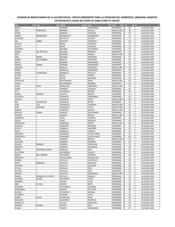| <b>PRIMER NOMBRE</b> | <b>SEGUNDO NOMBRE</b>  | <b>APELLIDO PATERNO</b>           | APELLIDO MATERNO                 | <b>SEXO</b>                        | <b>EDAD</b> | <b>TERRITORIAL DE REGISTRO</b> |
|----------------------|------------------------|-----------------------------------|----------------------------------|------------------------------------|-------------|--------------------------------|
| ADELA                |                        | <b>BARRERA</b>                    | HERNANDEZ                        | <b>FEMENINA</b>                    | 68          | ALCALDÍA GAM                   |
| JOSE                 | <b>FRANCISCO</b>       | <b>BARRERA</b>                    | PADILLA                          | MASCULINO                          | 48          | ALCALDÍA GAM                   |
| SONIA                |                        | <b>BARRERA</b>                    | VENEGAS                          | FEMENINA                           | 43          | ALCALDÍA GAM                   |
| <b>INGRID</b>        | MONSERRAT              | <b>BARRIENTOS</b>                 | HERNANDEZ                        | <b>FEMENINA</b>                    | 27          | ALCALDÍA GAM                   |
| CATALINA             |                        | <b>BAUTISTA</b>                   | <b>CASTRO</b>                    | <b>FEMENINA</b>                    | 71          | ALCALDÍA GAM                   |
| MA.                  | <b>ISABEL</b>          | <b>BAUTISTA</b>                   | <b>DOMINGA</b>                   | <b>FEMENINA</b>                    | 49          | ALCALDÍA GAM                   |
| <b>FAUSTA</b>        |                        | <b>BAXIN</b>                      | CHAGALA                          | <b>FEMENINA</b>                    | 71          | ALCALDÍA GAM                   |
| <b>FELIPA</b>        |                        | <b>BAXIN</b>                      | CHAGALA                          | <b>FEMENINA</b>                    | 55          | ALCALDÍA GAM                   |
| <b>ANTONIA</b>       |                        | <b>BECERRA</b>                    | CASTAÑEDA                        | <b>FEMENINA</b>                    | 61          | ALCALDÍA GAM                   |
| <b>MARIA</b>         | <b>DEL REFUGIO</b>     | <b>BECERRA</b>                    | RAMIREZ                          | <b>FEMENINA</b>                    | 44<br>83    | ALCALDÍA GAM                   |
| JOSE                 |                        | <b>BECERRIL</b>                   | <b>GARCIA</b><br><b>MARTINEZ</b> | MASCULINO<br><b>FEMENINA</b>       |             | ALCALDÍA GAM                   |
| ANA                  | <b>MARIA</b>           | <b>BECERRIL</b><br><b>BENITEZ</b> |                                  |                                    | 44          | ALCALDÍA GAM                   |
| MARIA<br>ADELA       | DEL CARMEN             | <b>BERBABE</b>                    | MARTINEZ<br>HERNANDEZ            | <b>FEMENINA</b><br><b>FEMENINA</b> | 82<br>61    | ALCALDÍA GAM<br>ALCALDÍA GAM   |
| KAREM                | AMIRA                  | <b>BERNABE</b>                    | HERNANDEZ                        | <b>FEMENINA</b>                    | 34          | ALCALDÍA GAM                   |
| <b>VIRGILIO</b>      |                        | <b>BONILLA</b>                    | <b>MARTINEZ</b>                  | MASCULINO                          | 63          | ALCALDÍA GAM                   |
| <b>ISABEL</b>        |                        | <b>BORBOLLA</b>                   | <b>EPIGMENIO</b>                 | <b>FEMENINA</b>                    | 67          | ALCALDÍA GAM                   |
| <b>MARIA</b>         | <b>FLORENTINA</b>      | <b>BORBOLLA</b>                   | PASCUAL                          | <b>FEMENINA</b>                    | 35          | ALCALDÍA GAM                   |
| <b>ELVIRA</b>        |                        | <b>BORJA</b>                      | PIEDRA                           | <b>FEMENINA</b>                    | 27          | ALCALDÍA GAM                   |
| SARAI                |                        | <b>BUCIO</b>                      | RESENDIZ                         | <b>FEMENINA</b>                    | 35          | ALCALDÍA GAM                   |
| <b>LEOPOLDO</b>      |                        | <b>BUSTAMANTE</b>                 | MAYA                             | MASCULINO                          | 65          | ALCALDÍA GAM                   |
| LAURA                |                        | <b>BUSTAMANTE</b>                 | RAMIREZ                          | <b>FEMENINA</b>                    | 44          | ALCALDÍA GAM                   |
| <b>JUAN</b>          | <b>ELIAS</b>           | CABALLERO                         | SANDOVAL                         | MASCULINO                          | 52          | ALCALDÍA GAM                   |
| <b>ISABEL</b>        |                        | CABRERA                           | VAZQUEZ                          | <b>FEMENINA</b>                    | 54          | ALCALDÍA GAM                   |
| EVA                  |                        | CALDERILLA                        | RANGEL                           | <b>FEMENINA</b>                    | 65          | ALCALDÍA GAM                   |
| LAURA                | JEANETE                | CALIXTO                           | <b>RIVERO</b>                    | <b>FEMENINA</b>                    | 31          | ALCALDÍA GAM                   |
| CELEDONI             |                        | CAMACHO                           | HERNANDEZ                        | <b>FEMENINA</b>                    | 63          | ALCALDÍA GAM                   |
| CARLOS               |                        | CAMACHO                           | ORTIZ                            | <b>MASCULINO</b>                   | 68          | ALCALDÍA GAM                   |
| MA.                  | <b>GUADALUPE</b>       | CAMACHO                           | <b>REYNA</b>                     | <b>FEMENINA</b>                    | 65          | ALCALDÍA GAM                   |
| JOSE                 | LUZ                    | CAMARILLO                         | CORDOVA                          | <b>MASCULINO</b>                   | 63          | ALCALDÍA GAM                   |
| JOSE                 | <b>ANTONIO</b>         | CAMARILLO                         | LEYVA                            | MASCULINO                          | 34          | ALCALDÍA GAM                   |
| <b>AARON</b>         |                        | CAMPERO                           | <b>GARCIA</b>                    | <b>MASCULINO</b>                   | 41          | ALCALDÍA GAM                   |
| <b>BERTHA</b>        | <b>JUANA</b>           | <b>CAMPOS</b>                     | QUINTANAR                        | FEMENINA                           | 59          | ALCALDÍA GAM                   |
| <b>VICENTE</b>       |                        | CAMPOS                            | <b>ROBLES</b>                    | MASCULINO                          | 80          | ALCALDÍA GAM                   |
| <b>VERONICA</b>      |                        | CANO                              | ARAGON                           | <b>FEMENINA</b>                    | 20          | ALCALDÍA GAM                   |
| <b>SILVIA</b>        |                        | CANO                              | SANCHEZ                          | <b>FEMENINA</b>                    | 54          | ALCALDÍA GAM                   |
| <b>FRANCISCO</b>     |                        | CAÑONGO                           | <b>PONCE</b>                     | MASCULINO                          | 80          | ALCALDÍA GAM                   |
| <b>PATRICIA</b>      |                        | CAÑONGO                           | ROMANO                           | <b>FEMENINA</b>                    | 50          | ALCALDÍA GAM                   |
| <b>ESTELA</b>        |                        | CARBAJAL                          | ORDOÑEZ                          | <b>FEMENINA</b>                    | 65          | ALCALDÍA GAM                   |
| ROSA                 |                        | CARBALLO                          | VARGAS                           | <b>FEMENINA</b>                    | 67          | ALCALDÍA GAM                   |
| <b>GRACIELA</b>      |                        | CARDENAS                          | CASTELLANOS                      | <b>FEMENINA</b>                    | 58          | ALCALDÍA GAM                   |
| <b>HORTENSIA</b>     |                        | CARMONA                           | CASTELLANOS                      | <b>FEMENINA</b>                    | 66          | ALCALDÍA GAM                   |
| RAFAEL               |                        | CARRERA                           | <b>GARCIA</b>                    | MASCULINO                          | 42          | ALCALDÍA GAM                   |
| <b>JOSEFINA</b>      |                        | CARRERA                           | <b>ROMERO</b>                    | FEMENINA                           | 60          | ALCALDÍA GAM                   |
| <b>GLORIA</b>        | MARIBEL                | CARRERA                           | ZARAGOZA                         | <b>FEMENINA</b>                    | 52          | ALCALDÍA GAM                   |
| <b>MARTHA</b>        |                        | CARRERA                           | ZARAGOZA                         | <b>FEMENINA</b>                    | 48          | ALCALDÍA GAM                   |
| <b>MARIA</b>         | <b>AUSENCIA GLORIA</b> | CARRILLO                          | <b>DIAZ</b>                      | <b>FEMENINA</b>                    | 69          | ALCALDÍA GAM                   |
| ELEUTERIA            |                        | CASTAÑEDA                         | <b>CHAVEZ</b>                    | <b>FEMENINA</b>                    | $74\,$      | ALCALDÍA GAM                   |
| <b>MARIA</b>         | <b>DEL CARMEN</b>      | CASTAÑON                          | RAMIREZ                          | <b>FEMENINA</b>                    | 88          | ALCALDÍA GAM                   |
| GRISELDA             |                        | <b>CASTELLANOS</b>                | <b>DOMINGUEZ</b>                 | FEMENINA                           | 33          | ALCALDÍA GAM                   |
| KARINA               |                        | CASTILLO                          | COATECATL                        | FEMENINA                           | 45          | ALCALDÍA GAM                   |
| ERIKA                | <b>BERENICE</b>        | CASTILLO                          | <b>DELGADO</b>                   | FEMENINA                           | 29          | ALCALDÍA GAM                   |
| ADRIANA              |                        | CASTILLO                          | <b>ESCOBAR</b>                   | FEMENINA                           | 40          | ALCALDÍA GAM                   |
| <b>CITLALI</b>       |                        | CASTILLO                          | RICO                             | FEMENINA                           | 34          | ALCALDÍA GAM                   |
| <b>XOCHITL</b>       |                        | CASTILLO                          | RICO                             | FEMENINA                           | 34          | ALCALDÍA GAM                   |
| MIGUEL               |                        | CASTILLO                          | SEVERIANO                        | MASCULINO                          | 72          | ALCALDÍA GAM                   |
| MARIA                | ROSARIO DE LA CRUZ     | CASTILLO                          | VARGAS                           | <b>FEMENINA</b>                    | 76          | ALCALDÍA GAM                   |
| <b>EUGENIA</b>       | <b>ELVIRA</b>          | CASTREJON                         | <b>TREJO</b>                     | FEMENINA                           | 45          | ALCALDÍA GAM                   |
| <b>GEMIMA</b>        |                        | CASTRO                            | CRUZ                             | <b>FEMENINA</b>                    | 57          | ALCALDÍA GAM                   |
| <b>INES</b>          | LETICIA                | CASTRO                            | SOTO                             | <b>FEMENINA</b>                    | 54          | ALCALDÍA GAM                   |
| <b>JOSEFINA</b>      |                        | CATEMAXCA                         | <b>GUZMAN</b>                    | FEMENINA                           | 44          | ALCALDÍA GAM                   |
| ESPERANZA            |                        | CEDILLO                           | DE LA PAZ                        | FEMENINA                           | 68          | ALCALDÍA GAM                   |
| <b>BLANCA</b>        |                        | CERVANTES                         | MEDINA                           | <b>FEMENINA</b>                    | 37          | ALCALDÍA GAM                   |
| ELIZABETH            |                        | CHAFINO                           | LICEA                            | FEMENINA                           | 36          | ALCALDÍA GAM                   |
| MARIA                | SILVIA                 | CHAGOYAN                          | CRUZ                             | <b>FEMENINA</b>                    | 64          | ALCALDÍA GAM                   |
| MARLENE              |                        | CHAPARRO                          | PACHECO                          | FEMENINA                           | 46          | ALCALDÍA GAM                   |
| MARICELA             |                        | CHAVEZ                            | ARELLANO                         | <b>FEMENINA</b>                    | 63          | ALCALDÍA GAM                   |
| SANDRA               | <b>JAZMIN</b>          | CHAVEZ                            | <b>DIAZ</b>                      | FEMENINA                           | 22          | ALCALDÍA GAM                   |
| JUANA                |                        | CHAVEZ                            | HERNANDEZ                        | <b>FEMENINA</b>                    | 53          | ALCALDÍA GAM                   |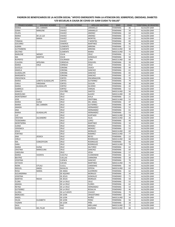| <b>PRIMER NOMBRE</b>              | <b>SEGUNDO NOMBRE</b>     | <b>APELLIDO PATERNO</b>     | <b>APELLIDO MATERNO</b>        | <b>SEXO</b>                  | <b>EDAD</b> | <b>TERRITORIAL DE REGISTRO</b> |
|-----------------------------------|---------------------------|-----------------------------|--------------------------------|------------------------------|-------------|--------------------------------|
| <b>MARIA</b>                      | <b>DEL CARMEN</b>         | <b>CHAVEZ</b>               | <b>JARAMILLO</b>               | <b>FEMENINA</b>              | 36          | ALCALDÍA GAM                   |
| <b>SONIA</b>                      | MARLENE                   | <b>CHAVEZ</b>               | <b>JARAMILLO</b>               | <b>FEMENINA</b>              | 34          | ALCALDÍA GAM                   |
| <b>FELIPA</b>                     |                           | CHAVEZ                      | <b>JIMENEZ</b>                 | <b>FEMENINA</b>              | 64          | ALCALDÍA GAM                   |
| <b>MARIA</b>                      | DE LA LUZ                 | CHAVEZ                      | JIMENEZ                        | <b>FEMENINA</b>              | 57          | ALCALDÍA GAM                   |
| <b>ROSA</b>                       | <b>MARIA</b>              | CHAVEZ                      | <b>MONTIEL</b>                 | <b>FEMENINA</b>              | 65          | ALCALDÍA GAM                   |
| <b>TOMASA</b>                     |                           | CHAVEZ                      | Y MONTIEL                      | <b>FEMENINA</b>              | 83          | ALCALDÍA GAM                   |
| SOCORRO                           |                           | <b>CISNEROS</b>             | MARTINEZ                       | <b>FEMENINA</b>              | 46          | ALCALDÍA GAM                   |
| <b>ALBINA</b><br><b>GUTEMBERG</b> |                           | CLEMENTE<br><b>CLEMENTE</b> | <b>ARRONA</b><br><b>ARRONA</b> | <b>FEMENINA</b><br>MASCULINO | 51<br>38    | ALCALDÍA GAM<br>ALCALDÍA GAM   |
| <b>DELFINO</b>                    |                           | <b>CLEMENTE</b>             | <b>MARIA</b>                   | MASCULINO                    | 73          | ALCALDÍA GAM                   |
| MARLENE                           | WENDY                     | <b>COLIN</b>                | CRUZ                           | <b>FEMENINA</b>              | 31          | ALCALDÍA GAM                   |
| MA                                | <b>MARTHA</b>             | <b>COLIN</b>                | GONZALEZ                       | <b>FEMENINA</b>              | 58          | ALCALDÍA GAM                   |
| <b>RUPERTO</b>                    |                           | <b>COLORADO</b>             | LUNA                           | MASCULINO                    | 60          | ALCALDÍA GAM                   |
| <b>CLAUDIA</b>                    | <b>APOLINIA</b>           | CORDOVA                     | <b>ESQUIVEL</b>                | FEMENINA                     | 39          | ALCALDÍA GAM                   |
| <b>MARIA</b>                      | CRUZ                      | CORNEJO                     | CRUZ                           | <b>FEMENINA</b>              | 61          | ALCALDÍA GAM                   |
| <b>GUICELA</b>                    |                           | CORONA                      | CAJICA                         | <b>FEMENINA</b>              | 49          | ALCALDÍA GAM                   |
| ANGELA                            |                           | CORONA                      | SANCHEZ                        | <b>FEMENINA</b>              | 61          | ALCALDÍA GAM                   |
| <b>GUADALUPE</b>                  |                           | CORONA                      | SANCHEZ                        | <b>FEMENINA</b>              | 65          | ALCALDÍA GAM                   |
| <b>MARGARITA</b>                  |                           | CORONA                      | SANCHEZ                        | <b>FEMENINA</b>              | 47          | ALCALDÍA GAM                   |
| CRESCENCIA                        |                           | <b>CORTES</b>               | ENCARNACION                    | <b>FEMENINA</b>              | 70          | ALCALDÍA GAM                   |
| <b>MARIA</b>                      | LORETO GUADALUPE          | <b>CORTES</b>               | <b>GUTIERREZ</b>               | <b>FEMENINA</b>              | 79          | ALCALDÍA GAM                   |
| CARLA                             | <b>VIRIDIANA</b>          | <b>CORTES</b>               | <b>OLGUIN</b>                  | <b>FEMENINA</b>              | 38          | ALCALDÍA GAM                   |
| <b>MARIA</b>                      | <b>GUADALUPE</b>          | <b>CORTEZ</b>               | <b>SILVERIO</b>                | <b>FEMENINA</b>              | 42          | ALCALDÍA GAM                   |
| <b>GABRIELA</b>                   |                           | CORTEZ                      | VARGAS                         | FEMENINA                     | 52          | ALCALDÍA GAM                   |
| <b>IGNACIO</b>                    |                           | COUTIÑO                     | SANTOS                         | MASCULINO                    | 56          | ALCALDÍA GAM                   |
| <b>MARCELINO</b>                  |                           | CRUZ                        | <b>ALAVEZ</b>                  | MASCULINO                    | 39          | ALCALDÍA GAM                   |
| <b>MONTSERRAT</b>                 |                           | CRUZ                        | <b>AVILA</b>                   | <b>FEMENINA</b>              | 21          | ALCALDÍA GAM                   |
| JOSE<br><b>MARIA</b>              | LUIS<br><b>ELENA</b>      | CRUZ<br>CRUZ                | CRISTOBAL<br><b>DEL ANGEL</b>  | MASCULINO                    | 52<br>47    | ALCALDÍA GAM<br>ALCALDÍA GAM   |
| <b>MARIA</b>                      | DEL CARMEN                | CRUZ                        | <b>GUTIERREZ</b>               | FEMENINA<br><b>FEMENINA</b>  | 49          | ALCALDÍA GAM                   |
| AMADA                             |                           | CRUZ                        | HERNANDEZ                      | <b>FEMENINA</b>              | 52          | ALCALDÍA GAM                   |
| ANA                               |                           | CRUZ                        | HERNANDEZ                      | <b>FEMENINA</b>              | 61          | ALCALDÍA GAM                   |
| <b>MARIA</b>                      | <b>GUADALUPE</b>          | CRUZ                        | HERNANDEZ                      | <b>FEMENINA</b>              | 53          | ALCALDÍA GAM                   |
| LUZ                               |                           | CRUZ                        | <b>HURTADO</b>                 | MASCULINO                    | 78          | ALCALDÍA GAM                   |
| CRISTIAN                          | ALEJANDRO                 | CRUZ                        | <b>ISLAS</b>                   | MASCULINO                    | 26          | ALCALDÍA GAM                   |
| <b>TEODOMIRA</b>                  |                           | CRUZ                        | LOPEZ                          | FEMENINA                     | 49          | ALCALDÍA GAM                   |
| <b>MONTSERRA</b>                  |                           | CRUZ                        | MARTINEZ                       | <b>FEMENINA</b>              | 16          | ALCALDÍA GAM                   |
| <b>JUANA</b>                      |                           | CRUZ                        | MENDEZ                         | <b>FEMENINA</b>              | 55          | ALCALDÍA GAM                   |
| <b>VERONICA</b>                   |                           | CRUZ                        | MENDEZ                         | FEMENINA                     | 53          | ALCALDÍA GAM                   |
| <b>JESUS</b>                      |                           | CRUZ                        | <b>MORALES</b>                 | MASCULINO                    | 69          | ALCALDÍA GAM                   |
| <b>FORTINO</b>                    |                           | CRUZ                        | RAMIREZ                        | MASCULINO                    | 77          | ALCALDÍA GAM                   |
| ANA                               | <b>JESSICA</b>            | CRUZ                        | <b>REYES</b>                   | <b>FEMENINA</b>              | 22          | ALCALDÍA GAM                   |
| <b>CIRILO</b>                     |                           | CRUZ                        | <b>RODRIGUEZ</b>               | MASCULINO                    | 68          | ALCALDÍA GAM                   |
| MA.                               | CONCEPCION                | CRUZ                        | <b>RODRIGUEZ</b>               | <b>FEMENINA</b>              | 66          | ALCALDÍA GAM                   |
| SARA<br><b>MARIA</b>              |                           | CRUZ<br>CRUZ                | <b>RODRIGUEZ</b>               | MASCULINO<br><b>FEMENINA</b> | 79<br>62    | ALCALDÍA GAM                   |
| CRISTINA                          | <b>ELENA</b><br>MARCELINA | CRUZ                        | SALTORIO<br>SANCHEZ            | <b>FEMENINA</b>              | 69          | ALCALDÍA GAM<br>ALCALDÍA GAM   |
| <b>CAROLINA</b>                   |                           | CRUZ                        | VEGA                           | <b>FEMENINA</b>              | 57          | ALCALDÍA GAM                   |
| MARIA                             | <b>VICENTA</b>            | <b>CUAUTLE</b>              | CUANENEMI                      | <b>FEMENINA</b>              | 61          | ALCALDÍA GAM                   |
| <b>BEATRIZ</b>                    |                           | <b>CUELLAS</b>              | CARMONA                        | FEMENINA                     | 28          | ALCALDÍA GAM                   |
| <b>JOSEFINA</b>                   |                           | <b>CUENCA</b>               | SANCHEZ                        | FEMENINA                     | 76          | ALCALDÍA GAM                   |
| <b>OCTAVIO</b>                    |                           | <b>CUEVAS</b>               | MARTINEZ                       | MASCULINO                    | 74          | ALCALDÍA GAM                   |
| <b>NORA</b>                       | <b>CITLALI</b>            | <b>CULELL</b>               | CARDENAS                       | FEMENINA                     | 50          | ALCALDÍA GAM                   |
| <b>MIGUEL</b>                     | ANGEL                     | <b>DAVALOS</b>              | ZEPEDA                         | MASCULINO                    | 63          | ALCALDÍA GAM                   |
| <b>ROSA</b>                       | MARIA                     | DE ANDA                     | <b>GUERRERO</b>                | <b>FEMENINA</b>              | 62          | ALCALDÍA GAM                   |
| ALEJANDRINA                       |                           | DE AQUINO                   | <b>MORALES</b>                 | <b>FEMENINA</b>              | 34          | ALCALDÍA GAM                   |
| <b>JOSEFINA</b>                   |                           | DE JESUS                    | GONZALEZ                       | <b>FEMENINO</b>              | 71          | ALCALDÍA GAM                   |
| <b>MARTHA</b>                     | <b>ROCIO</b>              | DE JESUS                    | <b>MORALES</b>                 | <b>FEMENINA</b>              | 59          | ALCALDÍA GAM                   |
| <b>FLORA</b>                      |                           | DE LA CRUZ                  | CRUZ                           | <b>FEMENINA</b>              | 55          | ALCALDÍA GAM                   |
| <b>AMADA</b>                      |                           | DE LA CRUZ                  | <b>FLORES</b>                  | <b>FEMENINA</b>              | 62          | ALCALDÍA GAM                   |
| REYNA                             |                           | DE LA CRUZ                  | HERNANDEZ                      | <b>FEMENINA</b>              | 54          | ALCALDÍA GAM                   |
| <b>GUTIERREZ</b>                  |                           | DE LA CRUZ                  | ROSALVA                        | <b>FEMENINO</b>              | 46          | ALCALDÍA GAM                   |
| <b>GLORIA</b><br><b>MERCEDES</b>  |                           | DE LA FUENTE                | CHAVEZ                         | <b>FEMENINA</b>              | 79          | ALCALDÍA GAM                   |
| ANGEL                             |                           | DE LEON<br>DE LEON          | <b>CRISOSTOMO</b><br>NUÑEZ     | <b>FEMENINO</b><br>MASCULINO | 56<br>34    | ALCALDÍA GAM<br>ALCALDÍA GAM   |
| <b>HILDA</b>                      | ELIZABETH                 | DE LEON                     | PEREZ                          | FEMENINA                     | 56          | ALCALDÍA GAM                   |
| YAZMIN                            |                           | DE LEON                     | PIÑA                           | FEMENINA                     | 28          | ALCALDÍA GAM                   |
| SAUL                              |                           | <b>DIAZ</b>                 | ARELLANO                       | MASCULINO                    | 72          | ALCALDÍA GAM                   |
| <b>MARIA</b>                      | <b>DEL PILAR</b>          | <b>DIAZ</b>                 | GUZMAN                         | MASCULINO                    | 68          | ALCALDÍA GAM                   |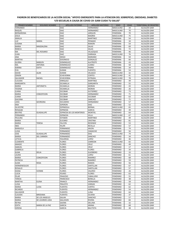| <b>PRIMER NOMBRE</b> | <b>SEGUNDO NOMBRE</b>                 | <b>APELLIDO PATERNO</b>  | <b>APELLIDO MATERNO</b> | <b>SEXO</b>                  | <b>EDAD</b> | <b>TERRITORIAL DE REGISTRO</b> |
|----------------------|---------------------------------------|--------------------------|-------------------------|------------------------------|-------------|--------------------------------|
| FERNANDO             |                                       | <b>DIAZ</b>              | HERNANDEZ               | MASCULINO                    | 34          | ALCALDÍA GAM                   |
| RAQUEL               |                                       | <b>DIAZ</b>              | HERNANDEZ               | MASCULINO                    | 70          | ALCALDÍA GAM                   |
| <b>BERNARDINA</b>    |                                       | <b>DIAZ</b>              | <b>JARQUIN</b>          | FEMENINA                     | 70          | ALCALDÍA GAM                   |
| <b>JESUS</b>         |                                       | <b>DIAZ</b>              | <b>MADRID</b>           | MASCULINO                    | 75          | ALCALDÍA GAM                   |
| AMALIA               |                                       | <b>DIAZ</b>              | <b>MARTINEZ</b>         | <b>FEMENINA</b>              | 54          | ALCALDÍA GAM                   |
| LUZ                  | <b>MARIA</b>                          | <b>DIAZ</b>              | PEINADO                 | <b>FEMENINA</b>              | 34          | ALCALDÍA GAM                   |
| SUSANA               |                                       | <b>DIAZ</b>              | RAMON                   | <b>FEMENINA</b>              | 54          | ALCALDÍA GAM                   |
| <b>MARIA</b>         | MAGDALENA                             | <b>DIAZ</b>              | SALAS                   | <b>FEMENINA</b>              | 69          | ALCALDÍA GAM                   |
| <b>REBECA</b>        |                                       | <b>DIAZ</b>              | <b>SALAS</b>            | <b>FEMENINA</b>              | 72          | ALCALDÍA GAM                   |
| MA                   | DEL ROSARIO                           | <b>DIAZ</b>              | VELAZQUEZ               | <b>FEMENINA</b>              | 46          | ALCALDÍA GAM                   |
| <b>JUAN</b>          |                                       | <b>DIAZ</b>              | ZARRAGA                 | MASCULINO                    | 76          | ALCALDÍA GAM                   |
| ANA                  |                                       | <b>DIEGO</b>             | <b>MARIANO</b>          | <b>FEMENINA</b>              | 59          | ALCALDÍA GAM                   |
| <b>MARTHA</b>        |                                       | <b>DOIONICIO</b>         | GONSALEZ                | <b>FEMENINA</b>              | 66          | ALCALDÍA GAM                   |
| <b>GLORIA</b>        | <b>MARLEN</b>                         | <b>DOMINGUEZ</b>         | ALATRISTE               | <b>FEMENINA</b>              | 43          | ALCALDÍA GAM                   |
| MA.                  | <b>ANTONIA</b>                        | <b>DOMINGUEZ</b>         | <b>JUAREZ</b>           | <b>FEMENINA</b>              | 58          | ALCALDÍA GAM                   |
| KARINA               | <b>EDITH</b>                          | <b>DOMINGUEZ</b>         | PARRA                   | <b>FEMENINA</b>              | 34          | ALCALDÍA GAM                   |
| <b>EVA</b>           |                                       | DURAN                    | <b>FUENTES</b>          | <b>FEMENINA</b>              | 54          | ALCALDÍA GAM                   |
| <b>DAVID</b>         | <b>ALAN</b>                           | <b>DURAN</b>             | VELASCO                 | MASCULINO                    | 32          | ALCALDÍA GAM                   |
| ZENON                |                                       | ECHEVERRIA               | <b>CORTES</b>           | MASCULINO                    | 41          | ALCALDÍA GAM                   |
| SALVADOR             | RAFAEL                                | <b>ECHEVERRIA</b>        | <b>ESTRADA</b>          | MASCULINO                    | 78          | ALCALDÍA GAM                   |
| <b>CLAUDIA</b>       |                                       | <b>ENRIQUEZ</b>          | MARTINEZ                | <b>FEMENINO</b>              | 49          | ALCALDÍA GAM                   |
| <b>MARGARITA</b>     |                                       | <b>ESCAMILLA</b>         | GARGARITA               | <b>FEMENINO</b>              | 55          | ALCALDÍA GAM                   |
| <b>MARIA</b>         | <b>ANTONIETA</b>                      | <b>ESCAMILLA</b>         | <b>MORAN</b>            | <b>FEMENINO</b>              | 43          | ALCALDÍA GAM                   |
| YESENIA              |                                       | <b>ESCAMILLA</b>         | <b>MORAN</b>            | <b>FEMENINO</b>              | 26          | ALCALDÍA GAM                   |
| <b>JUANA</b>         |                                       | <b>ESCOBAR</b>           | <b>GUTIERREZ</b>        | <b>FEMENINO</b>              | 73          | ALCALDÍA GAM                   |
| <b>MARIA</b>         | CONCEPCION                            | <b>ESCOBAR</b>           | HERNANDEZ               | <b>FEMENINO</b>              | 71          | ALCALDÍA GAM                   |
| <b>JUANA</b>         |                                       | <b>ESCOBAR</b>           | <b>ESCOBAR</b>          | <b>FEMENINO</b>              | 63          | ALCALDÍA GAM                   |
| <b>GALDINA</b>       |                                       | <b>ESCOBAR</b>           | SANCHEZ                 | <b>FEMENINO</b>              | 71          | ALCALDÍA GAM                   |
| LIDIA                | <b>GEORGINA</b>                       | <b>ESCUDERO</b>          | HERNANDEZ               | <b>FEMENINO</b>              | 57          | ALCALDÍA GAM                   |
| ANA                  |                                       | ESPERON                  | <b>DIAZ</b>             | <b>FEMENINO</b>              | 52          | ALCALDÍA GAM                   |
| <b>SILVESTRE</b>     |                                       | <b>ESPINDOLA</b>         | <b>BERNAL</b>           | <b>MASCULINO</b>             | 65          | ALCALDÍA GAM                   |
| <b>ROSALBA</b>       |                                       | <b>ESPINOSA</b>          | <b>GARCIA</b>           | <b>FEMENINO</b>              | 39          | ALCALDÍA GAM                   |
| <b>BEATRIZ</b>       | <b>GUADALUPE</b>                      | ESPINOSA DE LOS MONTEROS | <b>MONTIEL</b>          | <b>FEMENINO</b>              | 64          | ALCALDÍA GAM                   |
| <b>FERNANDO</b>      |                                       | <b>ESPINOZA</b>          | VILLA                   | MASCULINO                    | 67          | ALCALDÍA GAM                   |
| <b>PAULINA</b>       |                                       | <b>ESTEBAN</b>           | MARTINEZ                | <b>FEMENINO</b>              | 49          | ALCALDÍA GAM                   |
| <b>MARIA</b>         |                                       | <b>EUCARIO</b>           | CRISTINA                | <b>FEMENINO</b>              | 81          | ALCALDÍA GAM                   |
| <b>MARIA</b>         | TERESA                                | <b>FALCON</b>            | RESENDIZ                | <b>FEMENINO</b>              | 53          | ALCALDÍA GAM                   |
| <b>INES</b>          |                                       | <b>FELIPE</b>            | <b>REVILLA</b>          | <b>FEMENINO</b>              | 57<br>74    | ALCALDÍA GAM                   |
| MANUELA<br>LUISA     |                                       | FERNANDEZ                | ARJON                   | <b>FEMENINA</b>              |             | ALCALDÍA GAM                   |
|                      |                                       | FERNANDEZ                | CAMACHO                 | <b>FEMENINO</b>              | 56<br>74    | ALCALDÍA GAM                   |
| JOSE<br><b>MARIA</b> | <b>GUADALUPE</b><br><b>DEL CARMEN</b> | FERNANDEZ<br>FERNANDEZ   | <b>DIAZ</b><br>SANCHEZ  | MASCULINO<br><b>FEMENINO</b> | 34          | ALCALDÍA GAM<br>ALCALDÍA GAM   |
| LETICIA              |                                       | <b>FIGUEROA</b>          | LOPEZ                   | <b>FEMENINO</b>              | 46          | ALCALDÍA GAM                   |
| <b>CLEMENTE</b>      |                                       | <b>FLORES</b>            | CARREON                 | MASCULINO                    | 65          | ALCALDÍA GAM                   |
| <b>AMADO</b>         |                                       | <b>FLORES</b>            | CRUZ                    | <b>FEMENINO</b>              | 49          | ALCALDÍA GAM                   |
| SAMUEL               |                                       | <b>FLORES</b>            | CRUZ                    | <b>FEMENINO</b>              | 17          | ALCALDÍA GAM                   |
| <b>GABRIELA</b>      |                                       | <b>FLORES</b>            | <b>FLORES</b>           | <b>FEMENINO</b>              | 34          | ALCALDÍA GAM                   |
| ALMA                 | DELIA                                 | <b>FLORES</b>            | <b>GUERRERO</b>         | <b>FEMENINO</b>              | 33          | ALCALDÍA GAM                   |
| LAURA                |                                       | <b>FLORES</b>            | LOPEZ                   | <b>FEMENINO</b>              | 61          | ALCALDÍA GAM                   |
| <b>MARIA</b>         | CONCEPCION                            | <b>FLORES</b>            | RAMIREZ                 | <b>FEMENINO</b>              | 68          | ALCALDÍA GAM                   |
| <b>PATRICIA</b>      |                                       | <b>FLORES</b>            | RAMIREZ                 | <b>FEMENINO</b>              | 59          | ALCALDÍA GAM                   |
| ALMA                 | <b>ROSA</b>                           | <b>FLORES</b>            | RAMOS                   | <b>FEMENINO</b>              | 56          | ALCALDÍA GAM                   |
| HERMENEGILDO         |                                       | <b>FLORES</b>            | SANTILLAN               | <b>FEMENINO</b>              | 67          | ALCALDÍA GAM                   |
| <b>ROSALIO</b>       |                                       | <b>FLORES</b>            | SANTILLAN               | FEMENINO                     | 57          | ALCALDÍA GAM                   |
| <b>DIANA</b>         | <b>IVONNE</b>                         | <b>FLORES</b>            | VALERIO                 | <b>FEMENINO</b>              | 26          | ALCALDÍA GAM                   |
| LUCIA                |                                       | <b>FOLRES</b>            | <b>FLORES</b>           | FEMENINO                     | 63          | ALCALDÍA GAM                   |
| PILAR                |                                       | <b>FRAGOSO</b>           | CABALLERO               | <b>FEMENINO</b>              | 55          | ALCALDÍA GAM                   |
| <b>TERESA</b>        |                                       | FRANCISCO                | <b>BONILLA</b>          | <b>FEMENINO</b>              | 38          | ALCALDÍA GAM                   |
| <b>MARTHA</b>        | ELENA                                 | FRANCO                   | HERNANDEZ               | <b>FEMENINO</b>              | 58          | ALCALDÍA GAM                   |
| LUISA                |                                       | <b>FRAUSTO</b>           | VARGAS                  | <b>FEMENINO</b>              | 62          | ALCALDÍA GAM                   |
| <b>MARIA</b>         | LUISA                                 | <b>FUENTES</b>           | <b>CORTES</b>           | <b>FEMENINO</b>              | 62          | ALCALDÍA GAM                   |
| <b>RICARDO</b>       |                                       | <b>FUENTES</b>           | HERNANDEZ               | <b>FEMENINO</b>              | 54          | ALCALDÍA GAM                   |
| SALVADOR             |                                       | <b>FUENTES</b>           | LUNA                    | <b>FEMENINO</b>              | 64          | ALCALDÍA GAM                   |
| <b>CLAUDIA</b>       | <b>BIRIDIANA</b>                      | <b>FUENTES</b>           | OLVERA                  | <b>FEMENINO</b>              | 37          | ALCALDÍA GAM                   |
| <b>MARIA</b>         | DE LOS ANGELES                        | GALAN                    | SANCHEZ                 | <b>FEMENINO</b>              | 57          | ALCALDÍA GAM                   |
| <b>MARIA</b>         | DE LOURDES LIDIA                      | <b>GALLEGOS</b>          | <b>RIVERA</b>           | <b>FEMENINO</b>              | 84          | ALCALDÍA GAM                   |
| REYNA                |                                       | GAONA                    | DELUNA                  | FEMENINA                     | 32          | ALCALDÍA GAM                   |
| <b>EDITH</b>         | MARIA DE LA PAZ                       | <b>GARCIA</b>            | ARANA                   | <b>FEMENINO</b>              | 68          | ALCALDÍA GAM                   |
| <b>SERENA</b>        |                                       | GARCIA                   | <b>BAUTISTA</b>         | FEMENINO                     | 38          | ALCALDÍA GAM                   |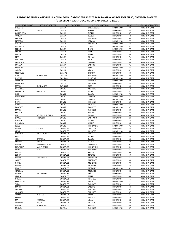| PRIMER NOMBRE                 | <b>SEGUNDO NOMBRE</b>  | <b>APELLIDO PATERNO</b>        | APELLIDO MATERNO               | <b>SEXO</b>                        | <b>EDAD</b> | <b>TERRITORIAL DE REGISTRO</b> |
|-------------------------------|------------------------|--------------------------------|--------------------------------|------------------------------------|-------------|--------------------------------|
| <b>OLIVERIO</b>               |                        | <b>GARCIA</b>                  | CASARRUBIAS                    | MASCULINO                          | 77          | ALCALDÍA GAM                   |
| <b>ROSA</b>                   | <b>MARIA</b>           | <b>GARCIA</b>                  | FABELA                         | <b>FEMENINO</b>                    | 62          | ALCALDÍA GAM                   |
| CANDELARIA                    |                        | <b>GARCIA</b>                  | <b>FLORES</b>                  | <b>FEMENINO</b>                    | 67          | ALCALDÍA GAM                   |
| <b>AURORA</b>                 |                        | <b>GARCIA</b>                  | <b>GARCIA</b>                  | <b>FEMENINO</b>                    | 58          | ALCALDÍA GAM                   |
| <b>BERTHA</b>                 |                        | <b>GARCIA</b>                  | HERNANDEZ                      | <b>FEMENINO</b>                    | 63          | ALCALDÍA GAM                   |
| <b>RICARDO</b>                |                        | <b>GARCIA</b>                  | LOZADA                         | MASCULINO                          | 77          | ALCALDÍA GAM                   |
| <b>OSCAR</b>                  |                        | <b>GARCIA</b>                  | MARTINEZ                       | <b>MASCULINO</b>                   | 44          | ALCALDÍA GAM                   |
| MANUELA                       |                        | <b>GARCIA</b>                  | <b>OLIVA</b>                   | <b>MASCULINO</b>                   | 57          | ALCALDÍA GAM                   |
| PEDRO                         |                        | <b>GARCIA</b>                  | ORTIZ                          | MASCULINO                          | 77          | ALCALDÍA GAM                   |
| <b>BENITA</b>                 |                        | <b>GARCIA</b>                  | PEREZ                          | <b>FEMENINO</b>                    | 64          | ALCALDÍA GAM                   |
| LAURA                         |                        | <b>GARCIA</b>                  | PEREZ                          | <b>FEMENINO</b>                    | 36<br>71    | ALCALDÍA GAM<br>ALCALDÍA GAM   |
| <b>RITA</b>                   |                        | <b>GARCIA</b>                  | <b>RUELAS</b>                  | <b>FEMENINO</b>                    |             |                                |
| <b>DOLORES</b><br>CAROLINA    |                        | <b>GARCIA</b><br><b>GARCIA</b> | <b>RUIZ</b><br>SALAZAR         | <b>FEMENINO</b><br><b>FEMENINO</b> | 80<br>59    | ALCALDÍA GAM<br>ALCALDÍA GAM   |
| <b>ROSALIA</b>                |                        | <b>GARCIA</b>                  | <b>SANTOS</b>                  | <b>FEMENINO</b>                    | 71          | ALCALDÍA GAM                   |
| <b>ROGELIO</b>                |                        | <b>GARCIA</b>                  | TREJO                          | MASCULINO                          | 65          | ALCALDÍA GAM                   |
| YADIRA                        |                        | <b>GARCIA</b>                  | VEGA                           | <b>FEMENINO</b>                    | 42          | ALCALDÍA GAM                   |
| <b>CLEOTILDE</b>              |                        | <b>GARFIAS</b>                 | CASTRO                         | <b>FEMENINO</b>                    | 63          | ALCALDÍA GAM                   |
| JOSE                          | <b>GUADALUPE</b>       | <b>GARFIAS</b>                 | HERNANDEZ                      | MASCULINO                          | 66          | ALCALDÍA GAM                   |
| <b>HECTOR</b>                 |                        | <b>GARNICA</b>                 | ORNELAS                        | MASCULINO                          | 55          | ALCALDÍA GAM                   |
| <b>ALBERTO</b>                |                        | <b>GARNICA</b>                 | RAMIREZ                        | <b>MASCULINO</b>                   | 87          | ALCALDÍA GAM                   |
| ANGELINA                      |                        | GARZA                          | MAGAÑA                         | <b>FEMENINO</b>                    | 54          | ALCALDÍA GAM                   |
| MARIA                         | <b>GUADALUPE</b>       | GAYOSSO                        | <b>RIOS</b>                    | <b>FEMENINO</b>                    | 39          | ALCALDÍA GAM                   |
| CATARINA                      |                        | GOMEZ                          | <b>APARICIO</b>                | <b>FEMENINO</b>                    | 58          | ALCALDÍA GAM                   |
| VERONICA                      | <b>GRACIELA</b>        | GOMEZ                          | <b>FLORES</b>                  | <b>FEMENINO</b>                    | 37          | ALCALDÍA GAM                   |
| LUIS                          |                        | GOMEZ                          | <b>GARCIA</b>                  | MASCULINO                          | 75          | ALCALDÍA GAM                   |
| <b>FRANCISCO</b>              |                        | GOMEZ                          | <b>GUILLEN</b>                 | MASCULINO                          | 71          | ALCALDÍA GAM                   |
| JAVIER                        |                        | GOMEZ                          | <b>GUILLEN</b>                 | MASCULINO                          | 62          | ALCALDÍA GAM                   |
| <b>OSIRIS</b>                 |                        | GOMEZ                          | HERRERA                        | <b>FEMENINO</b>                    | 23          | ALCALDÍA GAM                   |
| <b>JUAN</b>                   |                        | GOMEZ                          | <b>MONTIEL</b>                 | MASCULINO                          | 71          | ALCALDÍA GAM                   |
| <b>ROBERTO</b>                | <b>IVAN</b>            | GOMEZ                          | PACHECO                        | MASCULINO                          | 37          | ALCALDÍA GAM                   |
| <b>MARIA</b>                  |                        | GOMEZ                          | RAMIREZ                        | <b>FEMENINO</b>                    | 69          | ALCALDÍA GAM                   |
| <b>BEATRIZ</b>                |                        | GOMEZ                          | <b>ROMO</b>                    | <b>FEMENINO</b>                    | 62          | ALCALDÍA GAM                   |
| MA.                           | DEL ROCIO SUSANA       | GOMEZ                          | <b>ROMO</b>                    | <b>FEMENINO</b>                    | 64          | ALCALDÍA GAM                   |
| <b>DIANA</b>                  | ELIZABETH              | GOMEZ                          | SANTIAGO                       | <b>FEMENINO</b>                    | 24          | ALCALDÍA GAM                   |
| LUCERITO                      |                        | GOMEZ                          | URIETA                         | <b>FEMENINO</b>                    | 32          | ALCALDÍA GAM                   |
| HERMINIA                      |                        | GOMEZ                          | <b>GUILLEN</b>                 | <b>FEMENINO</b>                    | 56          | ALCALDÍA GAM                   |
| <b>JESUS</b>                  |                        | GOMEZ                          | HERNANDEZ                      | MASCULINO                          | 71          | ALCALDÍA GAM                   |
| <b>MARIA</b>                  | <b>CECILIA</b>         | GONZALEZ                       | CABRERA                        | <b>FEMENINO</b>                    | 44          | ALCALDÍA GAM                   |
| <b>CESAR</b>                  |                        | GONZALEZ                       | CORDERO                        | MASCULINO                          | 64          | ALCALDÍA GAM                   |
| <b>GOVINDA</b>                | <b>NARDA KUNTY</b>     | GONZALEZ                       | CRUZ                           | <b>FEMENINO</b>                    | 36          | ALCALDÍA GAM                   |
| RAFAELA                       |                        | GONZALEZ                       | <b>FLORES</b>                  | <b>FEMENINO</b>                    | 85          | ALCALDÍA GAM                   |
| ANA                           | GABRIELA<br>LIZBETH    | GONZALEZ<br>GONZALEZ           | <b>GARCIA</b><br><b>GARCIA</b> | <b>FEMENINO</b>                    | 35          | ALCALDÍA GAM                   |
| <b>BRENDA</b><br><b>MARIA</b> | <b>ISADORA BEATRIZ</b> | GONZALEZ                       | GONZALEZ                       | <b>FEMENINO</b><br><b>FEMENINO</b> | 28<br>61    | ALCALDÍA GAM<br>ALCALDÍA GAM   |
| ELEUTERIA                     | MARIA ISABEL           | GONZALEZ                       | HERNANDEZ                      | <b>FEMENINO</b>                    | 61          | ALCALDÍA GAM                   |
| PETRA                         | <b>ROSA</b>            | GONZALEZ                       | HERNANDEZ                      | <b>FEMENINO</b>                    | 61          | ALCALDÍA GAM                   |
| AMELIA                        |                        | GONZALEZ                       | <b>JIMENES</b>                 | <b>FEMENINO</b>                    | 65          | ALCALDÍA GAM                   |
| LETICIA                       |                        | GONZALEZ                       | JIMENEZ                        | <b>FEMENINO</b>                    | 59          | ALCALDÍA GAM                   |
| <b>MARIA</b>                  | MARGARITA              | GONZALEZ                       | MARTINEZ                       | <b>FEMENINO</b>                    | 71          | ALCALDÍA GAM                   |
| YANET                         |                        | GONZALEZ                       | MARTINEZ                       | <b>FEMENINO</b>                    | 39          | ALCALDÍA GAM                   |
| <b>GLORIA</b>                 |                        | GONZALEZ                       | MENDOZA                        | <b>FEMENINO</b>                    | 79          | ALCALDÍA GAM                   |
| MANUELA                       |                        | GONZALEZ                       | <b>MORALES</b>                 | <b>FEMENINO</b>                    | 73          | ALCALDÍA GAM                   |
| <b>MIGUEL</b>                 |                        | GONZALEZ                       | <b>MORALES</b>                 | MASCULINO                          | 62          | ALCALDÍA GAM                   |
| <b>VIRGINIA</b>               |                        | GONZALEZ                       | <b>MORALES</b>                 | <b>FEMENINO</b>                    | 62          | ALCALDÍA GAM                   |
| <b>MARIA</b>                  | <b>DEL CARMEN</b>      | GONZALEZ                       | PEÑA                           | <b>FEMENINO</b>                    | 71          | ALCALDÍA GAM                   |
| <b>CECILIA</b>                |                        | GONZALEZ                       | PEREZ                          | <b>FEMENINO</b>                    | 43          | ALCALDÍA GAM                   |
| <b>OLIVIA</b>                 |                        | GONZALEZ                       | <b>PORTILLO</b>                | <b>FEMENINO</b>                    | 56          | ALCALDÍA GAM                   |
| FERNANDO                      |                        | <b>GONZALEZ</b>                | PRADO                          | MASCULINO                          | 71          | ALCALDÍA GAM                   |
| SARA                          |                        | GONZALEZ                       | RAMIREZ                        | <b>FEMENINO</b>                    | 52          | ALCALDÍA GAM                   |
| <b>MARIA</b>                  | <b>FELIX</b>           | GONZALEZ                       | SALOME                         | <b>FEMENINO</b>                    | 64          | ALCALDÍA GAM                   |
| CARMEN                        |                        | GONZALEZ                       | SANCHEZ                        | <b>FEMENINO</b>                    | 62          | ALCALDÍA GAM                   |
| YOLANDA                       |                        | GONZALEZ                       | SANCHEZ                        | <b>FEMENINO</b>                    | 67          | ALCALDÍA GAM                   |
| <b>TERESA</b>                 | DE JESUS               | GONZALEZ                       | <b>TAPIA</b>                   | <b>FEMENINO</b>                    | 35          | ALCALDÍA GAM                   |
| EVELYN                        |                        | GONZALEZ                       | <b>TAVERA</b>                  | <b>FEMENINO</b>                    | 26          | ALCALDÍA GAM                   |
| МA                            | LUCRECIA               | GONZALEZ                       | VILLA                          | <b>FEMENINO</b>                    | 68          | ALCALDÍA GAM                   |
| ADRIANA                       | PAOLA                  | GONZALEZ                       | VILLEGAS                       | <b>FEMENINO</b>                    | 29          | ALCALDÍA GAM                   |
| <b>MARIA</b>                  | <b>GUADALUPE</b>       | GONZALEZ                       | ZAVALA                         | <b>FEMENINO</b>                    | 48          | ALCALDÍA GAM                   |
| MIGUEL                        |                        | <b>GOVELA</b>                  | RAMIREZ                        | MASCULINO                          | 67          | ALCALDÍA GAM                   |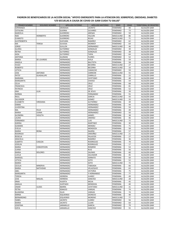| <b>PRIMER NOMBRE</b>           | <b>SEGUNDO NOMBRE</b> | <b>APELLIDO PATERNO</b> | APELLIDO MATERNO              | <b>SEXO</b>                        | <b>EDAD</b> | <b>TERRITORIAL DE REGISTRO</b> |
|--------------------------------|-----------------------|-------------------------|-------------------------------|------------------------------------|-------------|--------------------------------|
| ESPERANZA                      |                       | <b>GRANADA</b>          | <b>JACINTO</b>                | <b>FEMENINO</b>                    | 40          | ALCALDÍA GAM                   |
| CATALINA                       |                       | <b>GUERRA</b>           | <b>OLIVARES</b>               | <b>FEMENINO</b>                    | 73          | ALCALDÍA GAM                   |
| MARCELA                        |                       | <b>GUERRERO</b>         | ARENAS                        | <b>FEMENINO</b>                    | 59          | ALCALDÍA GAM                   |
| NOE                            | <b>HERIBERTO</b>      | <b>GUERRERO</b>         | <b>FALCON</b>                 | MASCULINO                          | 86          | ALCALDÍA GAM                   |
| <b>EVARISTO</b>                |                       | <b>GUERRERO</b>         | <b>ROJAS</b>                  | MASCULINO                          | 71          | ALCALDÍA GAM                   |
| <b>AUSTREBERTA</b>             |                       | <b>GUEVARA</b>          | RAMIREZ                       | <b>FEMENINO</b>                    | 62          | ALCALDÍA GAM                   |
| MA                             | TERESA                | <b>GUIJOSA</b>          | <b>MONROY</b>                 | <b>FEMENINO</b>                    | 64          | ALCALDÍA GAM                   |
| <b>JORGE</b>                   |                       | <b>GUILLEN</b>          | HERNANDEZ                     | MASCULINO                          | 46          | ALCALDÍA GAM                   |
| <b>GLORIA</b>                  |                       | <b>GUTIERREZ</b>        | GONZALEZ                      | <b>FEMENINO</b>                    | 39          | ALCALDÍA GAM                   |
| <b>REYNA</b>                   |                       | <b>GUTIERREZ</b>        | GONZALEZ                      | <b>FEMENINO</b><br><b>FEMENINO</b> | 38          | ALCALDÍA GAM                   |
| AIDA                           |                       | <b>GUTIERREZ</b>        | <b>TAPIA</b><br><b>FLORES</b> | <b>FEMENINO</b>                    | 64          | ALCALDÍA GAM                   |
| <b>ANTONIA</b>                 |                       | <b>GUZMAN</b>           |                               |                                    | 52          | ALCALDÍA GAM                   |
| MARIA                          | DE LOURDES            | HERNANDEZ               | AVILA<br><b>BAUTISTA</b>      | <b>FEMENINA</b>                    | 59<br>58    | ALCALDÍA GAM                   |
| ANGELA<br><b>HUGO</b>          |                       | HERNANDEZ               | <b>BECERRA</b>                | <b>FEMENINA</b><br>MASCULINO       | 27          | ALCALDÍA GAM<br>ALCALDÍA GAM   |
| <b>ROBERTO</b>                 |                       | HERNANDEZ<br>HERNANDEZ  | <b>BECERRA</b>                | MASCULINO                          | 33          | ALCALDÍA GAM                   |
| LETICIA                        |                       | HERNANDEZ               | CAMACHO                       | <b>FEMENINO</b>                    | 59          | ALCALDÍA GAM                   |
| JOSE                           | <b>ANTONIO</b>        | HERNANDEZ               | CARREON                       | MASCULINO                          | 55          | ALCALDÍA GAM                   |
| <b>PATSY</b>                   | <b>GUADALUPE</b>      | HERNANDEZ               | CARRILLO                      | FEMENINA                           | 22          | ALCALDÍA GAM                   |
| <b>MARIANA</b>                 |                       | HERNANDEZ               | CAYETANO                      | <b>FEMENINA</b>                    | 48          | ALCALDÍA GAM                   |
| MARGARITA                      |                       | HERNANDEZ               | <b>CHAVEZ</b>                 | <b>FEMENINA</b>                    | 54          | ALCALDÍA GAM                   |
| <b>CELIA</b>                   |                       | HERNANDEZ               | CRUZ                          | <b>FEMENINA</b>                    | 68          | ALCALDÍA GAM                   |
| <b>FRANCISCA</b>               |                       | HERNANDEZ               | CRUZ                          | <b>FEMENINA</b>                    | 81          | ALCALDÍA GAM                   |
| <b>PATRICIA</b>                |                       | HERNANDEZ               | CRUZ                          | <b>FEMENINA</b>                    | 52          | ALCALDÍA GAM                   |
| ANA                            | LILIA                 | HERNANDEZ               | DE JESUS                      | <b>FEMENINA</b>                    | 39          | ALCALDÍA GAM                   |
|                                |                       |                         | FERNANDEZ                     |                                    | 55          | ALCALDÍA GAM                   |
| <b>NORMA</b><br>RAUL           |                       | HERNANDEZ<br>HERNANDEZ  | <b>GARCIA</b>                 | <b>FEMENINA</b><br>MASCULINO       | 43          | ALCALDÍA GAM                   |
| SALVADOR                       |                       | HERNANDEZ               | GOMEZ                         | MASCULINO                          | 33          | ALCALDÍA GAM                   |
| ELIZABETH                      | VIRIDIANA             | HERNANDEZ               | <b>GUTIERREZ</b>              | <b>FEMENINA</b>                    | 39          | ALCALDÍA GAM                   |
| <b>EMMA</b>                    |                       |                         | HERNANDEZ                     | <b>FEMENINA</b>                    | 44          | ALCALDÍA GAM                   |
| <b>JUVENTINA</b>               |                       | HERNANDEZ<br>HERNANDEZ  | HERNANDEZ                     | <b>FEMENINA</b>                    | 59          | ALCALDÍA GAM                   |
|                                | <b>FELIX</b>          |                         |                               |                                    | 49          |                                |
| MA.                            | <b>JUANA</b>          | HERNANDEZ               | HERNANDEZ                     | <b>FEMENINA</b><br><b>FEMENINO</b> | 50          | ALCALDÍA GAM                   |
| <b>MARIA</b><br><b>ALONDRA</b> | VIOLETA               | HERNANDEZ<br>HERNANDEZ  | HERNANDEZ<br><b>JAIMES</b>    | <b>FEMENINA</b>                    | 38          | ALCALDÍA GAM<br>ALCALDÍA GAM   |
| LAURA                          |                       | HERNANDEZ               | JIMENEZ                       | <b>FEMENINA</b>                    | 46          | ALCALDÍA GAM                   |
| FERNANDO                       |                       | HERNANDEZ               | <b>LUIS</b>                   | MASCULINO                          | 72          | ALCALDÍA GAM                   |
| <b>KARINA</b>                  |                       | HERNANDEZ               | MARTINEZ                      | <b>FEMENINA</b>                    | 30          | ALCALDÍA GAM                   |
| <b>GUMARA</b>                  |                       | HERNANDEZ               | MENDEZ                        | <b>FEMENINA</b>                    | 71          | ALCALDÍA GAM                   |
| <b>EVELIA</b>                  |                       | HERNANDEZ               | MENDOZA                       | <b>FEMENINA</b>                    | 58          | ALCALDÍA GAM                   |
| <b>MARIA</b>                   | <b>REINA</b>          | HERNANDEZ               | <b>NAJERA</b>                 | FEMENINA                           | 57          | ALCALDÍA GAM                   |
| <b>RODRIGIO</b>                |                       | HERNANDEZ               | ORDOÑEZ                       | MASCULINO                          | 21          | ALCALDÍA GAM                   |
| <b>ROSELIA</b>                 |                       | HERNANDEZ               | <b>PALACIOS</b>               | <b>FEMENINA</b>                    | 27          | ALCALDÍA GAM                   |
| <b>GRACIELA</b>                |                       | HERNANDEZ               | RAMIREZ                       | <b>FEMENINA</b>                    | 36          | ALCALDÍA GAM                   |
| <b>ALBERTA</b>                 | CASILDA               | HERNANDEZ               | <b>RODRIGUEZ</b>              | <b>FEMENINA</b>                    | 70          | ALCALDÍA GAM                   |
| <b>JOSELIN</b>                 |                       | HERNANDEZ               | <b>RODRIGUEZ</b>              | <b>FEMENINA</b>                    | 17          | ALCALDÍA GAM                   |
| <b>MARIA</b>                   | CONCEPCION            | HERNANDEZ               | <b>ROMERO</b>                 | <b>FEMENINA</b>                    | 53          | ALCALDÍA GAM                   |
| <b>JUANA</b>                   |                       | HERNANDEZ               | <b>RUIZ</b>                   | <b>FEMENINA</b>                    | 56          | ALCALDÍA GAM                   |
| MARIA                          | <b>DOLORES</b>        | HERNANDEZ               | SALINAS                       | <b>FEMENINA</b>                    | 60          | ALCALDÍA GAM                   |
| LUCILA                         |                       | <b>HERNANDEZ</b>        | SALVADOR                      | <b>FEMENINA</b>                    | 45          | ALCALDÍA GAM                   |
| MARISOL                        |                       | HERNANDEZ               | <b>SERRATO</b>                | <b>FEMENINA</b>                    | 50          | ALCALDÍA GAM                   |
| LETICIA                        |                       | HERNANDEZ               | SOTO                          | FEMENINA                           | 52          | ALCALDÍA GAM                   |
| <b>MARIO</b>                   |                       | HERNANDEZ               | SOTO                          | MASCULINO                          | 72          | ALCALDÍA GAM                   |
| <b>CECILIA</b>                 | MINERVA               | HERNANDEZ               | <b>TABOADA</b>                | FEMENINA                           | 66          | ALCALDÍA GAM                   |
| <b>MARIA</b>                   | NATIVIDAD             | HERNANDEZ               | VELAZQUEZ                     | <b>FEMENINA</b>                    | 63          | ALCALDÍA GAM                   |
| ABEL                           |                       | HERNANDEZ               | <b>VICTORIA</b>               | FEMENINA                           | 75          | ALCALDÍA GAM                   |
| MARGARITA                      |                       | HERNANDEZ               | Y HERNANDEZ                   | FEMENINA                           | 77          | ALCALDÍA GAM                   |
| <b>TERESA</b>                  |                       | <b>HERRERA</b>          | <b>JUAREZ</b>                 | <b>FEMENINA</b>                    | 49          | ALCALDÍA GAM                   |
| JOSE                           | MIGUEL                | <b>HERRERA</b>          | SANCHEZ                       | MASCULINO                          | 28          | ALCALDÍA GAM                   |
| <b>IRMA</b>                    |                       | <b>HUERTA</b>           | MEJIA                         | FEMENINA                           | 45          | ALCALDÍA GAM                   |
| <b>AMALIA</b>                  |                       | <b>HURTADO</b>          | MENDOZA                       | FEMENINA                           | 40          | ALCALDÍA GAM                   |
| <b>OMAR</b>                    | <b>ULISES</b>         | <b>IBARRA</b>           | CAYETANO                      | MASCULINO                          | 31          | ALCALDÍA GAM                   |
| PETRA                          |                       | <b>IGNACIO</b>          | VARGAS                        | FEMENINA                           | 74          | ALCALDÍA GAM                   |
| <b>BLANDINA</b>                |                       | <b>ISLAS</b>            | VARGAS                        | FEMENINA                           | 74          | ALCALDÍA GAM                   |
| <b>MIRNA</b>                   |                       | <b>ISQUIERDO</b>        | <b>DIONICIO</b>               | FEMENINA                           | 40          | ALCALDÍA GAM                   |
| <b>BERNARDINO</b>              |                       | <b>IZQUIERDO</b>        | <b>MORENO</b>                 | MASCULINO                          | 77          | ALCALDÍA GAM                   |
| <b>ISABEL</b>                  |                       | <b>JACINTO</b>          | <b>JUAREZ</b>                 | <b>FEMENINO</b>                    | 56          | ALCALDÍA GAM                   |
| MARIA                          |                       | <b>JACINTO</b>          | LUJAN                         | <b>FEMENINO</b>                    | 64          | ALCALDÍA GAM                   |
| <b>JOSEFINA</b>                |                       | <b>JARAMILLO</b>        | <b>GARCIA</b>                 | <b>FEMENINO</b>                    | 79          | ALCALDÍA GAM                   |
| SOFIA                          |                       | JARAMILLO               | SANCHEZ                       | <b>FEMENINO</b>                    | 55          | ALCALDÍA GAM                   |
|                                |                       |                         |                               |                                    |             |                                |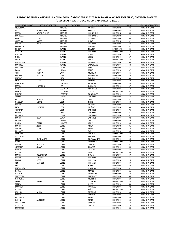| <b>PRIMER NOMBRE</b>            | <b>SEGUNDO NOMBRE</b> | <b>APELLIDO PATERNO</b>        | APELLIDO MATERNO      | <b>SEXO</b>                  | <b>EDAD</b> | <b>TERRITORIAL DE REGISTRO</b> |
|---------------------------------|-----------------------|--------------------------------|-----------------------|------------------------------|-------------|--------------------------------|
| VICTORIANA                      |                       | JIMENEZ                        | <b>AGUILAR</b>        | <b>FEMENINO</b>              | 74          | ALCALDÍA GAM                   |
| МA                              | <b>GUADALUPE</b>      | JIMENEZ                        | <b>ALVARADO</b>       | <b>FEMENINO</b>              | 44          | ALCALDÍA GAM                   |
| <b>MARIA</b>                    | DE JESUS CELIA        | JIMENEZ                        | HERNANDEZ             | <b>FEMENINO</b>              | 65          | ALCALDÍA GAM                   |
| <b>MARICELA</b>                 |                       | JIMENEZ                        | HERNANDEZ             | <b>FEMENINO</b>              | 56          | ALCALDÍA GAM                   |
| ANA                             | ROSA                  | JIMENEZ                        | <b>NAVARRO</b>        | <b>FEMENINA</b>              | 60          | ALCALDÍA GAM                   |
| ANGELICA                        | ARACELI               | JIMENEZ                        | OLIVO                 | <b>FEMENINO</b>              | 32          | ALCALDÍA GAM                   |
| <b>MARTHA</b>                   | VIOLETA               | JIMENEZ                        | <b>ROMERO</b>         | <b>FEMENINA</b>              | 23          | ALCALDÍA GAM                   |
| VERONICA                        |                       | JIMENEZ                        | SALAZAR               | <b>FEMENINA</b>              | 52          | ALCALDÍA GAM                   |
| <b>ROGER</b>                    |                       | <b>JUAREZ</b>                  | CHACON                | MASCULINO                    | 65          | ALCALDÍA GAM                   |
| <b>GILBERTO</b><br>LORENA       |                       | <b>JUAREZ</b><br><b>JUAREZ</b> | HERNANDEZ<br>LOPEZ    | MASCULINO<br><b>FEMENINA</b> | 59<br>41    | ALCALDÍA GAM<br>ALCALDÍA GAM   |
| <b>NOEMI</b>                    |                       | <b>JUAREZ</b>                  | LOPEZ                 | <b>FEMENINA</b>              | 27          | ALCALDÍA GAM                   |
| <b>JESUS</b>                    |                       | <b>JUAREZ</b>                  | MEJIA                 | MASCULINO                    | 52          | ALCALDÍA GAM                   |
| MARGARITA                       |                       | <b>JUAREZ</b>                  | <b>RODRIGUEZ</b>      | FEMENINA                     | 68          | ALCALDÍA GAM                   |
| MARIBEL                         |                       | <b>JUAREZ</b>                  | ZAMORANO              | <b>FEMENINA</b>              | 48          | ALCALDÍA GAM                   |
| ANSELMA                         |                       | LAGOS                          | TREJO                 | <b>FEMENINA</b>              | 41          | ALCALDÍA GAM                   |
| <b>ROSA</b>                     | <b>ELIAS</b>          | LAGOS                          | <b>TREJO</b>          | <b>FEMENINA</b>              | 37          | ALCALDÍA GAM                   |
| ANA                             | <b>BERTHA</b>         | LARA                           | <b>MURILLO</b>        | <b>FEMENINA</b>              | 46          | ALCALDÍA GAM                   |
| <b>ROXANA</b>                   | AYLETH                | LARA                           | <b>RODRIGUEZ</b>      | <b>FEMENINA</b>              | 20          | ALCALDÍA GAM                   |
| MARIBEL                         |                       | LARA                           | <b>TAMAYO</b>         | <b>FEMENINA</b>              | 40          | ALCALDÍA GAM                   |
| <b>RUBI</b>                     | CELIA                 | LARA                           | <b>TAMAYO</b>         | <b>FEMENINA</b>              | 48          | ALCALDÍA GAM                   |
| <b>MERCEDES</b>                 |                       | LAZCANO                        | VAZQUEZ               | <b>FEMENINA</b>              | 56          | ALCALDÍA GAM                   |
| <b>MARIA</b>                    | SOCORRO               | LEAL                           | CANALES               | <b>FEMENINA</b>              | 57          | ALCALDÍA GAM                   |
| <b>ISABEL</b>                   |                       | LECHUGA                        | MARTINEZ              | <b>FEMENINA</b>              | 68          | ALCALDÍA GAM                   |
| <b>ROBERTO</b>                  |                       | LECHUGA                        | OTERO                 | MASCULINO                    | 52          | ALCALDÍA GAM                   |
| <b>FABIOLA</b>                  |                       | LEDEZMA                        | <b>RODRIGUEZ</b>      | FEMENINA                     | 47          | ALCALDÍA GAM                   |
| <b>TERESA</b>                   |                       | LEMUS                          | <b>GUTIERREZ</b>      | <b>FEMENINA</b>              | 63          | ALCALDÍA GAM                   |
| ARACELI                         | <b>JAZMIN</b>         | LEON                           | CANO                  | <b>FEMENINA</b>              | 37          | ALCALDÍA GAM                   |
| GRISELDA                        | <b>IVETTE</b>         | <b>LEON</b>                    | CANO                  | <b>FEMENINA</b>              | 40          | ALCALDÍA GAM                   |
| <b>MARTHA</b>                   |                       | LEON                           | MUÑOZ                 | <b>FEMENINA</b>              | 45          | ALCALDÍA GAM                   |
| RITA                            | <b>ELIZABET</b>       | LEON                           | MUÑOZ                 | <b>FEMENINA</b>              | 43          | ALCALDÍA GAM                   |
| <b>ANTONIA</b>                  |                       | LEON                           | SANCHEZ               | <b>FEMENINA</b>              | 76          | ALCALDÍA GAM                   |
| <b>ELVIRA</b>                   |                       | LEYVA                          | <b>GUTIERREZ</b>      | <b>FEMENINA</b>              | 61          | ALCALDÍA GAM                   |
| <b>ENEDINA</b>                  |                       | LEYVA                          | <b>GUTIERREZ</b>      | <b>FEMENINA</b>              | 52          | ALCALDÍA GAM                   |
| <b>MARIA</b>                    | <b>ROSA</b>           | LEYVA                          | SANCHEZ               | <b>FEMENINA</b>              | 82          | ALCALDÍA GAM                   |
| LEONIDES                        |                       | LICONA                         | GOMEZ                 | <b>FEMENINA</b>              | 59          | ALCALDÍA GAM                   |
| <b>JUANA</b>                    | ISABEL                | LINARES                        | CRUZ                  | <b>FEMENINA</b>              | 44          | ALCALDÍA GAM                   |
| <b>MARIA</b>                    | <b>JESUS</b>          | LOPEZ                          | ABILA                 | <b>FEMENINO</b>              | 81          | ALCALDÍA GAM                   |
| SANDRA                          | LAURA                 | LOPEZ                          | <b>BANIX</b>          | FEMENINA                     | 75          | ALCALDÍA GAM                   |
| ELIZABETH                       |                       | LOPEZ                          | <b>BAXIN</b>          | <b>FEMENINA</b>              | 35          | ALCALDÍA GAM                   |
| <b>APOLONIO</b>                 |                       | LOPEZ                          | <b>BENITEZ</b>        | MASCULINO                    | 48          | ALCALDÍA GAM                   |
| ORQUIDEA                        |                       | LOPEZ                          | <b>BENITEZ</b>        | FEMENINA                     | 45          | ALCALDÍA GAM                   |
| <b>BELEN</b>                    | <b>GUADALUPE</b>      | LOPEZ                          | <b>BUSTAMANTE</b>     | <b>FEMENINA</b>              | 20          | ALCALDÍA GAM                   |
| <b>DELFINO</b>                  |                       | LOPEZ                          | CAMARGO               | MASCULINO                    | 48          | ALCALDÍA GAM                   |
| <b>MARIA</b>                    | <b>AZUCENA</b>        | LOPEZ                          | CEBALLOS              | FEMENINA                     | 41          | ALCALDÍA GAM                   |
| <b>VICTORIA</b>                 | <b>JUANA</b>          | LOPEZ                          | CHAVEZ                | <b>FEMENINA</b>              | 65          | ALCALDÍA GAM                   |
| <b>RAQUEL</b><br><b>NICOLAS</b> |                       | LOPEZ<br>LOPEZ                 | CORONA<br><b>DIAZ</b> | <b>FEMENINA</b><br>MASCULINO | 63<br>50    | ALCALDÍA GAM<br>ALCALDÍA GAM   |
|                                 | DEL CARMEN            | LOPEZ                          | GOMEZ                 | <b>FEMENINA</b>              | 47          | ALCALDÍA GAM                   |
| <b>MARIA</b><br><b>MARIA</b>    | <b>EUGENIA</b>        | LOPEZ                          | HERNANDEZ             | FEMENINA                     | 75          | ALCALDÍA GAM                   |
| <b>ELVIRA</b>                   | LIZETH                | LOPEZ                          | HERRERA               | FEMENINA                     | 25          | ALCALDÍA GAM                   |
| YENI                            | MARISOL               | LOPEZ                          | HERRERA               | FEMENINA                     | 49          | ALCALDÍA GAM                   |
| <b>IRMA</b>                     |                       | LOPEZ                          | <b>JUAREZ</b>         | <b>FEMENINA</b>              | 49          | ALCALDÍA GAM                   |
| MARGARITA                       |                       | LOPEZ                          | LUCIANO               | FEMENINA                     | 51          | ALCALDÍA GAM                   |
| PAOLA                           |                       | LOPEZ                          | MAREZ                 | <b>FEMENINA</b>              | 21          | ALCALDÍA GAM                   |
| <b>NATALIA</b>                  |                       | LOPEZ                          | MARTINEZ              | FEMENINA                     | 46          | ALCALDÍA GAM                   |
| <b>TELESFORA</b>                |                       | LOPEZ                          | <b>MARTINEZ</b>       | FEMENINA                     | 66          | ALCALDÍA GAM                   |
| CAROLINA                        |                       | LOPEZ                          | <b>MORENO</b>         | FEMENINA                     | 28          | ALCALDÍA GAM                   |
| CESAR                           | DANIEL                | LOPEZ                          | ORNELAS               | <b>MASCULINO</b>             | 26          | ALCALDÍA GAM                   |
| <b>TERESA</b>                   |                       | LOPEZ                          | ORTIZ                 | FEMENINA                     | 60          | ALCALDÍA GAM                   |
| <b>FACUNDA</b>                  |                       | LOPEZ                          | PACHECO               | <b>FEMENINA</b>              | 72          | ALCALDÍA GAM                   |
| DANIEL                          |                       | LOPEZ                          | PEÑA                  | MASCULINO                    | 76          | ALCALDÍA GAM                   |
| LORENA                          | <b>ALICIA</b>         | LOPEZ                          | RESENDIZ              | FEMENINA                     | 38          | ALCALDÍA GAM                   |
| YADIRA                          |                       | LOPEZ                          | RESENDIZ              | FEMENINA                     | 39          | ALCALDÍA GAM                   |
| ELIZABETH                       |                       | LOPEZ                          | <b>REYES</b>          | FEMENINA                     | 50          | ALCALDÍA GAM                   |
| <b>KAREN</b>                    | ANGELICA              | LOPEZ                          | <b>REYES</b>          | <b>FEMENINA</b>              | 23          | ALCALDÍA GAM                   |
| ARCANGELA                       |                       | LOPEZ                          | SALAZAR               | FEMENINA                     | 67          | ALCALDÍA GAM                   |
| GRISELDA                        |                       | LOPEZ                          | SANTIZ                | FEMENINA                     | 20          | ALCALDÍA GAM                   |
| <b>MERCEDES</b>                 |                       | LOPEZ                          |                       | <b>FEMENINA</b>              | 66          | ALCALDÍA GAM                   |
|                                 |                       |                                |                       |                              |             |                                |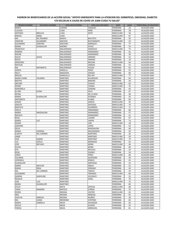| <b>PRIMER NOMBRE</b>             | <b>SEGUNDO NOMBRE</b> | <b>APELLIDO PATERNO</b> | <b>APELLIDO MATERNO</b>  | <b>SEXO</b>                  | <b>EDAD</b> | <b>TERRITORIAL DE REGISTRO</b> |
|----------------------------------|-----------------------|-------------------------|--------------------------|------------------------------|-------------|--------------------------------|
| <b>NANCY</b>                     |                       | LOZANO                  | VAZQUEZ                  | <b>FEMENINA</b>              | 23          | ALCALDÍA GAM                   |
| <b>CLAUDIA</b>                   |                       | LUNA                    | PEÑA                     | <b>FEMENINA</b>              | 28          | ALCALDÍA GAM                   |
| <b>ANTONIO</b>                   | <b>BRAULIO</b>        | LUNA                    | SOTO                     | MASCULINO                    | 36          | ALCALDÍA GAM                   |
| <b>MIGUEL</b>                    | ANGEL                 | LUNA                    |                          | MASCULINO                    | 67          | ALCALDÍA GAM                   |
| MA.                              | <b>DEL ROSARIO</b>    | MAAYA                   | <b>BAUTISTA</b>          | FEMENINA                     | 50          | ALCALDÍA GAM                   |
| <b>JONATAN</b>                   | ALEJANDRO             | MACEDO                  | <b>BUSTAMANTE</b>        | MASCULINO                    | 23          | ALCALDÍA GAM                   |
| ALEJANDRA                        | <b>JOSEFINA</b>       | MACOSAY                 | MARQUEZ                  | <b>FEMENINA</b>              | 77          | ALCALDÍA GAM                   |
| <b>MARIA</b>                     | <b>GUADALUPE</b>      | <b>MADRID</b>           | OVALE                    | <b>FEMENINA</b>              | 53          | ALCALDÍA GAM                   |
| <b>FRANCISCO</b>                 |                       | <b>MALDONADO</b>        | GONZALEZ                 | <b>MASCULINO</b>             | 73          | ALCALDÍA GAM                   |
| <b>MARINA</b>                    |                       | <b>MALDONADO</b>        | HERNANDEZ                | <b>FEMENINA</b>              | 61          | ALCALDÍA GAM                   |
| <b>MAYRA</b>                     |                       | <b>MALDONADO</b>        | HERNANDEZ                | <b>FEMENINA</b>              | 30          | ALCALDÍA GAM                   |
| <b>DULCE</b>                     | <b>ALICIA</b>         | <b>MALDONADO</b>        | <b>JIMENEZ</b>           | <b>FEMENINA</b>              | 22          | ALCALDÍA GAM                   |
| <b>ROCIO</b>                     |                       | <b>MALDONADO</b>        | <b>JIMENEZ</b>           | <b>FEMENINA</b>              | 19          | ALCALDÍA GAM                   |
| <b>GREGORIO</b>                  |                       | <b>MALDONADO</b>        | <b>MOLINA</b>            | MASCULINO                    | 64          | ALCALDÍA GAM                   |
| MATILDE                          |                       | MALDONADO               | VARGAS                   | <b>FEMENINA</b>              | 52          | ALCALDÍA GAM                   |
| MA                               | <b>ANTONIETA</b>      | <b>MALDONADO</b>        | YESCAS                   | <b>FEMENINA</b>              | 62          | ALCALDÍA GAM                   |
| JOSEFA                           |                       | MANILLA                 | PEREZ                    | <b>FEMENINA</b>              | 52          | ALCALDÍA GAM                   |
| <b>NELLY</b>                     |                       | MAQUEDA                 | <b>CHAVEZ</b>            | <b>FEMENINA</b>              | 66          | ALCALDÍA GAM                   |
| <b>MIGUEL</b>                    |                       | MARAVILLA               | <b>DEL RIO</b>           | MASCULINO                    | 77          | ALCALDÍA GAM                   |
| <b>MARIA JUANA</b>               | YOLANDA               | MARTINEZ                | ALVARA¡DO                | <b>FEMENINA</b>              | 64          | ALCALDÍA GAM                   |
| <b>BERTHA</b>                    |                       | <b>MARTINEZ</b>         | <b>BARONA</b>            | <b>FEMENINA</b>              | 56          | ALCALDÍA GAM                   |
| <b>ARTURO</b>                    |                       | MARTINEZ                | CHAVEZ                   | MASCULINO                    | 63          | ALCALDÍA GAM                   |
| <b>PEDRO</b>                     |                       | MARTINEZ                | CHIMAL                   | MASCULINO                    | 76          | ALCALDÍA GAM                   |
| MARIANELA                        |                       | MARTINEZ                | CORONA                   | <b>FEMENINA</b>              | 45          | ALCALDÍA GAM                   |
| <b>ELVIRA</b>                    | <b>ELENA</b>          | MARTINEZ                | CRUZ                     | <b>FEMENINA</b>              | 67          | ALCALDÍA GAM                   |
| <b>REYNA</b>                     |                       | MARTINEZ                | DE LA CRUZ               | <b>FEMENINA</b>              | 58          | ALCALDÍA GAM                   |
| <b>MARIA</b>                     | <b>GUADALUPE</b>      | <b>MARTINEZ</b>         | <b>ESTRADA</b>           | <b>FEMENINO</b>              | 20          | ALCALDÍA GAM                   |
| <b>ANTONIETA</b>                 |                       | MARTINEZ                | <b>FLORES</b>            | <b>FEMENINA</b>              | 64          | ALCALDÍA GAM                   |
| <b>EDGAR</b>                     |                       | MARTINEZ                | <b>GARCIA</b>            | MASCULINO                    | 45          | ALCALDÍA GAM                   |
| <b>ADOLFO</b>                    |                       | MARTINEZ                | GAYOSSO                  | MASCULINO                    | 70          | ALCALDÍA GAM                   |
| <b>BARTOLO</b>                   |                       | MARTINEZ                | <b>GUERRERO</b>          | MASCULINO                    | 71          | ALCALDÍA GAM                   |
| <b>FIDELA</b>                    |                       | MARTINEZ                | HERNANDEZ                | <b>FEMENINA</b>              | 68          | ALCALDÍA GAM                   |
| <b>MARIA</b>                     | MAGDALENA             | <b>MARTINEZ</b>         | HERNANDEZ                | <b>FEMENINA</b>              | 57          | ALCALDÍA GAM                   |
| <b>NATALIA</b>                   |                       | MARTINEZ                | HERNANDEZ                | <b>FEMENINA</b>              | 41          | ALCALDÍA GAM                   |
| <b>ROSA</b>                      |                       | <b>MARTINEZ</b>         | LAZARO                   | <b>FEMENINA</b>              | 67          | ALCALDÍA GAM                   |
| <b>MARIA</b>                     | LUZ                   | MARTINEZ                | LIMON                    | <b>FEMENINA</b>              | 74          | ALCALDÍA GAM                   |
| EDGAR                            |                       | MARTINEZ                | LIRA                     | MASCULINO                    | 18          | ALCALDÍA GAM                   |
| <b>JOSEFINA</b>                  |                       | MARTINEZ                | LOPEZ                    | <b>FEMENINA</b>              | 53          | ALCALDÍA GAM                   |
| <b>DELIA</b>                     |                       | MARTINEZ                | MAGDALENA                | <b>FEMENINA</b>              | 48          | ALCALDÍA GAM                   |
| <b>MARIA</b>                     | <b>UEGENIA</b>        | MARTINEZ                | <b>MALDONADO</b>         | <b>FEMENINA</b>              | 59          | ALCALDÍA GAM                   |
| <b>ELIDETH</b>                   | <b>DEL CARMEN</b>     | MARTINEZ                | <b>MARTINEZ</b>          | <b>FEMENINA</b>              | 26          | ALCALDÍA GAM                   |
| JAIME                            |                       | MARTINEZ                | MARTINEZ                 | MASCULINO                    | 39          | ALCALDÍA GAM                   |
| JOSE                             | <b>ALBINO</b>         | MARTINEZ                | MARTINEZ                 | MASCULINO                    | 74          | ALCALDÍA GAM                   |
| LUZ                              | <b>ESTELA</b>         | MARTINEZ                | MENDOZA                  | <b>FEMENINA</b>              | 53          | ALCALDÍA GAM                   |
| JOSE                             | <b>REFUGIO</b>        | MARTINEZ                | <b>MORA</b>              | MASCULINO                    | 46          | ALCALDÍA GAM                   |
| <b>OLIVIA</b>                    |                       | <b>MARTINEZ</b>         | <b>MORA</b>              | <b>FEMENINA</b>              | 66          | ALCALDÍA GAM                   |
| <b>EVA</b>                       |                       | <b>MARTINEZ</b>         | <b>NICOLAS</b>           | <b>FEMENINA</b>              | 29          | ALCALDÍA GAM                   |
| ROSA                             |                       | MARTINEZ                | <b>OSORIO</b>            | <b>FEMENINA</b>              | 54          | ALCALDÍA GAM                   |
| JORGE                            |                       | MARTINEZ                | PEREZ                    | <b>MASCULINO</b>             | 66          | ALCALDÍA GAM                   |
| YOLANDA                          |                       | MARTINEZ                | QUINTANA                 | <b>FEMENINA</b>              | 59          | ALCALDÍA GAM                   |
| <b>VERONICA</b>                  |                       | MARTINEZ                | <b>ROBLES</b>            | FEMENINA                     | 45          | ALCALDÍA GAM                   |
| <b>GUADALUPE</b><br><b>MARIA</b> |                       | MARTINEZ<br>MARTINEZ    | SANTIAGO                 | <b>FEMENINA</b>              | 23          | ALCALDÍA GAM                   |
|                                  | MATILDE               |                         | SIBAJA                   | FEMENINA                     | 52          | ALCALDÍA GAM                   |
| MARIA<br>MA.                     | <b>ROSA</b>           | MARTINEZ                | SORIANO<br><b>TINOCO</b> | <b>FEMENINA</b>              | 43          | ALCALDÍA GAM<br>ALCALDÍA GAM   |
| ALEJANDRO                        | <b>DEL CARMEN</b>     | MARTINEZ<br>MARTINEZ    | TRENADO                  | <b>FEMENINA</b><br>MASCULINO | 53<br>66    | ALCALDÍA GAM                   |
| SANDRA                           | <b>JAQUELINE</b>      | MARTINEZ                | VELZQUEZ                 | <b>FEMENINA</b>              | 23          | ALCALDÍA GAM                   |
| <b>ROSALIA</b>                   |                       | MARTINEZ                | <b>VIDAL</b>             | <b>FEMENINA</b>              | 70          | ALCALDÍA GAM                   |
| JOSE                             | <b>LUIS</b>           | MARTINEZ                |                          | MASCULINO                    | 75          | ALCALDÍA GAM                   |
| <b>MARIA</b>                     | <b>GUADALUPE</b>      | MARTINEZ                |                          | FEMENINA                     | 60          | ALCALDÍA GAM                   |
| FFELIX                           |                       | MATA                    | ORTEGA                   | MASCULINO                    | 68          | ALCALDÍA GAM                   |
| <b>TANIA</b>                     | <b>DAMARIX</b>        | MATEOS                  | ZUÑIGA                   | FEMENINA                     | 35          | ALCALDÍA GAM                   |
| PEDRO                            |                       | <b>MEDINA</b>           | CASTRO                   | MASCULINO                    | 63          | ALCALDÍA GAM                   |
| <b>INES</b>                      |                       | <b>MEDINA</b>           | <b>MARCIAL</b>           | <b>FEMENINA</b>              | 65          | ALCALDÍA GAM                   |
| <b>JOCELYN</b>                   | MARLEN                | MEDINA                  | MUÑOZ                    | FEMENINA                     | 28          | ALCALDÍA GAM                   |
| MA.                              | JUANA                 | <b>MEDRANO</b>          | CENTENO                  | <b>FEMENINA</b>              | 64          | ALCALDÍA GAM                   |
| <b>MARIA</b>                     | GABRIELA              | MEJIA                   | AHUMADA                  | <b>FEMENINA</b>              | 64          | ALCALDÍA GAM                   |
| <b>OFELIA</b>                    |                       | MEJIA                   | <b>ALPIDEZ</b>           | <b>FEMENINA</b>              | 42          | ALCALDÍA GAM                   |
| <b>TERESA</b>                    |                       | MEJIA                   | ARREGUIN                 | <b>FEMENINA</b>              | 81          | ALCALDÍA GAM                   |
|                                  |                       |                         |                          |                              |             |                                |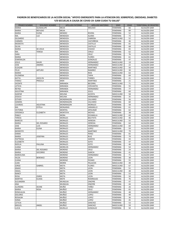| PRIMER NOMBRE                  | <b>SEGUNDO NOMBRE</b> | <b>APELLIDO PATERNO</b>          | APELLIDO MATERNO         | <b>SEXO</b>                        | <b>EDAD</b> | <b>TERRITORIAL DE REGISTRO</b> |
|--------------------------------|-----------------------|----------------------------------|--------------------------|------------------------------------|-------------|--------------------------------|
| <b>MARIA</b>                   | <b>GUADALUPE</b>      | MEJIA                            | <b>MELESIO</b>           | <b>FEMENINA</b>                    | 66          | ALCALDÍA GAM                   |
| <b>MARIA</b>                   | <b>REFUGIO</b>        | MEJIA                            |                          | <b>FEMENINA</b>                    | 89          | ALCALDÍA GAM                   |
| <b>MARIA</b>                   | <b>ELENA</b>          | <b>MENDEZ</b>                    | <b>RIVERA</b>            | <b>FEMENINA</b>                    | 52          | ALCALDÍA GAM                   |
| MA.                            | LUZ                   | MENDOZA                          | <b>ALANIS</b>            | <b>FEMENINA</b>                    | 73          | ALCALDÍA GAM                   |
| <b>GILDARDO</b>                |                       | MENDOZA                          | CABRERA                  | MASCULINO                          | 52          | ALCALDÍA GAM                   |
| CARMEN                         |                       | MENDOZA                          | CASTAÑEDA                | <b>FEMENINA</b>                    | 46          | ALCALDÍA GAM                   |
| <b>MODESTA</b>                 |                       | <b>MENDOZA</b>                   | CASTILLO                 | <b>FEMENINA</b>                    | 65          | ALCALDÍA GAM                   |
| <b>SILVIA</b>                  |                       | MENDOZA                          | CASTILLO                 | <b>FEMENINA</b>                    | 68          | ALCALDÍA GAM                   |
| <b>MARIA</b>                   | DE JESUS              | <b>MENDOZA</b>                   | CHAVEZ                   | <b>FEMENINA</b>                    | 65          | ALCALDÍA GAM                   |
| MA.<br>SARA                    | TERESA                | MENDOZA<br>MENDOZA               | <b>CIRILO</b><br>CRUZ    | <b>FEMENINA</b><br><b>FEMENINA</b> | 62<br>76    | ALCALDÍA GAM<br>ALCALDÍA GAM   |
| <b>MARIA</b>                   |                       | MENDOZA                          | <b>FLORES</b>            | FEMENINA                           | 61          | ALCALDÍA GAM                   |
| ESMERALDA                      |                       | MENDOZA                          | GONZALEZ                 | <b>FEMENINA</b>                    | 47          | ALCALDÍA GAM                   |
| <b>JESUS</b>                   | <b>DAVIR</b>          | MENDOZA                          | HERNANDEZ                | <b>MASCULINO</b>                   | 19          | ALCALDÍA GAM                   |
| JOSE                           | <b>ANDRES</b>         | MENDOZA                          | HERNANDEZ                | MASCULINO                          | 22          | ALCALDÍA GAM                   |
| ELEAZAR                        |                       | MENDOZA                          | <b>MARTINEZ</b>          | MASCULINO                          | 56          | ALCALDÍA GAM                   |
| <b>FELIX</b>                   | <b>ARTURO</b>         | MENDOZA                          | RAMIREZ                  | MASCULINO                          | 30          | ALCALDÍA GAM                   |
| <b>MARIO</b>                   |                       | MENDOZA                          | <b>RIOS</b>              | MASCULINO                          | 63          | ALCALDÍA GAM                   |
| <b>FILOMENA</b>                |                       | MENDOZA                          | <b>TAPIA</b>             | <b>FEMENINA</b>                    | 69          | ALCALDÍA GAM                   |
| <b>KATYA</b>                   | <b>JOCELYN</b>        | MENDOZA                          | <b>TORRES</b>            | <b>FEMENINA</b>                    | 21          | ALCALDÍA GAM                   |
| YAMILE                         | <b>PRISCILA</b>       | <b>MIER</b>                      | <b>MARTINEZ</b>          | <b>FEMENINA</b>                    | 21          | ALCALDÍA GAM                   |
| <b>VICENTE</b>                 |                       | <b>MIRANDA</b>                   | <b>BECERRIL</b>          | MASCULINO                          | 71          | ALCALDÍA GAM                   |
| LETICIA                        |                       | <b>MIRANDA</b>                   | <b>CERVANTES</b>         | <b>FEMENINA</b>                    | 55          | ALCALDÍA GAM                   |
| REYNA                          |                       | <b>MIRANDA</b>                   | HERNANDEZ                | <b>FEMENINA</b>                    | 77          | ALCALDÍA GAM                   |
| <b>AGUSTINA</b>                |                       | <b>MIRANDA</b>                   | SOLIS                    | FEMENINA                           | 60          | ALCALDÍA GAM                   |
| GASPAR                         |                       | <b>MOLINA</b>                    | <b>ACOSTA</b>            | MASCULINO                          | 58          | ALCALDÍA GAM                   |
| <b>JESSICA</b>                 |                       | <b>MOLINA</b>                    | HERNANDEZ                | <b>FEMENINA</b>                    | 35          | ALCALDÍA GAM                   |
| <b>ESTHER</b>                  |                       | <b>MONDRAGON</b>                 | CALVARIO                 | <b>FEMENINA</b>                    | 56          | ALCALDÍA GAM                   |
| SANDRA                         |                       | <b>MONDRAGON</b>                 | CALVARIO                 | <b>FEMENINA</b>                    | 60          | ALCALDÍA GAM                   |
| LOURDES                        | <b>AGUSTINA</b>       | <b>MONDRAGON</b>                 | <b>MORALES</b>           | <b>FEMENINA</b>                    | 58          | ALCALDÍA GAM                   |
| MA.                            | <b>ESTELA</b>         | <b>MONJARAS</b>                  | <b>JARAMILLO</b>         | <b>FEMENINA</b>                    | 61          | ALCALDÍA GAM                   |
| <b>VICTORIA</b>                |                       | <b>MONTIEL</b>                   | APOLINAR                 | <b>FEMENINA</b>                    | 62          | ALCALDÍA GAM                   |
| <b>VERONICA</b>                | ELIZABETH             | <b>MONTOYA</b>                   | <b>MOYAO</b>             | <b>FEMENINA</b>                    | 38          | ALCALDÍA GAM                   |
| PABLO                          |                       | <b>MORA</b>                      | <b>ESCAMILLA</b>         | MASCULINO                          | 69          | ALCALDÍA GAM                   |
| <b>TERESA</b>                  |                       | <b>MORALES</b>                   | <b>BAUTISTA</b>          | MASCULINO                          | 46          | ALCALDÍA GAM                   |
| <b>MARCOS</b>                  |                       | <b>MORALES</b>                   | HEREDIA                  | MASCULINO                          | 55          | ALCALDÍA GAM                   |
| <b>MARIA</b>                   | <b>DEL ROSARIO</b>    | <b>MORALES</b>                   | HEREDIA                  | <b>FEMENINA</b>                    | 64          | ALCALDÍA GAM                   |
| JOSE                           | LUIS                  | <b>MORALES</b>                   | HERNANDEZ                | MASCULINO                          | 69          | ALCALDÍA GAM                   |
| <b>MARIA</b><br><b>MODESTO</b> | <b>ELENA</b>          | <b>MORALES</b><br><b>MORALES</b> | LOPEZ                    | <b>FEMENINA</b>                    | 59<br>79    | ALCALDÍA GAM                   |
|                                |                       |                                  | <b>MARTINEZ</b><br>PEREZ | MASCULINO<br>FEMENINA              | 65          | ALCALDÍA GAM                   |
| <b>EMMA</b><br><b>MARIA</b>    | JOSEFINA              | <b>MORALES</b><br><b>MORALES</b> | <b>RUIZ</b>              | <b>FEMENINA</b>                    | 79          | ALCALDÍA GAM<br>ALCALDÍA GAM   |
| <b>PAPTRICIA</b>               |                       | <b>MORALES</b>                   | SANTOS                   | <b>FEMENINA</b>                    | 43          | ALCALDÍA GAM                   |
| ELIZABETH                      |                       | <b>MORALES</b>                   | SOTO                     | <b>FEMENINA</b>                    | 47          | ALCALDÍA GAM                   |
| <b>NOELIA</b>                  | PAULINA               | <b>MORALES</b>                   | SOTO                     | <b>FEMENINA</b>                    | 40          | ALCALDÍA GAM                   |
| <b>JUANA</b>                   |                       | <b>MORELOS</b>                   | HERNANDEZ                | <b>FEMENINA</b>                    | 54          | ALCALDÍA GAM                   |
| MARIA                          | <b>DEL ROSARIO</b>    | <b>MORENO</b>                    | CRUZ                     | <b>FEMENINA</b>                    | 24          | ALCALDÍA GAM                   |
| MARIA                          | SOCORRO               | <b>MORENO</b>                    | <b>GARCIA</b>            | <b>FEMENINA</b>                    | 41          | ALCALDÍA GAM                   |
| MARCELINA                      |                       | <b>MORENO</b>                    | HERNANDEZ                | FEMENINA                           | 71          | ALCALDÍA GAM                   |
| <b>HILDA</b>                   | <b>BERENICE</b>       | <b>MORENO</b>                    | LEON                     | FEMENINA                           | 38          | ALCALDÍA GAM                   |
| <b>JUANA</b>                   |                       | <b>MORENO</b>                    | PIZANO                   | FEMENINA                           | 55          | ALCALDÍA GAM                   |
| JUAN                           |                       | <b>MORIN</b>                     | <b>PALACIOS</b>          | MASCULINO                          | 49          | ALCALDÍA GAM                   |
| <b>JORGE</b>                   | GABRIEL               | <b>MOTA</b>                      | <b>FLORES</b>            | MASCULINO                          | 67          | ALCALDÍA GAM                   |
| ANAHI                          |                       | <b>MOTA</b>                      | LEON                     | FEMENINA                           | 51          | ALCALDÍA GAM                   |
| <b>ISRAEL</b>                  |                       | <b>MOTA</b>                      | LEON                     | <b>MASCULINO</b>                   | 48          | ALCALDÍA GAM                   |
| <b>NANCY</b>                   |                       | <b>MOTA</b>                      | LEON                     | FEMENINA                           | 53          | ALCALDÍA GAM                   |
| ROSA                           | <b>OSIRIS</b>         | <b>MOTA</b>                      | LEON                     | <b>FEMENINA</b>                    | 50          | ALCALDÍA GAM                   |
| <b>MARTHA</b>                  | <b>ELOISA</b>         | <b>MOTE</b>                      | <b>RODRIGUEZ</b>         | <b>FEMENINA</b>                    | 76          | ALCALDÍA GAM                   |
| ALEJANDRA                      |                       | <b>MUNGUIA</b>                   | ONOFRE                   | <b>FEMENINA</b>                    | 47          | ALCALDÍA GAM                   |
| ANA                            |                       | <b>MUNGUIA</b>                   | ONOFRE                   | FEMENINA                           | 44          | ALCALDÍA GAM                   |
| <b>ALONDRA</b>                 | DEJINE                | MUÑIZ                            | YAÑEZ                    | FEMENINA                           | 26          | ALCALDÍA GAM                   |
| <b>MARIA</b>                   | ROSA                  | MUÑOZ                            | CRUZ                     | FEMENINA                           | 65          | ALCALDÍA GAM                   |
| ROMUALDA                       |                       | MUÑOZ                            | HERNANDEZ                | <b>FEMENINA</b>                    | 48          | ALCALDÍA GAM                   |
| <b>DOLORES</b>                 |                       | MUÑOZ                            | LOPEZ                    | <b>FEMENINA</b>                    | 49          | ALCALDÍA GAM                   |
| ROSALBA                        |                       | MUÑOZ                            | LOPEZ                    | FEMENINA                           | 36          | ALCALDÍA GAM                   |
| SONIA                          |                       | MUÑOZ                            | LOPEZ                    | FEMENINA                           | 45          | ALCALDÍA GAM                   |
| LETICIA                        |                       | MUÑOZ                            | SANCHEZ                  | FEMENINA                           | 53          | ALCALDÍA GAM                   |
| MIGUEL                         | ANGEL                 | MUÑOZ                            | SANCHEZ                  | MASCULINO                          | 59          | ALCALDÍA GAM                   |
| LUCIA                          |                       | <b>MURILLO</b>                   | GONZALEZ                 | <b>FEMENINA</b>                    | 50          | ALCALDÍA GAM                   |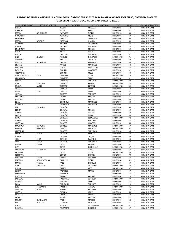| PRIMER NOMBRE         | <b>SEGUNDO NOMBRE</b> | <b>APELLIDO PATERNO</b> | <b>APELLIDO MATERNO</b> | <b>SEXO</b>     | <b>EDAD</b> | <b>TERRITORIAL DE REGISTRO</b> |
|-----------------------|-----------------------|-------------------------|-------------------------|-----------------|-------------|--------------------------------|
| <b>ORALIA</b>         |                       | NAJERA                  | ANGELES                 | <b>FEMENINA</b> | 62          | ALCALDÍA GAM                   |
| JOSEFINA              |                       | <b>NAVA</b>             | ALVAREZ                 | <b>FEMENINA</b> | 61          | ALCALDÍA GAM                   |
| <b>MARIA</b>          | DEL CARMEN            | <b>NAVARRO</b>          | <b>FLORES</b>           | <b>FEMENINA</b> | 63          | ALCALDÍA GAM                   |
| <b>GUADALUPE</b>      |                       | <b>NAVARRO</b>          | <b>MOTE</b>             | <b>FEMENINA</b> | 49          | ALCALDÍA GAM                   |
| <b>RUBICELIA</b>      |                       | NEGRETE                 | GONZALEZ                | FEMENINA        | 65          | ALCALDÍA GAM                   |
| <b>MARIA</b>          | DE JESUS              | <b>NICANOR</b>          | OMAÑA                   | FEMENINA        | 69          | ALCALDÍA GAM                   |
| GABRIELA              |                       | <b>NICOLAR</b>          | DE LA CRUZ              | <b>FEMENINA</b> | 24          | ALCALDÍA GAM                   |
| <b>JUANA</b>          |                       | <b>NICOLAS</b>          | HERNANDEZ               | FEMENINA        | 48          | ALCALDÍA GAM                   |
| <b>ENRIQUETA</b>      |                       | <b>NIETO</b>            | <b>TORRES</b>           | FEMENINA        | 69          | ALCALDÍA GAM                   |
| <b>ISALIA</b>         |                       | <b>NIETO</b>            | <b>TORRES</b>           | <b>FEMENINA</b> | 65          | ALCALDÍA GAM                   |
| <b>FIDELIA</b>        |                       | <b>NOCOLAS</b>          | HERNANDEZ               | FEMENINA        | 37          | ALCALDÍA GAM                   |
| LINO                  | JOAQUIN               | <b>NOGUEZ</b>           | GONZALEZ                | MASCULINO       | 71          | ALCALDÍA GAM                   |
| GONZALO               |                       | <b>NOLASCO</b>          | CASTILLO                | FEMENINA        | 69          | ALCALDÍA GAM                   |
| MIREYA                | ALEJANDRA             | <b>NOLASCO</b>          | VELAZQUEZ               | <b>FEMENINA</b> | 40          | ALCALDÍA GAM                   |
| <b>BEATRIZ</b>        |                       | NUÑEZ                   | MARTINEZ                | FEMENINA        | 58          | ALCALDÍA GAM                   |
| <b>DOLORES</b>        |                       | <b>OJEDA</b>            | FERNANDEZ               | <b>FEMENINA</b> | 56          | ALCALDÍA GAM                   |
| <b>PATRICIA</b>       |                       | <b>OLGUIN</b>           | GONZALEZ                | <b>FEMENINA</b> | 32          | ALCALDÍA GAM                   |
| ALEJANDRA             |                       | <b>OLGUIN</b>           | <b>MELO</b>             | <b>FEMENINA</b> | 40          | ALCALDÍA GAM                   |
| <b>JOSE FRNACISCO</b> | CRUZ                  | <b>OLIVARES</b>         | <b>NAVA</b>             | MASCULINO       | 70          | ALCALDÍA GAM                   |
| CRESCENCIA            |                       | <b>OLIVARES</b>         | <b>SALAS</b>            | FEMENINA        | 51          | ALCALDÍA GAM                   |
| PEDRO                 |                       | <b>OLIVARES</b>         | SANCHEZ                 | MASCULINO       | 80          | ALCALDÍA GAM                   |
| JOSE                  | TRINIDAD              | OLMEDO                  | <b>JIMENEZ</b>          | MASCULINO       | 74          | ALCALDÍA GAM                   |
| MIGUEL                | ANGEL                 | <b>OLMEDO</b>           | JIMENEZ                 | MASCULINO       | 64          | ALCALDÍA GAM                   |
| ARACELI               |                       | <b>OLMEDO</b>           | <b>TAPIA</b>            | <b>FEMENINA</b> | 52          | ALCALDÍA GAM                   |
| <b>MARY</b>           | TRINI                 | OLMEDO                  | <b>TAPIA</b>            | <b>FEMENINA</b> | 47          | ALCALDÍA GAM                   |
| AMELIA                |                       | <b>ONOFRE</b>           | SANCHEZ                 | FEMENINA        | 67          | ALCALDÍA GAM                   |
| <b>BENEDICTA</b>      |                       | ORDAZ                   | <b>ALDANA</b>           | <b>FEMENINA</b> | 61          | ALCALDÍA GAM                   |
| <b>FELICITAS</b>      |                       | ORDAZ                   | <b>ALDANA</b>           | FEMENINA        | 55          | ALCALDÍA GAM                   |
| <b>ELISA</b>          |                       | ORDINOLA                | MARTINEZ                | <b>FEMENINA</b> | 60          | ALCALDÍA GAM                   |
| VALENTINA             |                       | ORDINOLA                | MARTINEZ                | FEMENINA        | 61          | ALCALDÍA GAM                   |
| MA.                   | YOLANDA               | ORDUÑA                  | А                       | <b>FEMENINA</b> | 60          | ALCALDÍA GAM                   |
| <b>BENITA</b>         |                       | ORDUÑA                  | <b>TORRES</b>           | <b>FEMENINA</b> | 59          | ALCALDÍA GAM                   |
| <b>GLORIA</b>         |                       | ORDUÑA                  | <b>TORRES</b>           | <b>FEMENINA</b> | 80          | ALCALDÍA GAM                   |
| <b>KAREN</b>          |                       | ORDUÑA                  | <b>YEBRA</b>            | FEMENINA        | 30          | ALCALDÍA GAM                   |
| RAUL                  |                       | ORNELAS                 | CERVANTES               | MASCULINO       | 72          | ALCALDÍA GAM                   |
| <b>GLORIA</b>         |                       | ORNELAS                 | SANCHEZ                 | <b>FEMENINA</b> | 77          | ALCALDÍA GAM                   |
| ANGELICA              |                       | <b>OROZCO</b>           | <b>CISNEROS</b>         | <b>FEMENINA</b> | 65          | ALCALDÍA GAM                   |
| MAURULIA              | CATALINA              | <b>OROZCO</b>           | <b>MARQUEZ</b>          | MASCULINO       | 67          | ALCALDÍA GAM                   |
| FERMIN                | GILBALDO              | <b>OROZCO</b>           | <b>REGULES</b>          | MASCULINO       | 67          | ALCALDÍA GAM                   |
| CELESTINA             |                       | <b>OROZCO</b>           | SANTIAGO                | FEMENINA        | 36          | ALCALDÍA GAM                   |
| <b>VERONICA</b>       | <b>BEATRIZ</b>        | ORTEGA                  | <b>ACOSTA</b>           | FEMENINA        | 37          | ALCALDÍA GAM                   |
| <b>JUANA</b>          |                       | ORTEGA                  | <b>CHAVEZ</b>           | FEMENINA        | 56          | ALCALDÍA GAM                   |
| ANA                   | FELIZ                 | ORTEGA                  | <b>GALINDO</b>          | FEMENINA        | 56          | ALCALDÍA GAM                   |
| ANA                   | <b>MARIA</b>          | ORTEGA                  | GONZALEZ                | <b>FEMENINA</b> | 77          | ALCALDÍA GAM                   |
| <b>MARIA</b>          | <b>ELENA</b>          | ORTIZ                   | <b>AGUILAR</b>          | <b>FEMENINA</b> | 47          | ALCALDÍA GAM                   |
| <b>IVAN</b>           |                       | ORTIZ                   | CALDERILLA              | MASCULINO       | 37          | ALCALDÍA GAM                   |
| <b>CENORINA</b>       | ALEJANDRA             | ORTIZ                   | LOPEZ                   | <b>FEMENINA</b> | 72          | ALCALDÍA GAM                   |
| <b>RICARDO</b>        |                       | ORTIZ                   | ORTIZ                   | MASCULINO       | 46          | ALCALDÍA GAM                   |
| PERPETUA              |                       | <b>OSORIO</b>           | CAMPOS                  | FEMENINA        | 70          | ALCALDÍA GAM                   |
| <b>MYIRIAM</b>        | YANET                 | PABLO                   | ROMERO                  | <b>FEMENINA</b> | 34          | ALCALDÍA GAM                   |
| <b>MARTHA</b>         | HERMENEGILDA          | PACHECO                 | <b>FLORES</b>           | <b>FEMENINA</b> | 62          | ALCALDÍA GAM                   |
| <b>MARIA</b>          | TERESA                | PAEZ                    | CALVILLO                | FEMENINA        | 49          | ALCALDÍA GAM                   |
| JORGE                 | ARMANDO               | PAEZ                    | RIQUELME                | MASCULINO       | 42          | ALCALDÍA GAM                   |
| <b>JULIAN</b>         |                       | PAJARO                  | <b>VITE</b>             | MASCULINO       | 57          | ALCALDÍA GAM                   |
| <b>JOVITA</b>         |                       | <b>PALACIOS</b>         | <b>MARIN</b>            | FEMENINA        | 47          | ALCALDÍA GAM                   |
| ALEJANDRA             |                       | <b>PALACIOS</b>         |                         | <b>FEMENINA</b> | 73          | ALCALDÍA GAM                   |
| <b>NAYELLI</b>        |                       | PALAGIO                 | VARGAS                  | FEMENINA        | 20          | ALCALDÍA GAM                   |
| <b>LADISLAO</b>       |                       | PALOMINO                | <b>ESPINOSA</b>         | MASCULINO       | 77          | ALCALDÍA GAM                   |
| <b>MARINA</b>         |                       | PALOMINO                | PEREZ                   | <b>FEMENINA</b> | 43          | ALCALDÍA GAM                   |
| ROSA                  | MARIA                 | PANIAGUA                | SANCHEZ                 | FEMENINA        | 19          | ALCALDÍA GAM                   |
| LUIS                  | FERNANDO              | PAREDES                 | VARGAS                  | MASCULINO       | 31          | ALCALDÍA GAM                   |
| SHERLYN               | JULIET                | PAREDES                 | VILLEGAS                | FEMENINA        | 18          | ALCALDÍA GAM                   |
| ANGELA                |                       | PASCUAL                 | CRUZ                    | FEMENINA        | 60          | ALCALDÍA GAM                   |
| <b>PATRICIA</b>       |                       | PASCUAL                 | MILARTE                 | FEMENINA        | 30          | ALCALDÍA GAM                   |
| LYDIA                 |                       | PATIÑO                  | <b>ANTONIO</b>          | FEMENINA        | 47          | ALCALDÍA GAM                   |
| <b>MELISSA</b>        | <b>GUADALUPE</b>      | PAZOS                   | <b>MADRID</b>           | <b>FEMENINA</b> | 28          | ALCALDÍA GAM                   |
| MA.                   | DE JESUS              | PEINADO                 | <b>MONROY</b>           | FEMENINA        | 71          | ALCALDÍA GAM                   |
| <b>JESUS</b>          |                       | PELAGIO                 | ELIZARRARAZ             | MASCULINO       | 47          | ALCALDÍA GAM                   |
| PASCUAL               |                       | PELCASTRE               | CALLEJAS                | MASCULINO       | 57          | ALCALDÍA GAM                   |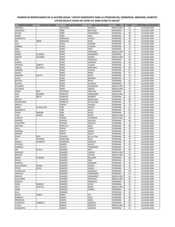| PRIMER NOMBRE                 | <b>SEGUNDO NOMBRE</b> | <b>APELLIDO PATERNO</b>   | APELLIDO MATERNO                  | <b>SEXO</b>                        | <b>EDAD</b> | <b>TERRITORIAL DE REGISTRO</b> |
|-------------------------------|-----------------------|---------------------------|-----------------------------------|------------------------------------|-------------|--------------------------------|
| TRINIDAD                      |                       | PELCASTRE                 | SEGOVIA                           | MASCULINO                          | 51          | ALCALDÍA GAM                   |
| CRECENCIA                     |                       | PEÑA                      | <b>BALTAZAR</b>                   | <b>FEMENINA</b>                    | 72          | ALCALDÍA GAM                   |
| <b>ACASIO</b>                 |                       | PEÑA                      | HERNANDEZ                         | <b>FEMENINA</b>                    | 69          | ALCALDÍA GAM                   |
| <b>MARIA</b>                  |                       | PEÑA                      | SAUZ                              | <b>FEMENINA</b>                    | 48          | ALCALDÍA GAM                   |
| MARGARITA                     |                       | PEÑALOZA                  | CHAVEZ                            | <b>FEMENINA</b>                    | 43          | ALCALDÍA GAM                   |
| MA.                           | <b>IRENE</b>          | PEÑALOZA                  | SOTO                              | <b>FEMENINA</b>                    | 66          | ALCALDÍA GAM                   |
| LILIA<br><b>MARINA</b>        |                       | PEREZ<br>PEREZ            | CORONA<br>CORONA                  | <b>FEMENINA</b><br><b>FEMENINA</b> | 43<br>51    | ALCALDÍA GAM<br>ALCALDÍA GAM   |
| ANEL                          |                       | PEREZ                     | CRUZ                              | <b>FEMENINA</b>                    | 41          | ALCALDÍA GAM                   |
| <b>ISAIAS</b>                 |                       | PEREZ                     | FENTANEZ                          | <b>MASCULINO</b>                   | 63          | ALCALDÍA GAM                   |
| MARIA                         | <b>EUGENIA</b>        | PEREZ                     | FERNANDEZ                         | <b>FEMENINA</b>                    | 64          | ALCALDÍA GAM                   |
| CARLOS                        | <b>ALFONSO</b>        | PEREZ                     | <b>GOMEZ</b>                      | MASCULINO                          | 25          | ALCALDÍA GAM                   |
| ANA                           |                       | PEREZ                     | GONZALEZ                          | <b>FEMENINA</b>                    | 65          | ALCALDÍA GAM                   |
| <b>GLORIA</b>                 |                       | PEREZ                     | <b>GUZMAN</b>                     | <b>FEMENINA</b>                    | 64          | ALCALDÍA GAM                   |
| <b>PATRICIA</b>               | LIZBETH               | PEREZ                     | LOZADA                            | <b>FEMENINA</b>                    | 25          | ALCALDÍA GAM                   |
| <b>TERESA</b>                 | DE JESUS              | PEREZ                     | MARTINEZ                          | <b>FEMENINA</b>                    | 69          | ALCALDÍA GAM                   |
| CARMEN                        |                       | PEREZ                     | OLVERA                            | <b>FEMENINA</b>                    | 67          | ALCALDÍA GAM                   |
| <b>FIDELIA</b>                |                       | PEREZ                     | PEREZ                             | <b>FEMENINA</b>                    | 47          | ALCALDÍA GAM                   |
| <b>DINORAH</b>                | <b>IVETTE</b>         | PEREZ                     | RALES                             | <b>FEMENINA</b>                    | 41          | ALCALDÍA GAM                   |
| <b>ALICIA</b>                 |                       | PEREZ                     | RAMIREZ                           | <b>FEMENINA</b>                    | 72          | ALCALDÍA GAM                   |
| <b>BEATRIZ</b>                |                       | PEREZ                     | <b>REYES</b>                      | <b>FEMENINA</b>                    | 53          | ALCALDÍA GAM                   |
| <b>BLANCA</b>                 |                       | PEREZ                     | VASQUEZ                           | <b>FEMENINA</b>                    | 44          | ALCALDÍA GAM                   |
| EDUARDO                       |                       | PEREZ                     | VELAZQUEZ                         | <b>MASCULINO</b>                   | 72          | ALCALDÍA GAM                   |
| <b>FELICIANO</b>              |                       | PEREZ                     | ZARATE                            | MASCULINO                          | 77          | ALCALDÍA GAM                   |
| MARIA                         | <b>INES</b>           | <b>PICHARDO</b>           | <b>VENTURA</b>                    | FEMENINA                           | 45          | ALCALDÍA GAM                   |
| JOSE                          | <b>RICARDO</b>        | PIMENTEL                  | HERNANDEZ                         | MASCULINO                          | 74          | ALCALDÍA GAM                   |
| <b>CIRA</b>                   | <b>IBETH</b>          | PIMENTEL                  | <b>ROMERO</b>                     | <b>FEMENINA</b>                    | 42          | ALCALDÍA GAM                   |
| <b>BERTHA</b>                 |                       | PIMENTEL                  | RUBALCAVA                         | <b>FEMENINA</b>                    | 69<br>43    | ALCALDÍA GAM                   |
| HERMELINDA<br>AMELIA          |                       | PIMENTEL<br><b>PINEDA</b> | <b>RUVALCABA</b><br><b>POSADA</b> | <b>FEMENINA</b><br><b>FEMENINA</b> | 79          | ALCALDÍA GAM<br>ALCALDÍA GAM   |
| <b>MARIA</b>                  | <b>GUADALUPE</b>      | PIÑA                      | <b>GARCIA</b>                     | <b>FEMENINA</b>                    | 67          | ALCALDÍA GAM                   |
| MARGARITA                     |                       | PIÑA                      | <b>MATA</b>                       | <b>FEMENINA</b>                    | 64          | ALCALDÍA GAM                   |
| <b>DIANA</b>                  | <b>MARINA</b>         | PIÑA                      | <b>ROJAS</b>                      | <b>FEMENINA</b>                    | 33          | ALCALDÍA GAM                   |
| <b>JUAN</b>                   | <b>ISMAEL</b>         | PIÑA                      | <b>ROJAS</b>                      | MASCULINO                          | 37          | ALCALDÍA GAM                   |
| <b>AURELIO</b>                |                       | PIZANO                    | CALDERON                          | MASCULINO                          | 84          | ALCALDÍA GAM                   |
| <b>MARISOL</b>                |                       | POPOCA                    | <b>AGUILAR</b>                    | <b>FEMENINA</b>                    | 46          | ALCALDÍA GAM                   |
| VALENTINA                     |                       | POPOCA                    | AGUILAR                           | <b>FEMENINA</b>                    | 19          | ALCALDÍA GAM                   |
| <b>ANTONIA</b>                |                       | PORTILLO                  | SOLIS                             | <b>FEMENINA</b>                    | 80          | ALCALDÍA GAM                   |
| DELIA                         |                       | POZOS                     | LOPEZ                             | <b>FEMENINA</b>                    | 43          | ALCALDÍA GAM                   |
| <b>ADRIANA</b>                |                       | <b>PRIETO</b>             | ANAYA                             | <b>FEMENINA</b>                    | 34          | ALCALDÍA GAM                   |
| <b>MIRIAM</b>                 |                       | <b>PRIETO</b>             | <b>ANAYA</b>                      | <b>FEMENINA</b>                    | 35          | ALCALDÍA GAM                   |
| <b>HILDA</b>                  | <b>RITA</b>           | <b>PUENTES</b>            | DE LA LUNA                        | <b>FEMENINA</b>                    | 48          | ALCALDÍA GAM                   |
| MA.                           | <b>DOLORES</b>        | QUINTANA                  | SOLIS                             | <b>FEMENINA</b>                    | 77          | ALCALDÍA GAM                   |
| ARACELI                       | <b>ELIANETH</b>       | QUIÑONEZ                  | SANCHEZ                           | <b>FEMENINA</b>                    | 30          | ALCALDÍA GAM                   |
| <b>PATRICIA</b>               |                       | QUIROZ                    | <b>ALAVEZ</b>                     | <b>FEMENINA</b>                    | 54          | ALCALDÍA GAM                   |
| <b>GABRIELA</b>               |                       | QUIROZ                    | FERNANDEZ                         | <b>FEMENINA</b>                    | 53          | ALCALDÍA GAM                   |
| МA                            | <b>ESTELA</b>         | RAMIRES                   | RICO<br>CHAVEZ                    | FEMENINA                           | 66<br>75    | ALCALDÍA GAM<br>ALCALDÍA GAM   |
| RODOLFO                       |                       | RAMIREZ                   | <b>CUEVAS</b>                     | MASCULINO                          |             |                                |
| <b>ARTURO</b><br><b>MARIA</b> | <b>EUGENIA</b>        | RAMIREZ<br>RAMIREZ        | <b>DELGADO</b>                    | MASCULINO<br>FEMENINA              | 45<br>60    | ALCALDÍA GAM<br>ALCALDÍA GAM   |
| <b>EMILIA</b>                 |                       | RAMIREZ                   | <b>DIAZ</b>                       | <b>FEMENINA</b>                    | 52          | ALCALDÍA GAM                   |
| MARIELA                       |                       | RAMIREZ                   | <b>DISIDERIO</b>                  | FEMENINA                           | 42          | ALCALDÍA GAM                   |
| <b>GUILLERMINA</b>            | <b>DIVINA</b>         | RAMIREZ                   | <b>GARCIA</b>                     | <b>FEMENINA</b>                    | 59          | ALCALDÍA GAM                   |
| PETRA                         | <b>ELVIA</b>          | RAMIREZ                   | <b>GARCIA</b>                     | FEMENINA                           | 74          | ALCALDÍA GAM                   |
| <b>GUADALUPE</b>              |                       | RAMIREZ                   | GONZALEZ                          | <b>FEMENINA</b>                    | 69          | ALCALDÍA GAM                   |
| <b>GRACIELA</b>               |                       | RAMIREZ                   | HERNANDEZ                         | FEMENINA                           | 53          | ALCALDÍA GAM                   |
| <b>UBALDO</b>                 |                       | RAMIREZ                   | HERNANDEZ                         | MASCULINO                          | 61          | ALCALDÍA GAM                   |
| <b>GUILLERMO</b>              |                       | RAMIREZ                   | <b>MENDOZA</b>                    | <b>MASCULINO</b>                   | 65          | ALCALDÍA GAM                   |
| MARTHA                        |                       | RAMIREZ                   | <b>MENDOZA</b>                    | FEMENINA                           | 87          | ALCALDÍA GAM                   |
| <b>NORA</b>                   | DENISSE               | RAMIREZ                   | OJEDA                             | <b>FEMENINA</b>                    | 25          | ALCALDÍA GAM                   |
| <b>FELIX</b>                  | <b>HOPLITO</b>        | RAMIREZ                   | <b>RUBIO</b>                      | MASCULINO                          | 71          | ALCALDÍA GAM                   |
| YEIMI                         |                       | RAMIREZ                   | ZUÑIGA                            | FEMENINA                           | 28          | ALCALDÍA GAM                   |
| <b>BLAS</b>                   |                       | RAMIREZ                   |                                   | <b>FEMENINA</b>                    | 59          | ALCALDÍA GAM                   |
| <b>DULCE</b>                  | <b>MARIA</b>          | RAMIS                     | <b>CID</b>                        | <b>FEMENINA</b>                    | 55          | ALCALDÍA GAM                   |
| GILBERTA                      |                       | <b>RAMOS</b>              | CRUZ                              | FEMENINA                           | 68          | ALCALDÍA GAM                   |
| <b>FRANCSICA</b>              |                       | <b>RAMOS</b>              | <b>GINES</b>                      | FEMENINA                           | 66          | ALCALDÍA GAM                   |
| <b>FLORENCIA</b>              | GABRIELA              | <b>RAMOS</b>              | SANCHEZ                           | FEMENINA                           | 56          | ALCALDÍA GAM                   |
| JULIAN                        |                       | <b>RAMOS</b>              | SANCHEZ                           | MASCULINO                          | 65          | ALCALDÍA GAM                   |
| MARGARITA                     |                       | <b>RAMOS</b>              | SANCHEZ                           | <b>FEMENINA</b>                    | 51          | ALCALDÍA GAM                   |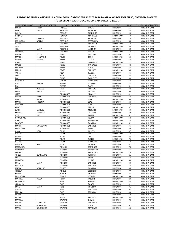| <b>PRIMER NOMBRE</b>               | <b>SEGUNDO NOMBRE</b> | <b>APELLIDO PATERNO</b>      | <b>APELLIDO MATERNO</b>        | <b>SEXO</b>                         | <b>EDAD</b> | <b>TERRITORIAL DE REGISTRO</b> |
|------------------------------------|-----------------------|------------------------------|--------------------------------|-------------------------------------|-------------|--------------------------------|
| <b>MARIA</b>                       | <b>ELENA</b>          | RANGEL                       | GOMEZ                          | <b>FEMENINA</b>                     | 56          | ALCALDÍA GAM                   |
| ANA                                | <b>MARIA</b>          | RAYGOZA                      | VAZQUEZ                        | <b>FEMENINA</b>                     | 55          | ALCALDÍA GAM                   |
| <b>KARINA</b>                      |                       | <b>RENDON</b>                | <b>BLANQUET</b>                | <b>FEMENINA</b>                     | 40          | ALCALDÍA GAM                   |
| <b>GENARO</b>                      |                       | <b>RENDON</b>                | MARTINEZ                       | MASCULINO                           | 59          | ALCALDÍA GAM                   |
| MA.                                | CARMEN                | RENTERIA                     | VAZQUEZ                        | <b>FEMENINA</b>                     | 73          | ALCALDÍA GAM                   |
| MA. JUANA<br><b>DANIEL</b>         | DE PIÑA               | RESENDIZ<br>RESENDIZ         | ESPERANZA<br>MARTINEZ          | <b>FEMENINA</b><br>MASCULINO        | 65<br>62    | ALCALDÍA GAM<br>ALCALDÍA GAM   |
| <b>SEGIO</b>                       |                       | RESENDIZ                     | <b>MORENO</b>                  | MASCULINO                           | 55          | ALCALDÍA GAM                   |
| ANA                                | <b>MARIA</b>          | RESENDIZ                     | VALENCIA                       | <b>FEMENINA</b>                     | 60          | ALCALDÍA GAM                   |
| ARMANDO                            |                       | RESENDIZ                     | VARGAS                         | MASCULINO                           | 54          | ALCALDÍA GAM                   |
| <b>MARIA</b>                       | <b>REYES</b>          | <b>REYES</b>                 | <b>BOTELLO</b>                 | <b>FEMENINA</b>                     | 51          | ALCALDÍA GAM                   |
| <b>MARCOS</b>                      | <b>FERNANDO</b>       | <b>REYES</b>                 | CRUZ                           | MASCULINO                           | 22          | ALCALDÍA GAM                   |
| <b>MARIA</b>                       | <b>REFUGIO</b>        | <b>REYES</b>                 | <b>GARCIA</b>                  | <b>FEMENINA</b>                     | 74          | ALCALDÍA GAM                   |
| <b>JUAN</b>                        |                       | <b>REYES</b>                 | GONZALEZ                       | MASCULINO                           | 72          | ALCALDÍA GAM                   |
| <b>MABEL</b>                       |                       | <b>REYES</b>                 | GONZALEZ                       | <b>FEMENINA</b>                     | 42          | ALCALDÍA GAM                   |
| <b>ROMELIA</b>                     |                       | <b>REYES</b>                 | LOEZA                          | <b>FEMENINA</b>                     | 37          | ALCALDÍA GAM                   |
| <b>PEDRO</b>                       |                       | <b>REYES</b>                 | SANCHEZ                        | MASCULINO                           | 85          | ALCALDÍA GAM                   |
| AYDEE<br><b>CIRA</b>               |                       | REZA<br><b>RIOS</b>          | <b>GARCIA</b><br><b>GUZMAN</b> | <b>FEMENINA</b><br><b>FEMENINA</b>  | 45<br>53    | ALCALDÍA GAM<br>ALCALDÍA GAM   |
| <b>EVA</b>                         |                       | <b>RIVAS</b>                 | BAÑUELOS                       | <b>FEMENINA</b>                     | 59          | ALCALDÍA GAM                   |
| <b>LEOBORDA</b>                    |                       | <b>RIVERA</b>                | <b>FRANCISCO</b>               | <b>FEMENINA</b>                     | 64          | ALCALDÍA GAM                   |
| <b>JULIETA</b>                     | ABIGAIL               | <b>RIVERA</b>                | <b>NAVARRO</b>                 | <b>FEMENINA</b>                     | 27          | ALCALDÍA GAM                   |
| <b>EVA</b>                         |                       | <b>RIVERO</b>                | <b>NAVA</b>                    | <b>FEMENINA</b>                     | 61          | ALCALDÍA GAM                   |
| MA.                                | DE JESUS              | <b>RIZO</b>                  | VENEGAS                        | <b>FEMENINA</b>                     | 72          | ALCALDÍA GAM                   |
| <b>ROSA</b>                        | <b>MARIA</b>          | <b>ROBLES</b>                | <b>MEDINA</b>                  | <b>FEMENINA</b>                     | 63          | ALCALDÍA GAM                   |
| ALMA                               |                       | RODRIGUEZ                    | ALVAREZ                        | <b>FEMENINA</b>                     | 31          | ALCALDÍA GAM                   |
| <b>MARIA</b>                       | LUISA                 | <b>RODRIGUEZ</b>             | <b>GUERRERO</b>                | <b>FEMENINA</b>                     | 63          | ALCALDÍA GAM                   |
| <b>MIGUEL</b>                      | ANGEL                 | RODRIGUEZ                    | LARA                           | MASCULINO                           | 69          | ALCALDÍA GAM                   |
| <b>MARIA</b>                       | <b>EUGENIA</b>        | <b>RODRIGUEZ</b>             | LEAL                           | <b>FEMENINA</b>                     | 64          | ALCALDÍA GAM                   |
| <b>FELICITAS</b><br><b>AURELIO</b> |                       | RODRIGUEZ<br>RODRIGUEZ       | LOERA<br><b>MIRELES</b>        | <b>FEMENINA</b><br><b>MASCULINO</b> | 63<br>57    | ALCALDÍA GAM<br>ALCALDÍA GAM   |
| <b>JUAN</b>                        | MANUEL                | RODRIGUEZ                    | <b>MORALES</b>                 | MASCULINO                           | 49          | ALCALDÍA GAM                   |
| <b>BRENDA</b>                      | <b>BERENICE</b>       | <b>RODRIGUEZ</b>             | <b>OCAMPO</b>                  | <b>FEMENINA</b>                     | 29          | ALCALDÍA GAM                   |
| <b>JOSE</b>                        | LUIS                  | <b>RODRIGUEZ</b>             | PALMA                          | MASCULINO                           | 62          | ALCALDÍA GAM                   |
| <b>GEORONIMO</b>                   |                       | <b>RODRIGUEZ</b>             | PLUMA                          | MASCULINO                           | 68          | ALCALDÍA GAM                   |
| <b>JORGE</b>                       |                       | RODRIGUEZ                    | RODRIGUEZ                      | MASCULINO                           | 72          | ALCALDÍA GAM                   |
| <b>ROBERTO</b>                     |                       | RODRIGUEZ                    | <b>ROMERO</b>                  | MASCULINO                           | 62          | ALCALDÍA GAM                   |
| <b>MARIA</b>                       | MONSERRAT             | RODRIGUEZ                    | SANCHEZ                        | <b>FEMENINA</b>                     | 35          | ALCALDÍA GAM                   |
| ROSALINDA                          |                       | RODRIGUEZ                    | <b>TAPIA</b>                   | <b>FEMENINA</b>                     | 59          | ALCALDÍA GAM                   |
| <b>OLGA</b>                        | LIDIA                 | <b>ROJAS</b>                 | <b>CORTES</b>                  | <b>FEMENINA</b>                     | 47          | ALCALDÍA GAM                   |
| <b>HECTOR</b><br><b>MARINA</b>     |                       | <b>ROJAS</b><br><b>ROJAS</b> | CRUZ<br>CRUZ                   | MASCULINO<br><b>FEMENINA</b>        | 53<br>58    | ALCALDÍA GAM<br>ALCALDÍA GAM   |
| <b>MARIO</b>                       |                       | <b>ROJAS</b>                 | <b>FLORES</b>                  | MASCULINO                           | 75          | ALCALDÍA GAM                   |
| <b>NIEVES</b>                      |                       | <b>ROJAS</b>                 | LLAMOCCA                       | <b>FEMENINA</b>                     | 63          | ALCALDÍA GAM                   |
| <b>MARITA</b>                      | <b>JANET</b>          | <b>ROJAS</b>                 | <b>MORALES</b>                 | <b>FEMENINA</b>                     | 41          | ALCALDÍA GAM                   |
| ESPERANZA                          |                       | <b>ROMAN</b>                 | <b>ESCANDON</b>                | <b>FEMENINA</b>                     | 78          | ALCALDÍA GAM                   |
| <b>MILBURGA</b>                    |                       | <b>ROMANO</b>                | <b>RODRIGUEZ</b>               | <b>FEMENINA</b>                     | 75          | ALCALDÍA GAM                   |
| <b>EPIFANIO</b>                    |                       | ROMERO                       | APANTENCO                      | MASCULINO                           | $70\,$      | ALCALDÍA GAM                   |
| AIHSLY                             | <b>GUADALUPE</b>      | ROMERO                       | <b>FUENTES</b>                 | FEMENINA                            | 21          | ALCALDÍA GAM                   |
| <b>IRMA</b>                        |                       | ROMERO                       | MEZA                           | <b>FEMENINA</b>                     | 53          | ALCALDÍA GAM                   |
| EDUARDO                            | <b>MARIA</b>          | ROMERO                       | ORGAZ<br>SANCHEZ               | MASCULINO                           | 60          | ALCALDÍA GAM<br>ALCALDÍA GAM   |
| ROSA<br><b>YOLANDA</b>             |                       | ROMERO<br>ROMERO             | SANCHEZ                        | FEMENINA<br><b>FEMENINA</b>         | 63<br>67    | ALCALDÍA GAM                   |
| <b>MARIA</b>                       | DE LA LUZ             | RONCO                        | ROMERO                         | <b>FEMENINA</b>                     | 56          | ALCALDÍA GAM                   |
| ANGELA                             |                       | <b>ROQUE</b>                 | <b>LEONIDES</b>                | <b>FEMENINA</b>                     | 77          | ALCALDÍA GAM                   |
| <b>ELVIRA</b>                      |                       | <b>ROQUE</b>                 | <b>LEONIDES</b>                | FEMENINA                            | 67          | ALCALDÍA GAM                   |
| <b>EUFROCINA</b>                   |                       | <b>ROQUE</b>                 | LEONIDES                       | MASCULINO                           | 64          | ALCALDÍA GAM                   |
| <b>MARTHA</b>                      | PAOLA                 | <b>ROSEY</b>                 | <b>FALCON</b>                  | <b>FEMENINA</b>                     | 23          | ALCALDÍA GAM                   |
| <b>LEONARDO</b>                    |                       | RUIZ                         | <b>HINOJOSA</b>                | MASCULINO                           | 64          | ALCALDÍA GAM                   |
| <b>VERONICA</b>                    |                       | RUIZ                         | <b>RODEA</b>                   | <b>FEMENINA</b>                     | 51          | ALCALDÍA GAM                   |
| ROSA                               | <b>MARIA</b>          | RUIZ                         | ROMERO                         | <b>FEMENINA</b>                     | 71          | ALCALDÍA GAM                   |
| <b>OLIVIA</b>                      |                       | RUIZ                         | SANTIAGO                       | FEMENINA                            | 62          | ALCALDÍA GAM                   |
| ERMINIA<br><b>ELODIA</b>           |                       | RUIZ<br>RUIZ                 | <b>TENORIO</b>                 | <b>FEMENINA</b><br><b>FEMENINA</b>  | 53<br>69    | ALCALDÍA GAM<br>ALCALDÍA GAM   |
| <b>ARTURO</b>                      |                       | SALAS                        | ARRIAGA                        | MASCULINO                           | 63          | ALCALDÍA GAM                   |
| <b>MARTHA</b>                      |                       | SALAZAR                      | GOMEZ                          | <b>FEMENINA</b>                     | 70          | ALCALDÍA GAM                   |
| MARIA                              | <b>GUADALUPE</b>      | SALAZAR                      | GONZALEZ                       | FEMENINA                            | 66          | ALCALDÍA GAM                   |
| <b>MARIA</b>                       | <b>GUADALUPE</b>      | SALAZAR                      | LUNA                           | <b>FEMENINA</b>                     | 67          | ALCALDÍA GAM                   |
| <b>MARIA</b>                       | <b>DEL CARMEN</b>     | SALAZAR                      | MARTINEZ                       | <b>FEMENINA</b>                     | 56          | ALCALDÍA GAM                   |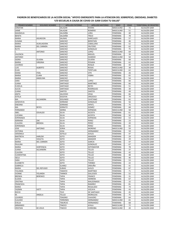| PRIMER NOMBRE               | <b>SEGUNDO NOMBRE</b> | <b>APELLIDO PATERNO</b> | APELLIDO MATERNO               | <b>SEXO</b>                         | <b>EDAD</b> | <b>TERRITORIAL DE REGISTRO</b> |
|-----------------------------|-----------------------|-------------------------|--------------------------------|-------------------------------------|-------------|--------------------------------|
| <b>JONATAN</b>              |                       | SALAZAR                 | <b>RIVERA</b>                  | MASCULINO                           | 72          | ALCALDÍA GAM                   |
| JAIME                       |                       | SALAZAR                 | <b>ROMERO</b>                  | MASCULINO                           | 51          | ALCALDÍA GAM                   |
| <b>MAGNOLIA</b>             |                       | SALDAÑA                 | LORA                           | <b>FEMENINA</b>                     | 40          | ALCALDÍA GAM                   |
| <b>BENITA</b>               |                       | SALDAÑA                 | <b>TREJO</b>                   | <b>FEMENINA</b>                     | 78          | ALCALDÍA GAM                   |
| <b>MARIA</b>                | <b>ASUNCION</b>       | SALINAS                 | <b>GARCILAZO</b>               | <b>FEMENINA</b>                     | 57          | ALCALDÍA GAM                   |
| SUSANA                      |                       | SANCHEZ                 | <b>BERISTAIN</b>               | <b>FEMENINA</b>                     | 46          | ALCALDÍA GAM                   |
| <b>MARIA</b>                | <b>AUXILIADORA</b>    | SANCHEZ                 | CABALLERO                      | <b>FEMENINA</b>                     | 52          | ALCALDÍA GAM                   |
| <b>MARIA</b>                | <b>DEL CARMEN</b>     | SANCHEZ                 | <b>FRUTERO</b>                 | <b>FEMENINA</b>                     | 62          | ALCALDÍA GAM                   |
| <b>RUTH</b>                 |                       | SANCHEZ                 | GONZALEZ                       | <b>FEMENINA</b><br><b>MASCULINO</b> | 75          | ALCALDÍA GAM                   |
| VALENCIA                    | <b>ANTONIO</b>        | SANCHEZ<br>SANCHEZ      | LOPEZ<br><b>MIGUEL</b>         | <b>FEMENINA</b>                     | 69<br>39    | ALCALDÍA GAM<br>ALCALDÍA GAM   |
| <b>ANTONIO</b>              |                       | SANCHEZ                 | OLMEDO                         | MASCULINO                           | 50          | ALCALDÍA GAM                   |
| <b>ISIDRA</b>               | OLVERA                | SANCHEZ                 | OLVERA                         | <b>FEMENINA</b>                     | 68          | ALCALDÍA GAM                   |
| <b>MARIA</b>                | VIRGINIA              | SANCHEZ                 | <b>POSADA</b>                  | <b>FEMENINA</b>                     | 62          | ALCALDÍA GAM                   |
| LOURDEZ                     |                       | SANCHEZ                 | <b>ROQUE</b>                   | <b>FEMENINA</b>                     | 44          | ALCALDÍA GAM                   |
| LUIS                        | <b>ALBERTO</b>        | SANCHEZ                 | <b>ROSAS</b>                   | MASCULINO                           | 38          | ALCALDÍA GAM                   |
| <b>ELIAS</b>                |                       | SANCHEZ                 | <b>TEPETLAN</b>                | MASCULINO                           | 62          | ALCALDÍA GAM                   |
| <b>DIANA</b>                | <b>ITZEL</b>          | SANCHEZ                 | <b>VITE</b>                    | <b>FEMENINA</b>                     | 26          | ALCALDÍA GAM                   |
| <b>MARIA</b>                | <b>CLARA</b>          | SANCHEZ                 | YEBRA                          | <b>FEMENINA</b>                     | 65          | ALCALDÍA GAM                   |
| <b>MARIA</b>                | ANGELINA              | SANCHEZ                 |                                | <b>FEMENINA</b>                     | 54          | ALCALDÍA GAM                   |
| SARA                        |                       | SANTIAGO                | LOPEZ                          | <b>FEMENINA</b>                     | 66          | ALCALDÍA GAM                   |
| <b>JUANA</b>                |                       | SANTIAGO                | MARTINEZ                       | <b>FEMENINA</b>                     | 66          | ALCALDÍA GAM                   |
| <b>EUDELIA</b>              |                       | SANTIAGO                | REYES                          | <b>FEMENINA</b>                     | 51          | ALCALDÍA GAM                   |
| <b>ALICIA</b>               |                       | SANTIAGO                | <b>RODRIGUEZ</b>               | <b>FEMENINA</b>                     | 39          | ALCALDÍA GAM                   |
| JUANA                       |                       | SANTOS                  | SANTOS                         | FEMENINA                            | 49          | ALCALDÍA GAM                   |
| ANITA                       |                       | SAUCEDO                 | VEGA                           | <b>FEMENINA</b>                     | 66          | ALCALDÍA GAM                   |
| <b>ESTELA</b>               |                       | SEGOVIA                 | <b>OROZOCO</b>                 | <b>FEMENINA</b>                     | 70          | ALCALDÍA GAM                   |
| MA.                         | <b>ALEJANDRA</b>      | SEGUNDO                 | CAYETANO                       | <b>FEMENINA</b>                     | 62          | ALCALDÍA GAM                   |
| <b>GENOVEVA</b>             |                       | SERRANO                 | GONZALEZ                       | <b>FEMENINA</b>                     | 56          | ALCALDÍA GAM                   |
| <b>ENEDINA</b>              |                       | SERRANO                 | <b>HIPATL</b>                  | <b>FEMENINA</b>                     | 75          | ALCALDÍA GAM                   |
| MA.                         | <b>REYES</b>          | SERRATO                 | <b>GOMEZ</b>                   | <b>FEMENINA</b>                     | 68          | ALCALDÍA GAM                   |
| FERNANDO                    |                       | SIERRA                  | <b>ESPINOZA</b>                | MASCULINO                           | 58          | ALCALDÍA GAM                   |
| ABEL                        | <b>OSVALDO</b>        | SILVA                   | <b>ACOSTA</b>                  | <b>FEMENINA</b>                     | 61          | ALCALDÍA GAM                   |
| LUCIANA                     |                       | <b>SILVA</b>            | <b>ACOSTA</b>                  | <b>FEMENINA</b>                     | 50          | ALCALDÍA GAM                   |
| ESPERANZA                   |                       | SILVA                   | <b>ESPINOSA</b>                | <b>FEMENINO</b>                     | 53          | ALCALDÍA GAM                   |
| <b>ADRIANA</b>              | ZAE                   | SILVA                   | PEREZ                          | <b>FEMENINA</b>                     | 23          | ALCALDÍA GAM                   |
| CLAUDIA                     | <b>BRENDA</b>         | SILVA                   | PEREZ                          | <b>FEMENINA</b>                     | 20          | ALCALDÍA GAM                   |
| ESPERANZA                   |                       | <b>SILVA</b>            | PEREZ                          | <b>FEMENINA</b>                     | 65          | ALCALDÍA GAM                   |
| JOSE                        | <b>ANTONIO</b>        | SORIA<br>SOSA           | <b>MORENO</b><br>HERNANDEZ     | MASCULINO<br><b>FEMENINA</b>        | 59<br>59    | ALCALDÍA GAM                   |
| <b>VICTORIA</b>             |                       | SOTELO                  |                                |                                     | 47          | ALCALDÍA GAM                   |
| VERONICA<br><b>MAITREYA</b> | HARLEM                | SOTO                    | <b>AVILES</b><br><b>AMADOR</b> | <b>FEMENINA</b><br><b>FEMENINA</b>  | 29          | ALCALDÍA GAM<br>ALCALDÍA GAM   |
| SATYA                       | <b>VIOLETA</b>        | SOTO                    | AMADOR                         | <b>FEMENINA</b>                     | 29          | ALCALDÍA GAM                   |
| <b>MARIA</b>                | <b>DEL CARMEN</b>     | SOTO                    | <b>GARCIA</b>                  | <b>FEMENINA</b>                     | 47          | ALCALDÍA GAM                   |
| <b>PAULINA</b>              |                       | SOTO                    | GONZALEZ                       | <b>FEMENINA</b>                     | 67          | ALCALDÍA GAM                   |
| <b>MARIA</b>                | HORTENCIA             | SOTO                    | SOTOMAYOR                      | <b>FEMENINA</b>                     | 78          | ALCALDÍA GAM                   |
| <b>JUANA</b>                | ALEJANDRA             | SOTO                    | <b>TELLES</b>                  | <b>FEMENINA</b>                     | 37          | ALCALDÍA GAM                   |
| CLAUDIA                     |                       | SOTO                    | <b>TELLEZ</b>                  | FEMENINA                            | 42          | ALCALDÍA GAM                   |
| CLEMENTINA                  |                       | SOTO                    | <b>TELLEZ</b>                  | FEMENINA                            | 48          | ALCALDÍA GAM                   |
| <b>ISELA</b>                |                       | SOTO                    | <b>TELLEZ</b>                  | FEMENINA                            | 46          | ALCALDÍA GAM                   |
| SARA                        |                       | SOTO                    | <b>TELLEZ</b>                  | <b>FEMENINA</b>                     | 53          | ALCALDÍA GAM                   |
| ELIZABETH                   |                       | SOTO                    | <b>TORIBIO</b>                 | <b>FEMENINA</b>                     | 22          | ALCALDÍA GAM                   |
| GABRIELA                    |                       | SUAREZ                  | ORDUÑA                         | <b>FEMENINA</b>                     | 41          | ALCALDÍA GAM                   |
| <b>MARIA</b>                | <b>DEL REFUGIO</b>    | <b>SUBIAS</b>           | <b>AVILES</b>                  | <b>FEMENINA</b>                     | 67          | ALCALDÍA GAM                   |
| YOLANDA                     |                       | <b>TAMAYO</b>           | <b>MARTINEZ</b>                | <b>FEMENINA</b>                     | 71          | ALCALDÍA GAM                   |
| <b>IVONNE</b>               | YOLANDA               | <b>TANNOS</b>           | <b>GALLEGOS</b>                | <b>FEMENINA</b>                     | 52          | ALCALDÍA GAM                   |
| <b>BRENDA</b>               | <b>BERENICE</b>       | <b>TAPIA</b>            | <b>FRANCO</b>                  | <b>FEMENINA</b>                     | 31          | ALCALDÍA GAM                   |
| <b>ELODIA</b>               |                       | <b>TAPIA</b>            | <b>HERRERA</b>                 | <b>FEMENINA</b>                     | 67          | ALCALDÍA GAM                   |
| CRISTINA                    |                       | <b>TAPIA</b>            | <b>MALDONADO</b>               | <b>FEMENINA</b>                     | 32          | ALCALDÍA GAM                   |
| <b>FRANCSICA</b>            |                       | <b>TAPIA</b>            | RAMIREZ                        | FEMENINA                            | 81          | ALCALDÍA GAM                   |
| MARIA                       |                       | <b>TAPIA</b>            | REGALADO                       | FEMENINA                            | 74          | ALCALDÍA GAM                   |
| YAZMIN                      | <b>IVETT</b>          | <b>TAPIA</b>            | VIZCAYA                        | FEMENINA                            | 43          | ALCALDÍA GAM                   |
| <b>ROCIO</b>                |                       | TEJO                    | DE SANTIAGO                    | <b>FEMENINA</b>                     | 45          | ALCALDÍA GAM                   |
| М.                          | ANGELA                | <b>TELLEZ</b>           | <b>MORALEAS</b>                | <b>FEMENINA</b>                     | 75          | ALCALDÍA GAM                   |
| LOURDES                     |                       | <b>TENORIO</b>          | CHAVERO                        | <b>FEMENINA</b>                     | 64          | ALCALDÍA GAM                   |
| CLAUDIO                     |                       | <b>TERRONES</b>         | HERNANDEZ                      | MASCULINO                           | 65          | ALCALDÍA GAM                   |
| <b>EVELIA</b>               |                       | <b>TIBURCIO</b>         | HERNANDEZ                      | FEMENINA                            | 68          | ALCALDÍA GAM                   |
| ARMANDO                     |                       | <b>TINOCO</b>           | AYALA                          | MASCULINO                           | 72          | ALCALDÍA GAM                   |
| CRISTIAN                    | DE JESUS              | <b>TINOCO</b>           | CORDOBA                        | MASCULINO                           | 20          | ALCALDÍA GAM                   |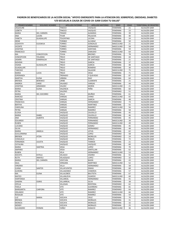| <b>PRIMER NOMBRE</b>           | <b>SEGUNDO NOMBRE</b> | <b>APELLIDO PATERNO</b>       | <b>APELLIDO MATERNO</b>        | <b>SEXO</b>                        | <b>EDAD</b> | <b>TERRITORIAL DE REGISTRO</b> |
|--------------------------------|-----------------------|-------------------------------|--------------------------------|------------------------------------|-------------|--------------------------------|
| JAQUELINE                      |                       | <b>TINOCO</b>                 | VAZQUEZ                        | <b>FEMENINA</b>                    | 21          | ALCALDÍA GAM                   |
| LIZBETH                        |                       | <b>TINOCO</b>                 | VAZQUEZ                        | <b>FEMENINA</b>                    | 23          | ALCALDÍA GAM                   |
| <b>MARIA</b>                   | <b>DEL CARMEN</b>     | <b>TIRADO</b>                 | <b>ALMARAS</b>                 | <b>FEMENINA</b>                    | 39          | ALCALDÍA GAM                   |
| ANA                            | LAURA                 | <b>TIVAR</b>                  | PALACIOS                       | <b>FEMENINA</b>                    | 40          | ALCALDÍA GAM                   |
| YANETH                         | <b>GUADALUPE</b>      | TOLENTINO                     | LICONA                         | <b>FEMENINA</b>                    | 24          | ALCALDÍA GAM                   |
| <b>IRENE</b>                   |                       | <b>TORIBIO</b>                | <b>ALCARAZ</b>                 | <b>FEMENINA</b>                    | 50          | ALCALDÍA GAM                   |
| <b>JOZAFATH</b>                | <b>ELEGWUA</b>        | <b>TORRES</b>                 | GONZALEZ                       | MASCULINO                          | 21          | ALCALDÍA GAM                   |
| <b>VICENTE</b>                 |                       | <b>TORRES</b>                 | HERNANDEZ                      | MASCULINO                          | 58          | ALCALDÍA GAM                   |
| <b>JOSEFINA</b>                |                       | <b>TORRES</b>                 | SANTANA                        | <b>FEMENINA</b>                    | 59          | ALCALDÍA GAM                   |
| <b>FRANCISCO</b>               |                       | <b>TORRES</b>                 | ZAMUDIO                        | MASCULINO                          | 64          | ALCALDÍA GAM                   |
| MA.                            | CONCEPCION            | <b>TOVIA</b>                  | <b>BRIONES</b>                 | <b>FEMENINA</b>                    | 78          | ALCALDÍA GAM                   |
| CONCEPCION                     | YOLANDA               | <b>TREJO</b>                  | DE SANTIAGO                    | <b>FEMENINA</b>                    | 44          | ALCALDÍA GAM                   |
| <b>JASMIN</b>                  | ESMERALDA             | <b>TREJO</b>                  | DE SANTIAGO                    | <b>FEMENINA</b>                    | 21          | ALCALDÍA GAM                   |
| <b>NOHEMI</b>                  |                       | <b>TREJO</b>                  | <b>GARCIA</b>                  | <b>FEMENINA</b>                    | 37          | ALCALDÍA GAM                   |
| OSANA                          | <b>GUADALUPE</b>      | <b>TREJO</b>                  | <b>GARCIA</b>                  | <b>FEMENINA</b>                    | 48          | ALCALDÍA GAM                   |
| <b>GUADALUPE</b>               |                       | <b>TREJO</b>                  | ROMERO                         | <b>FEMENINA</b>                    | 30          | ALCALDÍA GAM                   |
| <b>TARCISIO</b>                |                       | <b>TREJO</b>                  | SALAZAR                        | MASCULINO                          | 75          | ALCALDÍA GAM                   |
| <b>MARIA</b>                   | LUCIA                 | <b>TREJO</b>                  | VEGA                           | <b>FEMENINA</b>                    | 71          | ALCALDÍA GAM                   |
| ESPERANZA                      |                       | TRENADO                       | Y QUEVEDO                      | <b>FEMENINA</b>                    | 87          | ALCALDÍA GAM                   |
| <b>MARTHA</b>                  | <b>ELENA</b>          | <b>URBINA</b>                 | <b>DIAZ</b>                    | <b>FEMENINA</b>                    | 64          | ALCALDÍA GAM                   |
| <b>BRENDA</b>                  | <b>BERENICE</b>       | URIBE                         | <b>CLEMENTE</b>                | <b>FEMENINA</b>                    | 21          | ALCALDÍA GAM                   |
| <b>ANDREA</b>                  | <b>UNISE</b>          | VALADEZ                       | VARGAS                         | <b>FEMENINA</b>                    | 44          | ALCALDÍA GAM                   |
| <b>JOSEFINA</b>                | ARMANDO               | VALDEZ                        | <b>MORIN</b>                   | MASCULINO                          | 21          | ALCALDÍA GAM                   |
| <b>MARIA</b>                   | <b>ELENA</b>          | VALENCIA                      | PEÑA                           | <b>FEMENINA</b>                    | 60<br>51    | ALCALDÍA GAM                   |
| PETRA                          |                       | VALERIO                       | MUÑOZ                          | <b>FEMENINO</b>                    | 61          | ALCALDÍA GAM                   |
| <b>MARIA</b><br><b>NARCISO</b> | DEL SOCORRO           | VALLE<br>VARGAS               | <b>CHINO</b>                   | <b>FEMENINA</b><br>MASCULINO       | 65          | ALCALDÍA GAM<br>ALCALDÍA GAM   |
| CRISTINA                       |                       | VARGAS                        | <b>GARCIA</b>                  | <b>FEMENINA</b>                    | 48          | ALCALDÍA GAM                   |
| <b>FRANCISCA</b>               |                       | VARGAS                        | HERNANDEZ                      | <b>FEMENINO</b>                    | 73          | ALCALDÍA GAM                   |
| <b>BERTHA</b>                  |                       | VARGAS                        | MARTINEZ                       | <b>FEMENINA</b>                    | 55          | ALCALDÍA GAM                   |
| CAROLINA                       |                       | VARGAS                        | RAMIREZ                        | <b>MASCULINO</b>                   | 56          | ALCALDÍA GAM                   |
| <b>PETRA</b>                   |                       | VARGAS                        | RAMIREZ                        | <b>FEMENINA</b>                    | 58          | ALCALDÍA GAM                   |
| <b>ELOISA</b>                  |                       | VAZQUEZ                       | CAUDILLO                       | <b>FEMENINA</b>                    | 45          | ALCALDÍA GAM                   |
| <b>MARIA</b>                   | <b>ISABEL</b>         | VAZQUEZ                       | CAUDILLO                       | <b>FEMENINA</b>                    | 46          | ALCALDÍA GAM                   |
| ANA                            | <b>ALBERTA</b>        | VAZQUEZ                       | FERNANDEZ                      | <b>FEMENINA</b>                    | 45          | ALCALDÍA GAM                   |
| EDUARDO                        |                       | VAZQUEZ                       | FERNANDEZ                      | <b>MASCULINO</b>                   | 39          | ALCALDÍA GAM                   |
| <b>RUBEN</b>                   |                       | VAZQUEZ                       | FERNANDEZ                      | MASCULINO                          | 49          | ALCALDÍA GAM                   |
| <b>LUCIANA</b>                 |                       | VAZQUEZ                       | GOMEZ                          | <b>FEMENINA</b>                    | 45          | ALCALDÍA GAM                   |
| SILVIA                         |                       | VAZQUEZ                       | HERNANDEZ                      | <b>FEMENINA</b>                    | 48          | ALCALDÍA GAM                   |
| <b>MARIA</b>                   | ANGELA                | VAZQUEZ                       | LEYVA                          | <b>FEMENINA</b>                    | 62          | ALCALDÍA GAM                   |
| <b>GUILLERMINA</b>             |                       | VAZQUEZ                       | LOPEZ                          | <b>FEMENINO</b>                    | 58          | ALCALDÍA GAM                   |
| <b>BRENDA</b>                  | <b>ATZIN</b>          | VAZQUEZ                       | <b>MORELOS</b>                 | <b>FEMENINO</b>                    | 24          | ALCALDÍA GAM                   |
| CONSUELO<br>FERNANDA           | <b>JULIETA</b>        | VAZQUEZ<br>VAZQUEZ            | <b>ROBLES</b><br><b>TANNOS</b> | <b>FEMENINA</b><br><b>FEMENINA</b> | 72<br>21    | ALCALDÍA GAM<br>ALCALDÍA GAM   |
| CATALINA                       |                       | VAZQUEZ                       | VAZQUEZ                        | <b>FEMENINA</b>                    | 60          | ALCALDÍA GAM                   |
| <b>MARIA</b>                   | <b>SIMITRIA</b>       | VEGA                          | LOPEZ                          | <b>FEMENINA</b>                    | 70          | ALCALDÍA GAM                   |
| <b>AMPARO</b>                  |                       | <b>VEGA</b>                   | SANTILLAN                      | <b>FEMENINA</b>                    | 62          | ALCALDÍA GAM                   |
| <b>RUBEN</b>                   |                       | VELA                          | HERNANDEZ                      | MASCULINO                          | 53          | ALCALDÍA GAM                   |
| <b>XOCHITL</b>                 | ESTELA                | VELASCO                       | <b>OSORIO</b>                  | FEMENINA                           | 55          | ALCALDÍA GAM                   |
| <b>RUTH</b>                    | ANAYELI               | VELAZQUEZ                     | LOPEZ                          | <b>FEMENINO</b>                    | 32          | ALCALDÍA GAM                   |
| <b>MARIA</b>                   | DEL CARMEN            | VENTURA                       | BAXIN                          | FEMENINA                           | 43          | ALCALDÍA GAM                   |
| SAUL                           |                       | VERGARA                       | MARTINEZ                       | MASCULINO                          | 52          | ALCALDÍA GAM                   |
| <b>VIRGINIA</b>                |                       | VILLA                         | HERNANDEZ                      | <b>FEMENINA</b>                    | 58          | ALCALDÍA GAM                   |
| <b>JUANA</b>                   | SANTOS                | VILLAFUENTES                  | <b>DIMAS</b>                   | <b>FEMENINA</b>                    | 68          | ALCALDÍA GAM                   |
| <b>AURORA</b>                  |                       | VILLAGOMEZ                    | <b>CISNEROS</b>                | <b>FEMENINA</b>                    | 57          | ALCALDÍA GAM                   |
| MA.                            | ELENA                 | <b>VILLALOBOS</b>             | <b>BAUTISTA</b>                | <b>FEMENINA</b>                    | 67          | ALCALDÍA GAM                   |
| <b>MATEO</b>                   |                       | VILLANUEVA                    | <b>OLMEDO</b>                  | MASCULINO                          | 60          | ALCALDÍA GAM                   |
| <b>HORTENSIA</b><br>SANDRA     |                       | VILLAREAL                     | HERNANDEZ                      | <b>FEMENINA</b>                    | 41          | ALCALDÍA GAM                   |
| <b>OFELIA</b>                  | <b>OSIRIS</b>         | VILLARREAL<br><b>VILLEGAS</b> | SILVA<br>RENTERIA              | <b>FEMENINA</b><br><b>FEMENINO</b> | 38<br>62    | ALCALDÍA GAM<br>ALCALDÍA GAM   |
| <b>FIDELA</b>                  |                       | <b>VITE</b>                   | <b>GUERRERO</b>                | <b>FEMENINA</b>                    | 81          | ALCALDÍA GAM                   |
| <b>MARGARITA</b>               | CARFORA               | <b>VITE</b>                   | RAMIREZ                        | <b>FEMENINO</b>                    | 64          | ALCALDÍA GAM                   |
| ORLANDO                        |                       | <b>VITE</b>                   | RAMIREZ                        | MASCULINO                          | 66          | ALCALDÍA GAM                   |
| <b>ROSALBA</b>                 |                       | <b>VITE</b>                   | RAMIREZ                        | <b>FEMENINA</b>                    | 54          | ALCALDÍA GAM                   |
| LUZ                            | MARIA                 | VIZCAYA                       | CRUZ                           | <b>FEMENINA</b>                    | 70          | ALCALDÍA GAM                   |
| <b>BRENDA</b>                  |                       | VIZCAYA                       | <b>MORALES</b>                 | <b>FEMENINA</b>                    | 31          | ALCALDÍA GAM                   |
| <b>MONICA</b>                  |                       | VIZCAYA                       | <b>MORALES</b>                 | FEMENINA                           | 32          | ALCALDÍA GAM                   |
| WENDY                          |                       | VIZCAYA                       | <b>MORALES</b>                 | <b>FEMENINA</b>                    | 25          | ALCALDÍA GAM                   |
| ALEJANDRO                      | FERMIN                | YAÑEZ                         | <b>IGNACIO</b>                 | MASCULINO                          | 36          | ALCALDÍA GAM                   |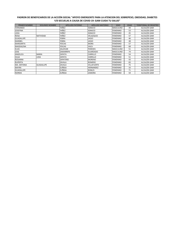| <b>PRIMER NOMBRE</b> | <b>SEGUNDO NOMBRE</b> | <b>APELLIDO PATERNO</b> | <b>APELLIDO MATERNO</b> | <b>SEXO</b>      | <b>EDAD</b> | <b>TERRITORIAL DE REGISTRO</b> |
|----------------------|-----------------------|-------------------------|-------------------------|------------------|-------------|--------------------------------|
| <b>FERNANDO</b>      |                       | YAÑEZ                   | <b>IGNACIO</b>          | <b>MASCULINO</b> | 49          | ALCALDÍA GAM                   |
| <b>JOSEFINA</b>      |                       | YAÑEZ                   | <b>IGNACIO</b>          | <b>FEMENINO</b>  | 53          | ALCALDÍA GAM                   |
| LIDIA                |                       | YAÑEZ                   | <b>IGNACIO</b>          | <b>FEMENINO</b>  | 45          | ALCALDÍA GAM                   |
| <b>ROSA</b>          | <b>NATIVIDAD</b>      | YAÑEZ                   | VELAZQUEZ               | <b>FEMENINO</b>  | 57          | ALCALDÍA GAM                   |
| <b>GUADALUPE</b>     |                       | <b>YEBRA</b>            | <b>JASSO</b>            | <b>FEMENINO</b>  | 46          | ALCALDÍA GAM                   |
| <b>MARIBEL</b>       |                       | <b>YEBRA</b>            | <b>JASSO</b>            | <b>FEMENINO</b>  | 48          | ALCALDÍA GAM                   |
| <b>MARGARITA</b>     |                       | <b>YESCAS</b>           | <b>MORA</b>             | <b>FEMENINO</b>  | 57          | ALCALDÍA GAM                   |
| <b>MAGDALENA</b>     |                       | YESCAS                  | <b>VACA</b>             | <b>FEMENINO</b>  | 68          | ALCALDÍA GAM                   |
| <b>ELIAS</b>         |                       | ZALDIVAR                | <b>PAREDES</b>          | <b>MASCULINO</b> | 51          | ALCALDÍA GAM                   |
| <b>JOSE</b>          |                       | ZAMARRIPA               | <b>GUARDADO</b>         | <b>MASCULINO</b> | 74          | ALCALDÍA GAM                   |
| ANGELICA             | <b>MARIA</b>          | ZAPATA                  | CARRILLO                | <b>FEMENINO</b>  | 54          | ALCALDÍA GAM                   |
| <b>OLGA</b>          | <b>LIDIA</b>          | ZAPATA                  | CARRILLO                | <b>FEMENINO</b>  | 51          | ALCALDÍA GAM                   |
| <b>ROSANNA</b>       |                       | ZAPATERO                | <b>MORENO</b>           | <b>FEMENINO</b>  | 43          | ALCALDÍA GAM                   |
| <b>RUPERTA</b>       |                       | ZAVALA                  | <b>ROMERO</b>           | <b>FEMENINO</b>  | 83          | ALCALDÍA GAM                   |
| MA. ANTONIA          | <b>GUADALUPE</b>      | ZAVALA                  | <b>VILLAFUERTE</b>      | <b>FEMENINO</b>  | 75          | ALCALDÍA GAM                   |
| <b>MAYRA</b>         |                       | ZUÑIGA                  | <b>HERNANDEZ</b>        | <b>FEMENINO</b>  | 33          | ALCALDÍA GAM                   |
| <b>GUADALUPE</b>     |                       | ZUÑIGA                  | <b>ROBLES</b>           | <b>FEMENINO</b>  | 71          | ALCALDÍA GAM                   |
| <b>NORMA</b>         |                       | ZUÑIGA                  | ZAMORA                  | <b>FEMENINO</b>  | 59          | ALCALDÍA GAM                   |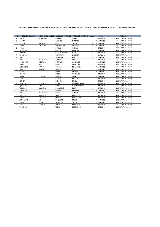#### **PADRON DE BENEFICIARIOS DE LA ACCION SOCIAL "APOYO EMERGENTE PARA LOS HABITANTES DE LA UNIDAD HAB SAN JUAN DE ARAGON 1rA SECCION" 2021**

| <b>CONS</b>    | <b>PRIMER NOMBRE</b> | <b>SEGUNDO NOMBRE</b> | <b>APELLIDO PATERNO</b> | <b>APELLIDO MATERNO</b> | <b>EDAD</b> | <b>SEXO</b>      | <b>ALCALDIA</b>          |
|----------------|----------------------|-----------------------|-------------------------|-------------------------|-------------|------------------|--------------------------|
| 1              | SANDRA               | <b>FLORENCIA</b>      | <b>BECERRIL</b>         | ZAFRA                   | 55          | <b>FEMENINO</b>  | GUSTAVO A. MADERO        |
| $\overline{2}$ | <b>ADRIAN</b>        |                       | CASTILLO                | RAMIREZ                 | 24          | MASCULINO        | <b>GUSTAVO A. MADERO</b> |
| 3              | <b>VICTOR</b>        | <b>MANUEL</b>         | CASTRO                  | SALGADO                 | 54          | MASCULINO        | <b>GUSTAVO A. MADERO</b> |
| 4              | <b>BRIAN</b>         | <b>ANTONIO</b>        | <b>DOMINGUEZ</b>        | <b>ALVAREZ</b>          | 20          | <b>MASCULINO</b> | <b>GUSTAVO A. MADERO</b> |
| 5              | <b>OLIVIA</b>        |                       | <b>DURAN</b>            | VARGAS                  | 56          | <b>FEMENINO</b>  | <b>GUSTAVO A. MADERO</b> |
| 6              | <b>EDUARDO</b>       |                       | <b>GARCIA</b>           | CAMPOS                  | 61          | MASCULINO        | <b>GUSTAVO A. MADERO</b> |
| 7              | <b>LUCINA</b>        |                       | <b>GARCIA TORRES</b>    | <b>GAXIOLA</b>          | 60          | <b>FEMENINO</b>  | <b>GUSTAVO A. MADERO</b> |
| 8              | YOLANDA              |                       | <b>GUTIERREZ</b>        | RAMIREZ                 | 74          | <b>FEMENINO</b>  | GUSTAVO A. MADERO        |
| 9              | <b>ERIK</b>          |                       | <b>JAUREGUI</b>         | RUIZ                    | 50          | <b>MASCULINO</b> | GUSTAVO A. MADERO        |
| 10             | <b>MARIA</b>         | <b>DE LOURDES</b>     | <b>JUAREZ</b>           | VEGA                    | 57          | <b>FEMENINO</b>  | <b>GUSTAVO A. MADERO</b> |
| 11             | CONCEPCION           | <b>ZEFERINO</b>       | <b>MORALES</b>          | GONZALEZ                | 71          | <b>MASCULINO</b> | <b>GUSTAVO A. MADERO</b> |
| 12             | LAURA                | LEIVY                 | <b>NOGALES</b>          | GONZALEZ                | 36          | <b>FEMENINO</b>  | <b>GUSTAVO A. MADERO</b> |
| 13             | <b>ALEJANDRO</b>     | <b>MARIO</b>          | ORTEGA                  | DE LA VEGA              | 59          | MASCULINO        | <b>GUSTAVO A. MADERO</b> |
| 14             | <b>LUIS</b>          | <b>ALBERTO</b>        | PARDO                   | PEREZ                   | 20          | MASCULINO        | <b>GUSTAVO A. MADERO</b> |
| 15             | CAMILO               |                       | PEREZ                   | GOMEZ                   | 73          | MASCULINO        | <b>GUSTAVO A. MADERO</b> |
| 16             | LIZBETH              |                       | PEREZ                   | GONZALEZ                | 46          | <b>FEMENINO</b>  | <b>GUSTAVO A. MADERO</b> |
| 17             | PEDRO                | CATARINO              | PRADO                   | TADEO                   | 51          | <b>MASCULINO</b> | GUSTAVO A. MADERO        |
| 18             | <b>ISABEL</b>        |                       | RAMIREZ                 | <b>DUARTE</b>           | 71          | <b>FEMENINO</b>  | <b>GUSTAVO A. MADERO</b> |
| 19             | <b>ESTHER</b>        |                       | <b>RENDON</b>           | <b>ROCHA</b>            | 91          | <b>FEMENINO</b>  | GUSTAVO A. MADERO        |
| 20             | <b>NANTZIN</b>       | <b>ACHTLI</b>         | <b>REYES</b>            | <b>GARCIA TORRES</b>    | 39          | <b>FEMENINO</b>  | <b>GUSTAVO A. MADERO</b> |
| 21             | QUETZALLI            | ANAI                  | <b>REYES</b>            | <b>GARCIA TORRES</b>    | 37          | <b>FEMENINO</b>  | <b>GUSTAVO A. MADERO</b> |
| 22             | TRINIDAD             | <b>GRACIELA</b>       | <b>RODRIGUEZ</b>        | RUIZ                    | 68          | <b>FEMENINO</b>  | <b>GUSTAVO A. MADERO</b> |
| 23             | <b>ALEJANDRO</b>     |                       | <b>ROMERO</b>           | RAMIREZ                 | 46          | MASCULINO        | <b>GUSTAVO A. MADERO</b> |
| 24             | <b>MARIA</b>         | <b>DE LOURDES</b>     | RUIZ                    | ZUÑIGA                  | 73          | <b>FEMENINO</b>  | <b>GUSTAVO A. MADERO</b> |
| 25             | PAMELA               | <b>GUADALUPE</b>      | <b>SCULLY</b>           | <b>RODRIGUEZ</b>        | 32          | <b>FEMENINO</b>  | <b>GUSTAVO A. MADERO</b> |
| 26             | PAOLA                | <b>GRACIELA</b>       | <b>SCULLY</b>           | <b>RODRIGUEZ</b>        | 37          | <b>FEMENINO</b>  | <b>GUSTAVO A. MADERO</b> |
| 27             | <b>JEAN CARLO</b>    | ALI                   | <b>TOQUERO</b>          | SALEH                   | 44          | <b>MASCULINO</b> | <b>GUSTAVO A. MADERO</b> |
| 28             | <b>JORGE</b>         | <b>EDGAR</b>          | <b>TOQUERO</b>          | SALEH                   | 49          | MASCULINO        | <b>GUSTAVO A. MADERO</b> |
| 29             | <b>ANA</b>           | <b>PATRICIA</b>       | TRILLO                  | HERNANDEZ               | 61          | <b>FEMENINO</b>  | <b>GUSTAVO A. MADERO</b> |
| 30             | YOLANDA              |                       | TRILLO                  | HERNANDEZ               | 63          | <b>FEMENINO</b>  | <b>GUSTAVO A. MADERO</b> |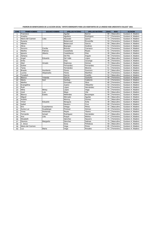| PADRON DE BENEFICIARIOS DE LA ACCION SOCIAL "APOYO EMERGENTE PARA LOS HABITANTES DE LA UNIDAD HAB LINDAVISTA VALLEJO" 2021 |  |
|----------------------------------------------------------------------------------------------------------------------------|--|
|----------------------------------------------------------------------------------------------------------------------------|--|

| <b>CONS</b>    | <b>PRIMER NOMBRE</b> | <b>SEGUNDO NOMBRE</b> | <b>APELLIDO PATERNO</b> | <b>APELLIDO MATERNO</b> | <b>EDAD</b>     | <b>SEXO</b> | <b>ALCALDIA</b>   |
|----------------|----------------------|-----------------------|-------------------------|-------------------------|-----------------|-------------|-------------------|
| 1              | Francisco            |                       | Aguilar                 | Barron                  | 89              | Masculino   | Gustavo A. Madero |
| $\overline{2}$ | Ariadna              |                       | Aguilera                | Rodríguez               | 57              | Femenino    | Gustavo A. Madero |
| 3              | María del Carmen     | Lidia                 | Alvarado                | Quiroz                  | 73              | Femenino    | Gustavo A. Madero |
| $\overline{4}$ | Susana               |                       | Betancourt              | Escamilla               | 53              | Femenino    | Gustavo A. Madero |
| 5              | Alberto              |                       | Betancourt              | García                  | 50              | Masculino   | Gustavo A. Madero |
| 6              | Alicia               |                       | <b>Bojorges</b>         | Godinez                 | 51              | Femenino    | Gustavo A. Madero |
| $\overline{7}$ | Socorro              | Cecilia               | Briones                 | Carrasco                | 51              | Femenino    | Gustavo A. Madero |
| 8              | Martha               | Patricia              | Castañeda               | Reyes                   | 61              | Femenino    | Gustavo A. Madero |
| 9              | Ignacio              | Alberto               | Castellanos             | Díaz                    | 30              | Masculino   | Gustavo A. Madero |
| 10             | Adriana              |                       | Del Rio                 | Angulo                  | 58              | Femenino    | Gustavo A. Madero |
| 11             | Angel                | Eduardo               | Del Valle               | López                   | 49              | Masculino   | Gustavo A. Madero |
| 12             | Erika                |                       | Díaz                    | Uzcanga                 | 46              | Femenino    | Gustavo A. Madero |
| 13             | Abel                 | Amado                 | Espinosa                | Gómez                   | 70              | Masculino   | Gustavo A. Madero |
| 14             | Esther               |                       | Fernandez               | Fernandez               | 57              | Femenino    | Gustavo A. Madero |
| 15             | Tania                |                       | Fernández               | Moreno                  | 51              | Femenino    | Gustavo A. Madero |
| 16             | <b>Braulio</b>       | Humberto              | <b>Flores</b>           | Guerrero                | $\overline{37}$ | Masculino   | Gustavo A. Madero |
| 17             | Lucina               | Alejanadra            | Flores                  | Martiñon                | 49              | Femenino    | Gustavo A. Madero |
| 18             | Tonatiuh             |                       | García                  | Castillo                | 52              | Masculino   | Gustavo A. Madero |
| 19             | <b>Blanca</b>        | Yolanda               | García                  | Garduño                 | 58              | Femenino    | Gustavo A. Madero |
| 20             | María                | Itzel                 | Garibay                 | Calderón                | 41              | Femenino    | Gustavo A. Madero |
| 21             | Martha               |                       | Gonzalez                | Silva                   | 80              | Femenino    | Gustavo A. Madero |
| 22             | Evangelina           |                       | Juarez                  | Villaseñor              | 53              | Femenino    | Gustavo A. Madero |
| 23             | Ruth                 |                       | López                   | Hernández               | 58              | Femenino    | Gustavo A. Madero |
| 24             | Mirta                | Miney                 | López                   | Vega                    | 62              | Femenino    | Gustavo A. Madero |
| 25             | José                 | Luis                  | Maya                    | Vite                    | 55              | Masculino   | Gustavo A. Madero |
| 26             | <b>Blanca</b>        | Estela                | Meléndez                | Bocanegra               | 58              | Femenino    | Gustavo A. Madero |
| 27             | Miguel               |                       | Mercado                 | Aguilar                 | 46              | Masculino   | Gustavo A. Madero |
| 28             | Andrés               |                       | Monroy                  | Gomez                   | 52              | Masculino   | Gustavo A. Madero |
| 29             | Víctor               | Eduardo               | Munguía                 | Ávila                   | 39              | Masculino   | Gustavo A. Madero |
| 30             | Isabel               |                       | Navarro                 | Cruz                    | 68              | Femenino    | Gustavo A. Madero |
| 31             | Eric                 | Cuauhtemoc            | Ortega                  | Pérez                   | $\overline{32}$ | Masculino   | Gustavo A. Madero |
| 32             | Aurea Luz            | Guadalupe             | Preisser                | Gómez                   | 48              | Femenino    | Gustavo A. Madero |
| 33             | Yrma                 | Hortensia             | Reyes                   | Ybarra                  | 70              | Femenino    | Gustavo A. Madero |
| 34             | Fernando             | Ismael                | Rodríguez               | Hernández               | 47              | Masculino   | Gustavo A. Madero |
| 35             | Ana                  | Lilia                 | Roque                   | Molina                  | 37              | Femenino    | Gustavo A. Madero |
| 36             | Elizabeth            |                       | Sánchez                 | Navarro                 | 75              | Femenino    | Gustavo A. Madero |
| 37             | Dionicio             | Margarito             | Sánchez                 | Salinas                 | 75              | Masculino   | Gustavo A. Madero |
| 38             | J. Jesus             |                       | Sosa                    | Peñaloza                | 59              | Masculino   | Gustavo A. Madero |
| 39             | Maria del Carmen     |                       | Vega                    | Pintor                  | 85              | Femenino    | Gustavo A. Madero |
| 40             | Luz                  | Maria                 | Vega                    | <b>Rosales</b>          | 62              | Femenino    | Gustavo A. Madero |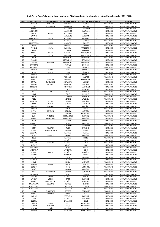# **Padrón de Beneficiarios de la Acción Social "Mejoramiento de vivienda en situación prioritaria 2021 (FAIS)"**

| CONS.          | PRIMER NOMBRE          | <b>SEGUNDO NOMBRE</b> | <b>APELLIDO PATERNO</b>            | <b>APELLIDO MATERNO</b> | <b>EDAD</b> | <b>SEXO</b>                        | <b>ALCALDIA</b>                                      |
|----------------|------------------------|-----------------------|------------------------------------|-------------------------|-------------|------------------------------------|------------------------------------------------------|
| $\mathbf{1}$   | ADRIAN                 | <b>GENARO</b>         | ROMERO                             | <b>BUSTOS</b>           | 44          | MASCULINO                          | <b>GUSTAVO A. MADERO</b>                             |
| 2              | <b>FIDEL</b>           | <b>FERNANDO</b>       | SANTIAGO                           | AGUILAR                 | 65          | MASCULINO                          | <b>GUSTAVO A. MADERO</b>                             |
| 3              | KAREN                  |                       | MARTINEZ                           | SANTIAGO                | 29          | <b>FEMENINO</b>                    | <b>GUSTAVO A. MADERO</b>                             |
| 4              | ALEJANDRA              |                       | MARTINEZ                           | SANTIAGO                | 30          | <b>FEMENINO</b>                    | <b>GUSTAVO A. MADERO</b>                             |
| 5              | SANTA                  | <b>IRENE</b>          | MARTINEZ                           | <b>TIAGO</b>            | 24          | <b>FEMENINO</b>                    | <b>GUSTAVO A. MADERO</b>                             |
| 6              | SARAHI                 |                       | <b>ALVARADO</b>                    | SAGUILAN                | 39          | <b>FEMENINO</b>                    | <b>GUSTAVO A. MADERO</b>                             |
| $\overline{7}$ | MARGARITA              | <b>ELIZETH</b>        | <b>ALVARADO</b>                    | AGUILAN                 | 42          | <b>FEMENINO</b>                    | <b>GUSTAVO A. MADERO</b>                             |
| 8              | CARLOS                 |                       | <b>GALINDO</b>                     | GÓMEZ                   | 32          | MASCULINO                          | <b>GUSTAVO A. MADERO</b>                             |
| 9              | MARGARITA              | <b>ISABEL</b>         | <b>GALINDO</b>                     | GÓMEZ                   | 20          | <b>FEMENINO</b>                    | <b>GUSTAVO A. MADERO</b>                             |
| 10             | RENE                   |                       | SÁNCHEZ                            | JIMÉNEZ                 | 33          | MASCULINO                          | <b>GUSTAVO A. MADERO</b>                             |
| 11             | <b>IVONNE</b>          | MIREYA                | <b>BARRERA</b>                     | ARREDONDO               | 51          | <b>FEMENINO</b>                    | <b>GUSTAVO A. MADERO</b>                             |
| 12             | <b>IRMA</b>            |                       | <b>CORTES</b>                      | <b>BARRERA</b>          | 37          | <b>FEMENINO</b>                    | <b>GUSTAVO A. MADERO</b>                             |
| 13             | MARIA                  | JANET                 | <b>BARRERA</b>                     | ARREDONDO               | 42          | <b>FEMENINO</b>                    | <b>GUSTAVO A. MADERO</b>                             |
| 14             | <b>FLOR</b>            | <b>BELEN</b>          | <b>BARRERA</b>                     | ARREDONDO               | 46          | <b>FEMENINO</b>                    | <b>GUSTAVO A. MADERO</b>                             |
| 15             | JAIME                  |                       | FERNÁNDEZ                          | HERNÁNDEZ               | 52          | MASCULINO                          | <b>GUSTAVO A. MADERO</b>                             |
| 16             | AMALIA                 |                       | FERNÁNDEZ                          | HERNÁNDEZ               | 54          | <b>FEMENINO</b>                    | <b>GUSTAVO A. MADERO</b>                             |
| 17             | <b>CYNTHIA</b>         | <b>BERENICE</b>       | FERNÁNDEZ                          | HERNÁNDEZ               | 40          | <b>FEMENINO</b>                    | <b>GUSTAVO A. MADERO</b>                             |
| 18             | NATIVIDAD              |                       | <b>TEOFILO</b>                     | <b>DOLORES</b>          | 54          | <b>FEMENINO</b>                    | <b>GUSTAVO A. MADERO</b>                             |
| 19             | <b>PORFIRIO</b>        |                       | PÉREZ                              | SÁNCHEZ                 | 55          | MASCULINO                          | <b>GUSTAVO A. MADERO</b>                             |
| 20             | MARTHA                 | YADIRA                | PÉREZ                              | SÁNCHEZ                 | 39          | <b>FEMENINO</b>                    | <b>GUSTAVO A. MADERO</b>                             |
| 21             | <b>ROSA</b>            | <b>MARIA</b>          | PÉREZ                              | SÁNCHEZ                 | 51          | <b>FEMENINO</b>                    | <b>GUSTAVO A. MADERO</b>                             |
| 22             | MANUEL                 |                       | PÉREZ                              | SÁNCHEZ                 | 53          | MASCULINO                          | <b>GUSTAVO A. MADERO</b>                             |
| 23             | <b>NICOLAS</b>         |                       | <b>TENORIO</b>                     | SANTOS                  | 49          | MASCULINO                          | <b>GUSTAVO A. MADERO</b>                             |
| 24             | MARIA                  | GABRIELA              |                                    | CERVANTES               | 33          | <b>FEMENINO</b>                    |                                                      |
| 25             | MARIA                  | <b>GUADALUPE</b>      | <b>ESTRADA</b><br><b>CERVANTES</b> | <b>MOLINA</b>           | 52          | <b>FEMENINO</b>                    | <b>GUSTAVO A. MADERO</b><br><b>GUSTAVO A. MADERO</b> |
| 26             | <b>NICOLAS</b>         | <b>ABUNDIO</b>        |                                    | MARTINEZ                | 52          |                                    |                                                      |
| 27             | SOLEDAD                |                       | <b>TOLENTINO</b><br>ANTUNEZ        | MARTÍNEZ                | 56          | MASCULINO<br><b>FEMENINO</b>       | <b>GUSTAVO A. MADERO</b>                             |
| 28             | LETICIA                |                       | CRUZ                               | MIRANDA                 | 60          | <b>FEMENINO</b>                    | <b>GUSTAVO A. MADERO</b><br><b>GUSTAVO A. MADERO</b> |
|                |                        |                       |                                    | <b>CELAYOS</b>          |             |                                    |                                                      |
| 29<br>30       | JOSE<br>JAIME          | LUIS                  | LÓPEZ<br>CRUZ                      | HEREDIA                 | 30<br>60    | MASCULINO<br>MASCULINO             | <b>GUSTAVO A. MADERO</b><br><b>GUSTAVO A. MADERO</b> |
| 31             | <b>JESUS</b>           |                       | LUGARDO                            | CELAYOS                 | 32          | MASCULINO                          |                                                      |
| 32             | <b>FIDEL</b>           |                       | MÉNDEZ                             |                         | 49          | MASCULINO                          | <b>GUSTAVO A. MADERO</b>                             |
| 33             |                        | <b>ELVIRA</b>         | CHAVEZ                             | VALENCIA                | 34          |                                    | <b>GUSTAVO A. MADERO</b>                             |
| 34             | MARLENI<br><b>IRMA</b> | YERENI                |                                    | MARTINEZ<br>MARTINEZ    | 36          | <b>FEMENINO</b><br><b>FEMENINO</b> | <b>GUSTAVO A. MADERO</b>                             |
| 35             | <b>NOEMI</b>           | MAGALI                | CHAVEZ<br>CHAVEZ                   | MARTÍNEZ                | 38          | <b>FEMENINO</b>                    | <b>GUSTAVO A. MADERO</b>                             |
| 36             | <b>MARCOS</b>          |                       | DE LUNA                            | GARCIA                  | 41          | MASCULINO                          | <b>GUSTAVO A. MADERO</b><br><b>GUSTAVO A. MADERO</b> |
| 37             | <b>DIANA</b>           | MARLEN                | DE LUNA                            | LUGARDO                 | 20          | <b>FEMENINO</b>                    | <b>GUSTAVO A. MADERO</b>                             |
| 38             | <b>IRENE</b>           |                       | SALAZAR                            | RODRIGUEZ               | 39          | <b>FEMENINO</b>                    | <b>GUSTAVO A. MADERO</b>                             |
| 39             | LUIS                   | <b>ANTONIO</b>        | HERNÁNDEZ                          | RAMÍREZ                 | 30          | MASCULINO                          | <b>GUSTAVO A. MADERO</b>                             |
| 40             | MARIA                  | MAGDALENA             | HERNÁNDEZ                          | RAMIREZ                 | 32          | <b>FEMENINO</b>                    | <b>GUSTAVO A. MADERO</b>                             |
| 41             | <b>ROSA</b>            |                       | AGUILAR                            | SÁNCHEZ                 | 74          | <b>FEMENINO</b>                    | <b>GUSTAVO A. MADERO</b>                             |
| 42             | <b>AGUSTIN</b>         |                       | LUIS                               | AGUILAR                 | 45          | MASCULINO                          | <b>GUSTAVO A. MADERO</b>                             |
| 43             | <b>CIRO</b>            |                       | GUTÍERREZ                          | GUTÍERREZ               | 66          | MASCULINO                          | <b>GUSTAVO A. MADERO</b>                             |
| 44             | <b>ROSA</b>            | <b>MARTHA</b>         | RUÍZ                               | SÁNCHEZ                 | 55          | <b>FEMENINO</b>                    | <b>GUSTAVO A. MADERO</b>                             |
| 45             | <b>JUANA</b>           | <b>MARIA DE JESUS</b> | <b>PRADO</b>                       | LOPEZ                   | 61          | <b>FEMENINO</b>                    | <b>GUSTAVO A. MADERO</b>                             |
| 46             | <b>JOSEFINA</b>        |                       | RAMÍREZ                            | <b>IBARRA</b>           | 60          | <b>FEMENINO</b>                    | <b>GUSTAVO A. MADERO</b>                             |
| 47             | LUIS                   | <b>ENRIQUE</b>        | ZARATE                             | RAMÍREZ                 | 27          | MASCULINO                          | <b>GUSTAVO A. MADERO</b>                             |
| 48             | <b>JESUS</b>           |                       | RAMÍREZ                            | PÉREZ                   | 77          | MASCULINO                          | <b>GUSTAVO A. MADERO</b>                             |
| 49             | <b>MIRIAM</b>          |                       | RAMÍREZ                            | <b>SOTO</b>             | 48          | <b>FFMFNINO</b>                    | GUSTAVO A. MADERO                                    |
| 50             | CRISTIAN               | <b>ANTHONY</b>        | RAMÍREZ                            | SOTO                    | 21          | MASCULINO                          | <b>GUSTAVO A. MADERO</b>                             |
| 51             | <b>NATALIA</b>         |                       | CHOTE                              | JOSÉ                    | 37          | <b>FEMENINO</b>                    | <b>GUSTAVO A. MADERO</b>                             |
| 52             | <b>ANTONINA</b>        |                       | ROJO                               | ANAYA                   | 69          | <b>FEMENINO</b>                    | <b>GUSTAVO A. MADERO</b>                             |
| 53             | MARITOÑA               |                       | MUÑETON                            | <b>ROJO</b>             | 47          | <b>FEMENINO</b>                    | GUSTAVO A. MADERO                                    |
| 54             | <b>JUANA</b>           | ERIKA                 | RAMÍREZ                            | GONZÁLEZ                | 48          | <b>FEMENINO</b>                    | GUSTAVO A. MADERO                                    |
| 55             | ADRIANA                |                       | CARRILLO                           | LÓPEZ                   | 34          | <b>FEMENINO</b>                    | GUSTAVO A. MADERO                                    |
| 56             | SILVIA                 |                       | <b>TAPIA</b>                       | CARRILLO                | 54          | <b>FEMENINO</b>                    | <b>GUSTAVO A. MADERO</b>                             |
| 57             | <b>PATRICIA</b>        |                       | GONZÁLEZ                           | <b>FRANCISCO</b>        | 49          | <b>FEMENINO</b>                    | <b>GUSTAVO A. MADERO</b>                             |
| 58             | JAIME                  |                       | LOERA                              | <b>AISPURO</b>          | 50          | MASCULINO                          | <b>GUSTAVO A. MADERO</b>                             |
| 59             | MAXIMA                 | <b>ALICIA</b>         | <b>AISPURO</b>                     | GARCÍA                  | 70          | <b>FEMENINO</b>                    | <b>GUSTAVO A. MADERO</b>                             |
| 60             | <b>SERGIO</b>          |                       | LÓPEZ                              | MENDOZA                 | 42          | MASCULINO                          | <b>GUSTAVO A. MADERO</b>                             |
| 61             | JOSÉ                   |                       | <b>GALICIA</b>                     | RAMÍREZ                 | 57          | MASCULINO                          | <b>GUSTAVO A. MADERO</b>                             |
| 62             | JOSÉ                   | <b>FERNANDO</b>       | <b>GALICIA</b>                     | GONZÁLEZ                | 26          | MASCULINO                          | <b>GUSTAVO A. MADERO</b>                             |
| 63             | M. JUANA               |                       | PALOS                              | <b>HINOJO</b>           | 66          | <b>FEMENINO</b>                    | <b>GUSTAVO A. MADERO</b>                             |
| 64             | MIGUEL                 | ANGEL                 | RAMÍREZ                            | <b>PALOS</b>            | 33          | MASCULINO                          | <b>GUSTAVO A. MADERO</b>                             |
| 65             | WENDY                  | <b>IVONNE</b>         | <b>BAEZ</b>                        | RAMÍREZ                 | 29          | <b>FEMENINO</b>                    | <b>GUSTAVO A. MADERO</b>                             |
| 66             | MARÍA                  | CONCEPCIÓN            | RAMÍREZ                            | <b>MIRANDA</b>          | 50          | <b>FEMENINO</b>                    | <b>GUSTAVO A. MADERO</b>                             |
| 67             | GUADALUPE              | SOLEDAD               | <b>TORRES</b>                      | GARCÍA                  | 57          | <b>FEMENINO</b>                    | <b>GUSTAVO A. MADERO</b>                             |
| 68             | <b>GUILLERMO</b>       |                       | CASTELAN                           | <b>TORRES</b>           | 33          | MASCULINO                          | <b>GUSTAVO A. MADERO</b>                             |
| 69             | <b>GUILLERMO</b>       |                       | CASTELAN                           | ORTIZ                   | 56          | MASCULINO                          | <b>GUSTAVO A. MADERO</b>                             |
| 70             | <b>JUAN</b>            | <b>RIGOBERTO</b>      | <b>TORRES</b>                      | GONZÁLEZ                | 56          | MASCULINO                          | <b>GUSTAVO A. MADERO</b>                             |
| 71             | MARIA                  | CARMEN                | GAMEZ                              | PÉREZ                   | 66          | <b>FEMENINO</b>                    | <b>GUSTAVO A. MADERO</b>                             |
| 72             | CLAUDIA                |                       | <b>ASCENCIO</b>                    | RAMIREZ                 | 29          | <b>FEMENINO</b>                    | <b>GUSTAVO A. MADERO</b>                             |
| 73             | CELIA                  |                       | RAMIREZ                            | SEGUNDO                 | 57          | <b>FEMENINO</b>                    | <b>GUSTAVO A. MADERO</b>                             |
| 74             | <b>GLORIA</b>          |                       | CAMACHO                            | CRUZ                    | 59          | <b>FEMENINO</b>                    | <b>GUSTAVO A. MADERO</b>                             |
| 75             | LIZBETH                | <b>SOFIA</b>          | <b>TREJO</b>                       | RODRÍGUEZ               | 22          | <b>FEMENINO</b>                    | <b>GUSTAVO A. MADERO</b>                             |
| 76             | SANDRA                 | <b>BERENICE</b>       | TREJO                              | RODRÍGUEZ               | 29          | <b>FEMENINO</b>                    | <b>GUSTAVO A. MADERO</b>                             |
| 77             | <b>BERTHA</b>          | <b>ROCÍO</b>          | RODRÍGUEZ                          | <b>CERRITOS</b>         | 54          | <b>FEMENINO</b>                    | <b>GUSTAVO A. MADERO</b>                             |
| 78             | <b>MARTHA</b>          | <b>TEOFILA</b>        | PESQUERA                           | HERNÁNDEZ               | 53          | <b>FEMENINO</b>                    | <b>GUSTAVO A. MADERO</b>                             |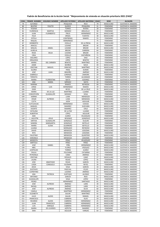#### **CONS. PRIMER NOMBRE SEGUNDO NOMBRE APELLIDO PATERNO APELLIDO MATERNO EDAD SEXO ALCALDÍA** 79 | ALFONSO | | PESQUEDA | RICO | 79 | MASCULINO | GUSTAVO A. MADERO BEATRIZ YOLETZI QUIROZ PESQUERA 31 FEMENINO GUSTAVO A. MADERO 81 YESENIA | TORRES | RIVERA | 28 FEMENINO | GUSTAVO A. MADERO | RESENIA | TORRES | RIVERA | 28 FEMENINO | GUSTAVO A. MADERO | ARGUELLO | 58 FEMENINO | GUSTAVO A. MADERO ARGUELLO 58 FEMENINO GUSTAVO A. MADERO JUAN FLORIBERTO TREJO HERNÁNDEZ 81 MASCULINO GUSTAVO A. MADERO FELIX ORIGEL FUENTES 38 MASCULINO GUSTAVO A. MADERO 85 | ESTELA | | CONTRERAS | RAMOS | 55 | FEMENINO | GUSTAVO A. MADERO RAQUEL HERNÁNDEZ 75 FEMENINO GUSTAVO A. MADERO HERIBERTO CEDILLO DE LA PRESA 41 MASCULINO GUSTAVO A. MADERO ARACELI LICIANO BRIZAR 36 FEMENINO GUSTAVO A. MADERO MIGUEL ANGEL LICIANO BRIZAR 30 MASCULINO GUSTAVO A. MADERO AURELIA BRIZAR CARRERA 64 FEMENINO GUSTAVO A. MADERO ROSA DELIA LICIANO BRIZAR 33 FEMENINO GUSTAVO A. MADERO CIRIA CEDILLO CASTAÑEDA 71 FEMENINO GUSTAVO A. MADERO DOLORES LÓPEZ DIAZ 93 FEMENINO GUSTAVO A. MADERO ORQUIDEA LÓPEZ BENITEZ 45 FEMENINO GUSTAVO A. MADERO MARIA DEL CARMEN BENITEZ MARTÍNEZ 82 FEMENINO GUSTAVO A. MADERO JAIME MUÑOZ NAVA 49 MASCULINO GUSTAVO A. MADERO CRISTIAN MIGUEL SÁNCHEZ MARTÍNEZ 29 MASCULINO GUSTAVO A. MADERO GLORIA FRIAS DURAN 46 FEMENINO GUSTAVO A. MADERO JOSÉ JUAN BRISEÑO JIMÉNEZ 49 MASCULINO GUSTAVO A. MADERO GABRIELA LORENZO ZAMORA 29 FEMENINO GUSTAVO A. MADERO TERESITA TORRES ALVARADO 62 FEMENINO GUSTAVO A. MADERO MARIA FLORENTINA MATA GODINEZ 56 FEMENINO GUSTAVO A. MADERO 103 | ANA | MARIA | MÉNDEZ | MATA |34 | FEMENINO | GUSTAVO.A. MADERO MARINA RAMOS REYNOSA 68 FEMENINO GUSTAVO A. MADERO JORGE LUIS HERNÁNDEZ RAMOS 39 MASCULINO GUSTAVO A. MADERO EDER REYES DE LA CRUZ 35 MASCULINO GUSTAVO A. MADERO MARIA DE LA LUZ MARTÍNEZ LUJANO 32 FEMENINO GUSTAVO A. MADERO CONCEPCIÓN GUADALUPE MENDEZ VEGA 47 FEMENINO GUSTAVO A. MADERO KARINA LUNA MENDOZA 31 FEMENINO GUSTAVO A. MADERO CÉSAR ALFREDO LUNA MENDOZA 39 MASCULINO GUSTAVO A. MADERO CLETA JIJON AGUILAR 53 FEMENINO GUSTAVO A. MADERO CUITLAHUAC HERNÁNDEZ CHAVEZ 47 MASCULINO GUSTAVO A. MADERO MANUEL RAMIREZ GUEVARA 73 MASCULINO GUSTAVO A. MADERO VICENTE RAMIREZ CRUZ 44 MASCULINO GUSTAVO A. MADERO 115 CATALINA DE LA PAZ LUJANO 77 FEMENINO GUSTAVO A. MADERO ALBERTHA LOPEZ LÓPEZ AGUILAR 69 FEMENINO GUSTAVO A. MADERO ALBERTHA LÓPEZ AGUILAR 69 FEMENINO GUSTAVO A. MADERO AIDE JUAREZ VELAZQUEZ 43 FEMENINO GUSTAVO A. MADERO J. AGUSTÍN JESUS RESENDIZ GONZÁLEZ 71 MASCULINO GUSTAVO A. MADERO SINTHIA GUADALUPE GONZÁLEZ OLGUIN 34 FEMENINO GUSTAVO A. MADERO SANDRA MARGARITA GONZÁLEZ BOTELLO 40 FEMENINO GUSTAVO A. MADERO MARÍA ELENA GUERRERO BOTELLO 30 FEMENINO GUSTAVO A. MADERO LILIANA MORGADO REYNOSO 36 FEMENINO GUSTAVO A. MADERO DAVID MENDOZA LEDEZMA 35 MASCULINO GUSTAVO A. MADERO RITA MENDOZA LEDEZMA 40 FEMENINO GUSTAVO A. MADERO FAUSTINO MENDOZA QUINTERO 59 MASCULINO GUSTAVO A. MADERO VERONICA MENDOZA LEDEZMA 27 FEMENINO GUSTAVO A. MADERO MODESTA PÉREZ VELAZQUEZ 60 FEMENINO GUSTAVO A. MADERO BARTOLA PÉREZ PÉREZ 43 FEMENINO GUSTAVO A. MADERO JOSÉ DANIEL PIÑA HERNÁNDEZ 35 MASCULINO GUSTAVO A. MADERO ABEL FLORES VÁZQUEZ 35 MASCULINO GUSTAVO A. MADERO LEOPOLDO TORRES JUAREZ 43 MASCULINO GUSTAVO A. MADERO PAULA FELICIANO CATARINA 47 FEMENINO GUSTAVO A. MADERO PETRONILA CANO JIMÉNEZ 55 FEMENINO GUSTAVO A. MADERO CRISTIAN ROSALES CANO 27 MASCULINO GUSTAVO A. MADERO LAURA ROJAS LÓPEZ 35 FEMENINO GUSTAVO A. MADERO JOSE ANASTASIO ROJAS GARCÍA 55 MASCULINO GUSTAVO A. MADERO 137 | LOIDA | CONSUELO | GUZMAN | REYES |30 | FEMENINO | GUSTAVO.A. MADERO JESÚS VEGA GARCÍA 34 MASCULINO GUSTAVO A. MADERO GUSTAVO PASCUAL CELSO 41 MASCULINO GUSTAVO A. MADERO CUPERTINO LOZANO JIMÉNEZ 57 MASCULINO GUSTAVO A. MADERO ANA PATRICIA HURTADO ALONSO 31 FEMENINO GUSTAVO A. MADERO ANTONIO GARCÍA RIOS 61 MASCULINO GUSTAVO A. MADERO GUADALUPE VEGA LÓPEZ 52 FEMENINO GUSTAVO A. MADERO PEDRO HERNÁNDEZ SANTIAGO 81 MASCULINO GUSTAVO A. MADERO GUSTAVO A. MADERO RAFAEL JIMÉNEZ LARIS 41 MASCULINO GUSTAVO A. MADERO JOSÉ ALFREDO JÍMENEZ SILVA 60 MASCULINO GUSTAVO A. MADERO CAMILA MARTÍNEZ HERNÁNDEZ 64 FEMENINO GUSTAVO A. MADERO ELIZABETH GALAN MARTÍNEZ 42 FEMENINO GUSTAVO A. MADERO GUSTAVO A. MADERO FRANCISCO CABRERA ISLAS 59 MASCULINO GUSTAVO A. MADERO RICARDO ALEXIS CABRERA HERNÁNDEZ 25 MASCULINO GUSTAVO A. MADERO JUAN FRANCISCO CABRERA HERNÁNDEZ 40 MASCULINO GUSTAVO A. MADERO LUIS ENRIQUE CABRERA HERNÁNDEZ 34 MASCULINO GUSTAVO A. MADERO MARIA DE LOURDES AZPEITIA RAMIREZ 57 FEMENINO GUSTAVO A. MADERO

EMA AGUILAR VARGAS 64 FEMENINO GUSTAVO A. MADERO

#### **Padrón de Beneficiarios de la Acción Social "Mejoramiento de vivienda en situación prioritaria 2021 (FAIS)"**